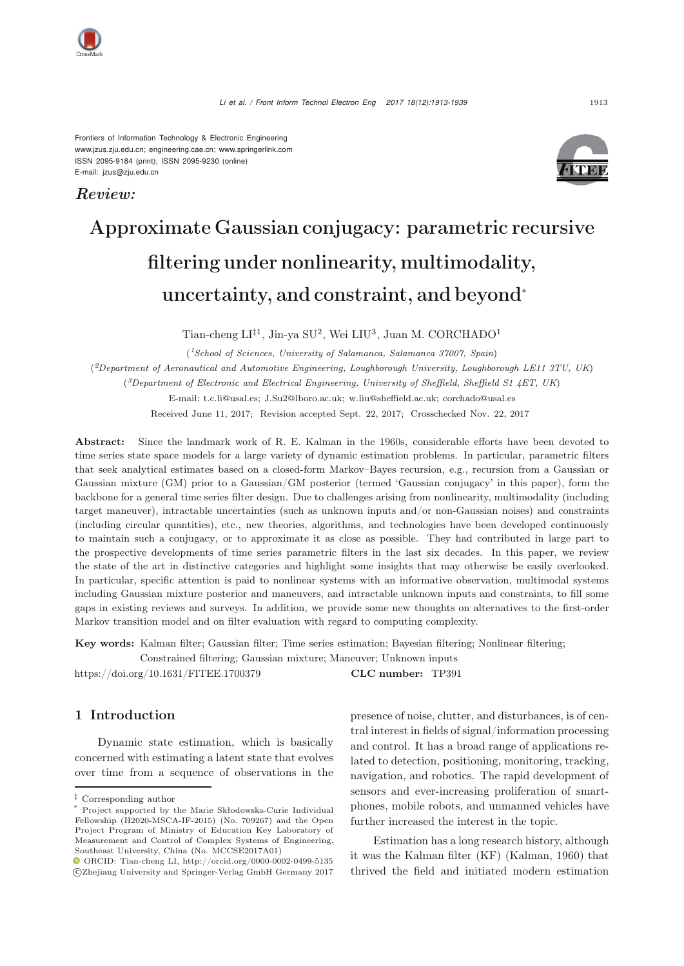Frontiers of Information Technology & Electronic Engineering [www.jzus.zju.edu.cn;](www.jzus.zju.edu.cn) [engineering.cae.cn;](engineering.cae.cn)<www.springerlink.com> ISSN 2095-9184 (print); ISSN 2095-9230 (online) E-mail: jzus@zju.edu.cn

# *Review:*



# Approximate Gaussian conjugacy: parametric recursive filtering under nonlinearity, multimodality, uncertainty, and constraint, and beyond<sup>∗</sup>

Tian-cheng LI<sup>‡1</sup>, Jin-ya SU<sup>2</sup>, Wei LIU<sup>3</sup>, Juan M. CORCHADO<sup>1</sup>

(*1School of Sciences, University of Salamanca, Salamanca 37007, Spain*)

(*2Department of Aeronautical and Automotive Engineering, Loughborough University, Loughborough LE11 3TU, UK*)

(*3Department of Electronic and Electrical Engineering, University of Sheffield, Sheffield S1 4ET, UK*)

E-mail: t.c.li@usal.es; J.Su2@lboro.ac.uk; w.liu@sheffield.ac.uk; corchado@usal.es

Received June 11, 2017; Revision accepted Sept. 22, 2017; Crosschecked Nov. 22, 2017

Abstract: Since the landmark work of R. E. Kalman in the 1960s, considerable efforts have been devoted to time series state space models for a large variety of dynamic estimation problems. In particular, parametric filters that seek analytical estimates based on a closed-form Markov–Bayes recursion, e.g., recursion from a Gaussian or Gaussian mixture (GM) prior to a Gaussian/GM posterior (termed 'Gaussian conjugacy' in this paper), form the backbone for a general time series filter design. Due to challenges arising from nonlinearity, multimodality (including target maneuver), intractable uncertainties (such as unknown inputs and/or non-Gaussian noises) and constraints (including circular quantities), etc., new theories, algorithms, and technologies have been developed continuously to maintain such a conjugacy, or to approximate it as close as possible. They had contributed in large part to the prospective developments of time series parametric filters in the last six decades. In this paper, we review the state of the art in distinctive categories and highlight some insights that may otherwise be easily overlooked. In particular, specific attention is paid to nonlinear systems with an informative observation, multimodal systems including Gaussian mixture posterior and maneuvers, and intractable unknown inputs and constraints, to fill some gaps in existing reviews and surveys. In addition, we provide some new thoughts on alternatives to the first-order Markov transition model and on filter evaluation with regard to computing complexity.

Key words: Kalman filter; Gaussian filter; Time series estimation; Bayesian filtering; Nonlinear filtering;

Constrained filtering; Gaussian mixture; Maneuver; Unknown inputs

https://doi.org/10.1631/FITEE.1700379 CLC number: TP391

# 1 Introduction

Dynamic state estimation, which is basically concerned with estimating a latent state that evolves over time from a sequence of observations in the presence of noise, clutter, and disturbances, is of central interest in fields of signal/information processing and control. It has a broad range of applications related to detection, positioning, monitoring, tracking, navigation, and robotics. The rapid development of sensors and ever-increasing proliferation of smartphones, mobile robots, and unmanned vehicles have further increased the interest in the topic.

Estimation has a long research history, although it was the Kalman filter (KF) [\(Kalman](#page-20-0), [1960\)](#page-20-0) that thrived the field and initiated modern estimation

<sup>‡</sup> Corresponding author

<sup>\*</sup> Project supported by the Marie Skłodowska-Curie Individual Fellowship (H2020-MSCA-IF-2015) (No. 709267) and the Open Project Program of Ministry of Education Key Laboratory of Measurement and Control of Complex Systems of Engineering, Southeast University, China (No. MCCSE2017A01)

ORCID: Tian-cheng LI, http://orcid.org/0000-0002-0499-5135 c Zhejiang University and Springer-Verlag GmbH Germany 2017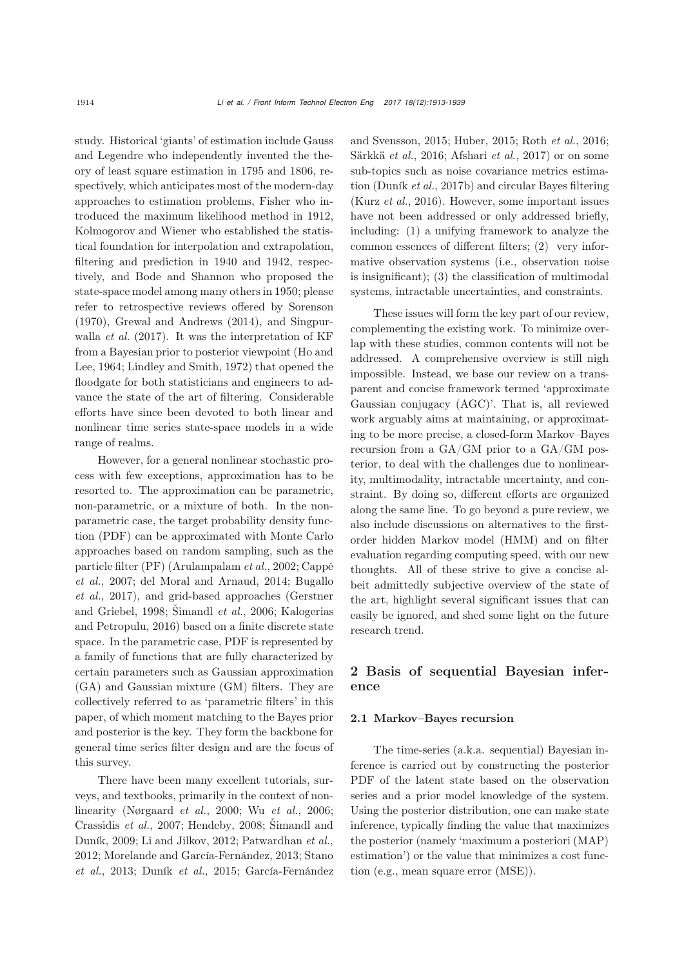study. Historical 'giants' of estimation include Gauss and Legendre who independently invented the theory of least square estimation in 1795 and 1806, respectively, which anticipates most of the modern-day approaches to estimation problems, Fisher who introduced the maximum likelihood method in 1912, Kolmogorov and Wiener who established the statistical foundation for interpolation and extrapolation, filtering and prediction in 1940 and 1942, respectively, and Bode and Shannon who proposed the state-space model among many others in 1950; please refer to retrospective reviews offered by [Sorenson](#page-23-0) [\(1970](#page-23-0)), [Grewal and Andrews](#page-19-0) [\(2014](#page-19-0)[\),](#page-23-1) [and](#page-23-1) Singpurwalla *et al.* [\(2017\)](#page-23-1). It was the interpretation of KF fro[m](#page-20-1) [a](#page-20-1) [Bayesian](#page-20-1) [prior](#page-20-1) [to](#page-20-1) [posterior](#page-20-1) [viewpoint](#page-20-1) [\(](#page-20-1)Ho and Lee, [1964;](#page-20-1) [Lindley and Smith](#page-21-0), [1972\)](#page-21-0) that opened the floodgate for both statisticians and engineers to advance the state of the art of filtering. Considerable efforts have since been devoted to both linear and nonlinear time series state-space models in a wide range of realms.

However, for a general nonlinear stochastic process with few exceptions, approximation has to be resorted to. The approximation can be parametric, non-parametric, or a mixture of both. In the nonparametric case, the target probability density function (PDF) can be approximated with Monte Carlo approaches based on random sampling, such as the parti[cle](#page-18-0) [filter](#page-18-0) [\(PF\)](#page-18-0) [\(Arulampalam](#page-17-0) *et al.*, [2002;](#page-17-0) Cappé *et al.*[,](#page-18-2) [2007](#page-18-0)[;](#page-18-2) [del Moral and Arnaud](#page-18-1)[,](#page-18-2) [2014](#page-18-1)[;](#page-18-2) Bugallo *et al.*, [2017](#page-18-2)[\),](#page-19-1) [and](#page-19-1) [grid-based](#page-19-1) [approaches](#page-19-1) [\(](#page-19-1)Gerstner and Griebel, [1998;](#page-19-1) [Šimandl](#page-23-2) *et al.*[,](#page-19-3)[2006; Kalogerias](#page-19-3) and Petropulu, [2016\)](#page-20-2) based on a finite discrete state space. In the parametric case, PDF is represented by a family of functions that are fully characterized by certain parameters such as Gaussian approximation (GA) and Gaussian mixture (GM) filters. They are collectively referred to as 'parametric filters' in this paper, of which moment matching to the Bayes prior and posterior is the key. They form the backbone for general time series filter design and are the focus of this survey.

There have been many excellent tutorials, surveys, and textbooks, primarily in the context of nonlinearity [\(Nørgaard](#page-22-0) *et al.*, [2000;](#page-22-0) Wu *[et al.](#page-24-0)*, [2006;](#page-24-0) [Crassidis](#page-18-3) *et al.*[,](#page-23-3) [2007](#page-18-3)[;](#page-23-3) [Hendeby, 2008](#page-20-3)[;](#page-23-3) Šimandl and Duník, [2009;](#page-23-3) [Li and Jilkov, 2012](#page-21-1); [Patwardhan](#page-22-1) *et al.*, [2012](#page-22-1)[;](#page-23-4) [Morelande and García-Fernández](#page-22-2)[,](#page-23-4) [2013](#page-22-2)[;](#page-23-4) Stano *et al.*, [2013](#page-23-4); [Duník](#page-19-2) *et al.*, [2015](#page-19-2); García-Fernández and Svensson, [2015;](#page-19-3) [Huber](#page-20-4), [2015;](#page-20-4) [Roth](#page-23-5) *et al.*, [2016;](#page-23-5) [Särkkä](#page-23-6) *et al.*, [2016;](#page-23-6) [Afshari](#page-17-1) *et al.*, [2017](#page-17-1)) or on some sub-topics such as noise covariance metrics estimation [\(Duník](#page-19-4) *et al.*, [2017b](#page-19-4)) and circular Bayes filtering [\(Kurz](#page-21-2) *et al.*, [2016](#page-21-2)). However, some important issues have not been addressed or only addressed briefly, including: (1) a unifying framework to analyze the common essences of different filters; (2) very informative observation systems (i.e., observation noise is insignificant); (3) the classification of multimodal systems, intractable uncertainties, and constraints.

These issues will form the key part of our review, complementing the existing work. To minimize overlap with these studies, common contents will not be addressed. A comprehensive overview is still nigh impossible. Instead, we base our review on a transparent and concise framework termed 'approximate Gaussian conjugacy (AGC)'. That is, all reviewed work arguably aims at maintaining, or approximating to be more precise, a closed-form Markov–Bayes recursion from a GA/GM prior to a GA/GM posterior, to deal with the challenges due to nonlinearity, multimodality, intractable uncertainty, and constraint. By doing so, different efforts are organized along the same line. To go beyond a pure review, we also include discussions on alternatives to the firstorder hidden Markov model (HMM) and on filter evaluation regarding computing speed, with our new thoughts. All of these strive to give a concise albeit admittedly subjective overview of the state of the art, highlight several significant issues that can easily be ignored, and shed some light on the future research trend.

# 2 Basis of sequential Bayesian inference

#### 2.1 Markov–Bayes recursion

The time-series (a.k.a. sequential) Bayesian inference is carried out by constructing the posterior PDF of the latent state based on the observation series and a prior model knowledge of the system. Using the posterior distribution, one can make state inference, typically finding the value that maximizes the posterior (namely 'maximum a posteriori (MAP) estimation') or the value that minimizes a cost function (e.g., mean square error (MSE)).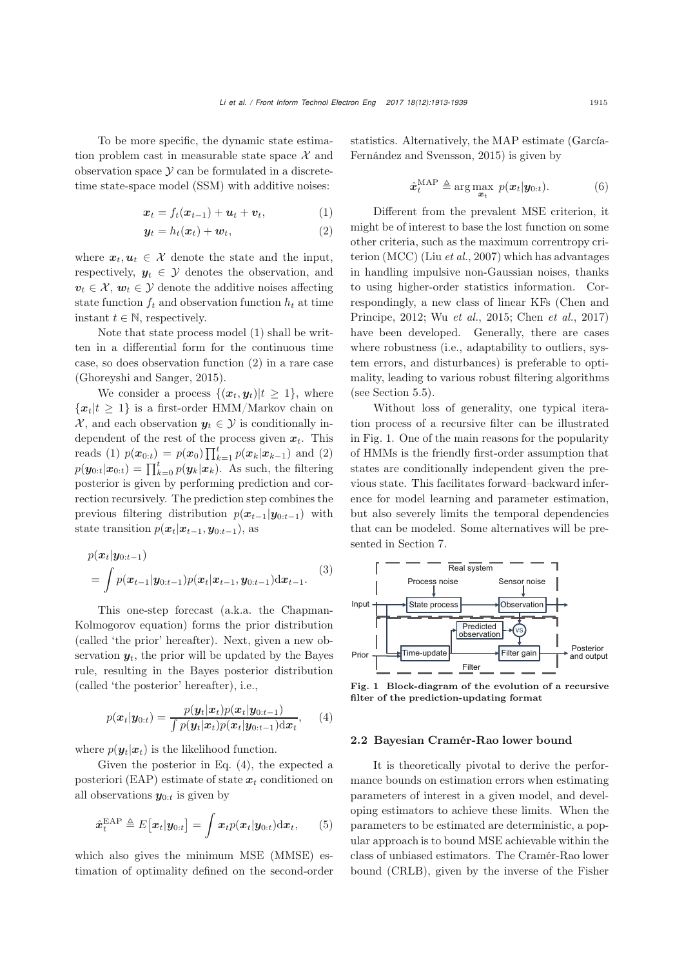To be more specific, the dynamic state estimation problem cast in measurable state space  $\mathcal X$  and observation space  $\mathcal Y$  can be formulated in a discretetime state-space model (SSM) with additive noises:

$$
\boldsymbol{x}_t = f_t(\boldsymbol{x}_{t-1}) + \boldsymbol{u}_t + \boldsymbol{v}_t, \tag{1}
$$

$$
\mathbf{y}_t = h_t(\mathbf{x}_t) + \mathbf{w}_t, \tag{2}
$$

where  $x_t, u_t \in \mathcal{X}$  denote the state and the input, respectively,  $y_t \in \mathcal{Y}$  denotes the observation, and  $v_t \in \mathcal{X}, w_t \in \mathcal{Y}$  denote the additive noises affecting state function  $f_t$  and observation function  $h_t$  at time instant  $t \in \mathbb{N}$ , respectively.

Note that state process model [\(1\)](#page-2-0) shall be written in a differential form for the continuous time case, so does observation function [\(2\)](#page-2-1) in a rare case [\(Ghoreyshi and Sanger, 2015\)](#page-19-5).

We consider a process  $\{(x_t, y_t)|t \geq 1\}$ , where  ${x_t|t \geq 1}$  is a first-order HMM/Markov chain on  $X$ , and each observation  $y_t \in Y$  is conditionally independent of the rest of the process given  $x_t$ . This reads (1)  $p(\bm{x}_{0:t}) = p(\bm{x}_0) \prod_{k=1}^{t} p(\bm{x}_k | \bm{x}_{k-1})$  and (2)  $p(\mathbf{y}_{0:t}|\mathbf{x}_{0:t}) = \prod_{k=0}^{t} p(\mathbf{y}_k|\mathbf{x}_k)$ . As such, the filtering posterior is given by performing prediction and correction recursively. The prediction step combines the previous filtering distribution  $p(x_{t-1}|\mathbf{y}_{0:t-1})$  with state transition  $p(\mathbf{x}_t|\mathbf{x}_{t-1}, \mathbf{y}_{0:t-1})$ , as

$$
p(\mathbf{x}_t|\mathbf{y}_{0:t-1})
$$
  
=  $\int p(\mathbf{x}_{t-1}|\mathbf{y}_{0:t-1})p(\mathbf{x}_t|\mathbf{x}_{t-1}, \mathbf{y}_{0:t-1}) d\mathbf{x}_{t-1}.$  (3)

This one-step forecast (a.k.a. the Chapman-Kolmogorov equation) forms the prior distribution (called 'the prior' hereafter). Next, given a new observation  $y_t$ , the prior will be updated by the Bayes rule, resulting in the Bayes posterior distribution (called 'the posterior' hereafter), i.e.,

$$
p(\boldsymbol{x}_t|\boldsymbol{y}_{0:t}) = \frac{p(\boldsymbol{y}_t|\boldsymbol{x}_t)p(\boldsymbol{x}_t|\boldsymbol{y}_{0:t-1})}{\int p(\boldsymbol{y}_t|\boldsymbol{x}_t)p(\boldsymbol{x}_t|\boldsymbol{y}_{0:t-1})\mathrm{d}\boldsymbol{x}_t},\qquad(4)
$$

where  $p(\mathbf{y}_t|\mathbf{x}_t)$  is the likelihood function.

Given the posterior in Eq. [\(4\)](#page-2-2), the expected a posteriori (EAP) estimate of state  $x_t$  conditioned on all observations  $y_{0:t}$  is given by

$$
\hat{\boldsymbol{x}}_t^{\text{EAP}} \triangleq E[\boldsymbol{x}_t|\boldsymbol{y}_{0:t}] = \int \boldsymbol{x}_t p(\boldsymbol{x}_t|\boldsymbol{y}_{0:t}) \mathrm{d}\boldsymbol{x}_t, \qquad (5)
$$

which also gives the minimum MSE (MMSE) estimation of optimality defined on the second-order statistics. Alternatively, [the](#page-19-3) [MAP](#page-19-3) [estimate](#page-19-3) [\(](#page-19-3)García-Fernández and Svensson, [2015](#page-19-3)) is given by

$$
\hat{\boldsymbol{x}}_t^{\text{MAP}} \triangleq \arg \max_{\boldsymbol{x}_t} \ p(\boldsymbol{x}_t | \boldsymbol{y}_{0:t}). \tag{6}
$$

<span id="page-2-1"></span><span id="page-2-0"></span>Different from the prevalent MSE criterion, it might be of interest to base the lost function on some other criteria, such as the maximum correntropy criterion (MCC) (Liu *[et al.](#page-21-3)*, [2007\)](#page-21-3) which has advantages in handling impulsive non-Gaussian noises, thanks to using higher-order statistics information. Correspond[ingly,](#page-18-4) [a](#page-18-4) [new](#page-18-4) [class](#page-18-4) [of](#page-18-4) [linear](#page-18-4) [KFs](#page-18-4) [\(](#page-18-4)Chen and Principe, [2012;](#page-18-4) Wu *[et al.](#page-24-1)*, [2015;](#page-24-1) [Chen](#page-18-5) *et al.*, [2017](#page-18-5)) have been developed. Generally, there are cases where robustness (*i.e.*, adaptability to outliers, system errors, and disturbances) is preferable to optimality, leading to various robust filtering algorithms (see Section [5.5\)](#page-12-0).

Without loss of generality, one typical iteration process of a recursive filter can be illustrated in Fig. [1.](#page-2-3) One of the main reasons for the popularity of HMMs is the friendly first-order assumption that states are conditionally independent given the previous state. This facilitates forward–backward inference for model learning and parameter estimation, but also severely limits the temporal dependencies that can be modeled. Some alternatives will be presented in Section [7.](#page-14-0)



<span id="page-2-3"></span><span id="page-2-2"></span>Fig. 1 Block-diagram of the evolution of a recursive filter of the prediction-updating format

#### 2.2 Bayesian Cramér-Rao lower bound

It is theoretically pivotal to derive the performance bounds on estimation errors when estimating parameters of interest in a given model, and developing estimators to achieve these limits. When the parameters to be estimated are deterministic, a popular approach is to bound MSE achievable within the class of unbiased estimators. The Cramér-Rao lower bound (CRLB), given by the inverse of the Fisher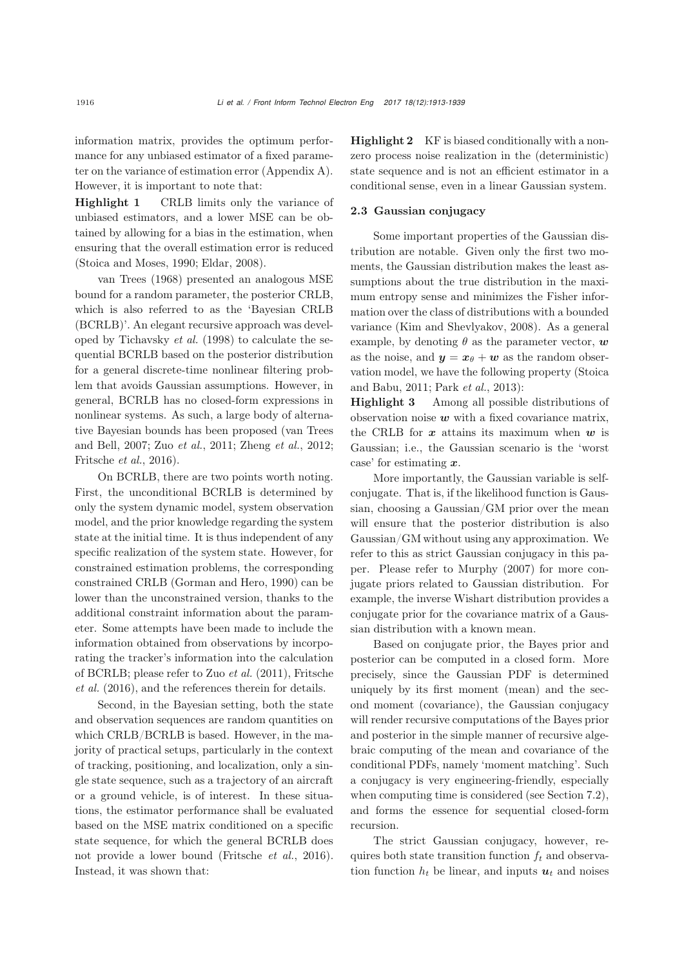information matrix, provides the optimum performance for any unbiased estimator of a fixed parameter on the variance of estimation error (Appendix A). However, it is important to note that:

Highlight 1 CRLB limits only the variance of unbiased estimators, and a lower MSE can be obtained by allowing for a bias in the estimation, when ensuring that the overall estimation error is reduced [\(Stoica and Moses](#page-23-7), [1990;](#page-23-7) [Eldar](#page-19-6), [2008](#page-19-6)).

van Trees [\(1968](#page-24-2)) presented an analogous MSE bound for a random parameter, the posterior CRLB, which is also referred to as the 'Bayesian CRLB (BCRLB)'. An elegant recursive approach was developed by [Tichavsky](#page-24-3) *et al.* [\(1998](#page-24-3)) to calculate the sequential BCRLB based on the posterior distribution for a general discrete-time nonlinear filtering problem that avoids Gaussian assumptions. However, in general, BCRLB has no closed-form expressions in nonlinear systems. As such, a large body of alternative Bay[esian](#page-24-4) [bounds](#page-24-4) [has](#page-24-4) [been](#page-24-4) [proposed](#page-24-4) [\(](#page-24-4)van Trees and Bell, [2007](#page-24-4); Zuo *[et al.](#page-25-0)*, [2011;](#page-25-0) [Zheng](#page-25-1) *et al.*, [2012;](#page-25-1) [Fritsche](#page-19-7) *et al.*, [2016\)](#page-19-7).

On BCRLB, there are two points worth noting. First, the unconditional BCRLB is determined by only the system dynamic model, system observation model, and the prior knowledge regarding the system state at the initial time. It is thus independent of any specific realization of the system state. However, for constrained estimation problems, the corresponding constrained CRLB [\(Gorman and Hero](#page-19-8), [1990\)](#page-19-8) can be lower than the unconstrained version, thanks to the additional constraint information about the parameter. Some attempts have been made to include the information obtained from observations by incorporating the tracker's information into the calculation of B[CRLB;](#page-19-7) [please](#page-19-7) [refer](#page-19-7) [to](#page-19-7) [Zuo](#page-19-7) *[et al.](#page-25-0)* [\(2011\)](#page-25-0), Fritsche *et al.* [\(2016\)](#page-19-7), and the references therein for details.

Second, in the Bayesian setting, both the state and observation sequences are random quantities on which CRLB/BCRLB is based. However, in the majority of practical setups, particularly in the context of tracking, positioning, and localization, only a single state sequence, such as a trajectory of an aircraft or a ground vehicle, is of interest. In these situations, the estimator performance shall be evaluated based on the MSE matrix conditioned on a specific state sequence, for which the general BCRLB does not provide a lower bound [\(Fritsche](#page-19-7) *et al.*, [2016\)](#page-19-7). Instead, it was shown that:

**Highlight 2** KF is biased conditionally with a nonzero process noise realization in the (deterministic) state sequence and is not an efficient estimator in a conditional sense, even in a linear Gaussian system.

#### 2.3 Gaussian conjugacy

Some important properties of the Gaussian distribution are notable. Given only the first two moments, the Gaussian distribution makes the least assumptions about the true distribution in the maximum entropy sense and minimizes the Fisher information over the class of distributions with a bounded variance [\(Kim and Shevlyakov](#page-20-5), [2008](#page-20-5)). As a general example, by denoting  $\theta$  as the parameter vector,  $\boldsymbol{w}$ as the noise, and  $y = x_{\theta} + w$  as the random observation m[odel,](#page-23-8) [we](#page-23-8) [have](#page-23-8) [the](#page-23-8) [following](#page-23-8) [property](#page-23-8) [\(](#page-23-8)Stoica and Babu, [2011](#page-23-8); [Park](#page-22-3) *et al.*, [2013\)](#page-22-3):

Highlight 3 Among all possible distributions of observation noise *w* with a fixed covariance matrix, the CRLB for *x* attains its maximum when *w* is Gaussian; i.e., the Gaussian scenario is the 'worst case' for estimating *x*.

More importantly, the Gaussian variable is selfconjugate. That is, if the likelihood function is Gaussian, choosing a Gaussian/GM prior over the mean will ensure that the posterior distribution is also Gaussian/GM without using any approximation. We refer to this as strict Gaussian conjugacy in this paper. Please refer to [Murphy](#page-22-4) [\(2007\)](#page-22-4) for more conjugate priors related to Gaussian distribution. For example, the inverse Wishart distribution provides a conjugate prior for the covariance matrix of a Gaussian distribution with a known mean.

Based on conjugate prior, the Bayes prior and posterior can be computed in a closed form. More precisely, since the Gaussian PDF is determined uniquely by its first moment (mean) and the second moment (covariance), the Gaussian conjugacy will render recursive computations of the Bayes prior and posterior in the simple manner of recursive algebraic computing of the mean and covariance of the conditional PDFs, namely 'moment matching'. Such a conjugacy is very engineering-friendly, especially when computing time is considered (see Section [7.2\)](#page-16-0), and forms the essence for sequential closed-form recursion.

The strict Gaussian conjugacy, however, requires both state transition function  $f_t$  and observation function  $h_t$  be linear, and inputs  $u_t$  and noises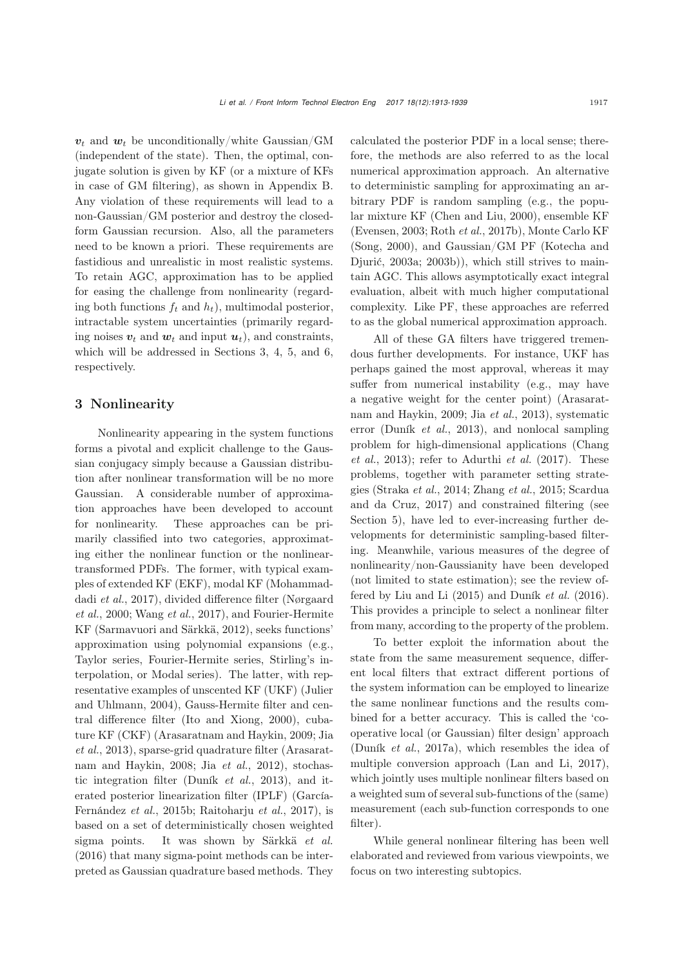$v_t$  and  $w_t$  be unconditionally/white Gaussian/GM (independent of the state). Then, the optimal, conjugate solution is given by KF (or a mixture of KFs in case of GM filtering), as shown in Appendix B. Any violation of these requirements will lead to a non-Gaussian/GM posterior and destroy the closedform Gaussian recursion. Also, all the parameters need to be known a priori. These requirements are fastidious and unrealistic in most realistic systems. To retain AGC, approximation has to be applied for easing the challenge from nonlinearity (regarding both functions  $f_t$  and  $h_t$ ), multimodal posterior, intractable system uncertainties (primarily regarding noises  $v_t$  and  $w_t$  and input  $u_t$ ), and constraints, which will be addressed in Sections [3,](#page-4-0) [4,](#page-6-0) [5,](#page-9-0) and [6,](#page-12-1) respectively.

# <span id="page-4-0"></span>3 Nonlinearity

Nonlinearity appearing in the system functions forms a pivotal and explicit challenge to the Gaussian conjugacy simply because a Gaussian distribution after nonlinear transformation will be no more Gaussian. A considerable number of approximation approaches have been developed to account for nonlinearity. These approaches can be primarily classified into two categories, approximating either the nonlinear function or the nonlineartransformed PDFs. The former, with typical examples of ext[ended](#page-22-5) [KF](#page-22-5) [\(EKF\),](#page-22-5) [modal](#page-22-5) [KF](#page-22-5) [\(](#page-22-5)Mohammaddadi *et al.*[,](#page-22-0) [2017](#page-22-5)[\),](#page-22-0) [divided](#page-22-0) [difference](#page-22-0) [filter](#page-22-0) [\(](#page-22-0)Nørgaard *et al.*, [2000](#page-22-0); [Wang](#page-24-5) *et al.*, [2017](#page-24-5)), and Fourier-Hermite KF [\(Sarmavuori and Särkkä](#page-23-9), [2012\)](#page-23-9), seeks functions' approximation using polynomial expansions (e.g., Taylor series, Fourier-Hermite series, Stirling's interpolation, or Modal series). The latter, with representative ex[amples](#page-20-6) [of](#page-20-6) [unscented](#page-20-6) [KF](#page-20-6) [\(UKF\)](#page-20-6) [\(](#page-20-6)Julier and Uhlmann, [2004](#page-20-6)), Gauss-Hermite filter and central difference filter [\(Ito and Xiong](#page-20-7), [2000](#page-20-7)), cubature [KF](#page-20-8) [\(CKF\)](#page-20-8) [\(Arasaratnam and Haykin](#page-17-2)[,](#page-20-8) [2009](#page-17-2)[;](#page-20-8) Jia *et al.*, [2013](#page-20-8)), spar[se-grid](#page-17-3) [quadrature](#page-17-3) [filter](#page-17-3) [\(](#page-17-3)Arasaratnam and Haykin, [2008](#page-17-3); Jia *[et al.](#page-20-9)*, [2012\)](#page-20-9), stochastic integration filter [\(Duník](#page-19-9) *et al.*, [2013\)](#page-19-9), and iterated posterior [linearization](#page-19-10) [filter](#page-19-10) [\(IPLF\)](#page-19-10) [\(](#page-19-10)García-Fernández *et al.*, [2015b;](#page-19-10) [Raitoharju](#page-22-6) *et al.*, [2017](#page-22-6)), is based on a set of deterministically chosen weighted sigma points. It was shown by [Särkkä](#page-23-6) *et al.* [\(2016](#page-23-6)) that many sigma-point methods can be interpreted as Gaussian quadrature based methods. They calculated the posterior PDF in a local sense; therefore, the methods are also referred to as the local numerical approximation approach. An alternative to deterministic sampling for approximating an arbitrary PDF is random sampling (e.g., the popular mixture KF [\(Chen and Liu](#page-18-6), [2000](#page-18-6)), ensemble KF [\(Evensen, 2003;](#page-19-11) [Roth](#page-23-10) *et al.*, [2017b\)](#page-23-10), Monte Carlo KF [\(Song](#page-23-11)[,](#page-21-4) [2000](#page-23-11)[\),](#page-21-4) [and](#page-21-4) [Gaussian/GM](#page-21-4) [PF](#page-21-4) [\(](#page-21-4)Kotecha and Djurić, [2003a;](#page-21-4) [2003b](#page-21-5))), which still strives to maintain AGC. This allows asymptotically exact integral evaluation, albeit with much higher computational complexity. Like PF, these approaches are referred to as the global numerical approximation approach.

All of these GA filters have triggered tremendous further developments. For instance, UKF has perhaps gained the most approval, whereas it may suffer from numerical instability (e.g., may have a negative weig[ht](#page-17-2) [for](#page-17-2) [the](#page-17-2) [center](#page-17-2) [point\)](#page-17-2) [\(](#page-17-2)Arasaratnam and Haykin, [2009](#page-17-2); Jia *[et al.](#page-20-8)*, [2013](#page-20-8)), systematic error [\(Duník](#page-19-9) *et al.*, [2013\)](#page-19-9), and nonlocal sampling probl[em](#page-18-7) [for](#page-18-7) [high-dimensional](#page-18-7) [applications](#page-18-7) [\(](#page-18-7)Chang *et al.*, [2013\)](#page-18-7); refer to [Adurthi](#page-17-4) *et al.* [\(2017](#page-17-4)). These problems, together with parameter setting strategies [\(Straka](#page-23-12) *et al.*[,](#page-23-13) [2014;](#page-23-12) [Zhang](#page-25-2) *et al.*, [2015;](#page-25-2) Scardua and da Cruz, [2017](#page-23-13)) and constrained filtering (see Section [5\)](#page-9-0), have led to ever-increasing further developments for deterministic sampling-based filtering. Meanwhile, various measures of the degree of nonlinearity/non-Gaussianity have been developed (not limited to state estimation); see the review offered by [Liu and Li](#page-21-6) [\(2015\)](#page-21-6) and [Duník](#page-19-12) *et al.* [\(2016\)](#page-19-12). This provides a principle to select a nonlinear filter from many, according to the property of the problem.

To better exploit the information about the state from the same measurement sequence, different local filters that extract different portions of the system information can be employed to linearize the same nonlinear functions and the results combined for a better accuracy. This is called the 'cooperative local (or Gaussian) filter design' approach [\(Duník](#page-19-13) *et al.*, [2017a](#page-19-13)), which resembles the idea of multiple conversion approach [\(Lan and Li, 2017\)](#page-21-7), which jointly uses multiple nonlinear filters based on a weighted sum of several sub-functions of the (same) measurement (each sub-function corresponds to one filter).

While general nonlinear filtering has been well elaborated and reviewed from various viewpoints, we focus on two interesting subtopics.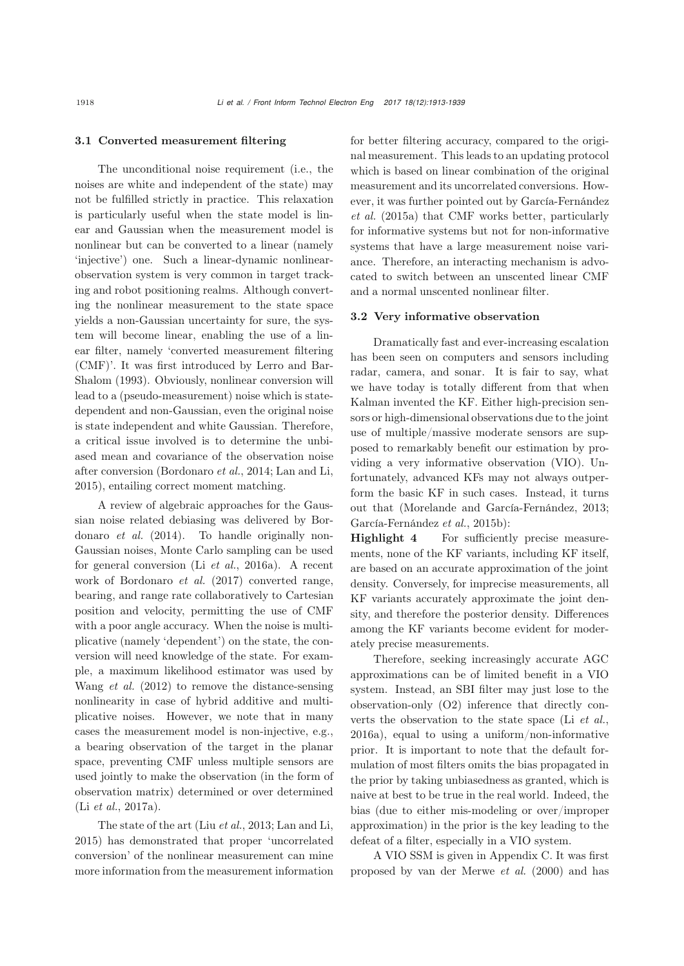#### 3.1 Converted measurement filtering

The unconditional noise requirement (i.e., the noises are white and independent of the state) may not be fulfilled strictly in practice. This relaxation is particularly useful when the state model is linear and Gaussian when the measurement model is nonlinear but can be converted to a linear (namely 'injective') one. Such a linear-dynamic nonlinearobservation system is very common in target tracking and robot positioning realms. Although converting the nonlinear measurement to the state space yields a non-Gaussian uncertainty for sure, the system will become linear, enabling the use of a linear filter, namely 'converted measurement filtering (CMF)['.](#page-21-8) [It](#page-21-8) [was](#page-21-8) [first](#page-21-8) [introduced](#page-21-8) [by](#page-21-8) Lerro and Bar-Shalom [\(1993](#page-21-8)). Obviously, nonlinear conversion will lead to a (pseudo-measurement) noise which is statedependent and non-Gaussian, even the original noise is state independent and white Gaussian. Therefore, a critical issue involved is to determine the unbiased mean and covariance of the observation noise after conversion [\(Bordonaro](#page-18-8) *et al.*, [2014](#page-18-8); [Lan and Li](#page-21-9), [2015](#page-21-9)), entailing correct moment matching.

A review of algebraic approaches for the Gaussian noise rel[ated](#page-18-8) [debiasing](#page-18-8) [was](#page-18-8) [delivered](#page-18-8) [by](#page-18-8) Bordonaro *et al.* [\(2014\)](#page-18-8). To handle originally non-Gaussian noises, Monte Carlo sampling can be used for general conversion (Li *[et al.](#page-21-10)*, [2016a](#page-21-10)). A recent work of [Bordonaro](#page-18-9) *et al.* [\(2017\)](#page-18-9) converted range, bearing, and range rate collaboratively to Cartesian position and velocity, permitting the use of CMF with a poor angle accuracy. When the noise is multiplicative (namely 'dependent') on the state, the conversion will need knowledge of the state. For example, a maximum likelihood estimator was used by [Wang](#page-24-6) *et al.* [\(2012\)](#page-24-6) to remove the distance-sensing nonlinearity in case of hybrid additive and multiplicative noises. However, we note that in many cases the measurement model is non-injective, e.g., a bearing observation of the target in the planar space, preventing CMF unless multiple sensors are used jointly to make the observation (in the form of observation matrix) determined or over determined (Li *[et al.](#page-21-11)*, [2017a\)](#page-21-11).

The state of the art (Liu *[et al.](#page-22-7)*, [2013](#page-22-7); [Lan and Li](#page-21-9), [2015](#page-21-9)) has demonstrated that proper 'uncorrelated conversion' of the nonlinear measurement can mine more information from the measurement information for better filtering accuracy, compared to the original measurement. This leads to an updating protocol which is based on linear combination of the original measurement and its uncorrelated conversions. However, [it](#page-19-14) [was](#page-19-14) [further](#page-19-14) [pointed](#page-19-14) [out](#page-19-14) [by](#page-19-14) García-Fernández *et al.* [\(2015a\)](#page-19-14) that CMF works better, particularly for informative systems but not for non-informative systems that have a large measurement noise variance. Therefore, an interacting mechanism is advocated to switch between an unscented linear CMF and a normal unscented nonlinear filter.

#### 3.2 Very informative observation

Dramatically fast and ever-increasing escalation has been seen on computers and sensors including radar, camera, and sonar. It is fair to say, what we have today is totally different from that when Kalman invented the KF. Either high-precision sensors or high-dimensional observations due to the joint use of multiple/massive moderate sensors are supposed to remarkably benefit our estimation by providing a very informative observation (VIO). Unfortunately, advanced KFs may not always outperform the basic KF in such cases. Instead, it turns out that [\(Morelande and García-Fernández](#page-22-2), [2013;](#page-22-2) [García-Fernández](#page-19-10) *et al.*, [2015b\)](#page-19-10):

Highlight 4 For sufficiently precise measurements, none of the KF variants, including KF itself, are based on an accurate approximation of the joint density. Conversely, for imprecise measurements, all KF variants accurately approximate the joint density, and therefore the posterior density. Differences among the KF variants become evident for moderately precise measurements.

Therefore, seeking increasingly accurate AGC approximations can be of limited benefit in a VIO system. Instead, an SBI filter may just lose to the observation-only (O2) inference that directly converts the observation to the state space (Li *[et al.](#page-21-10)*, [2016a](#page-21-10)), equal to using a uniform/non-informative prior. It is important to note that the default formulation of most filters omits the bias propagated in the prior by taking unbiasedness as granted, which is naive at best to be true in the real world. Indeed, the bias (due to either mis-modeling or over/improper approximation) in the prior is the key leading to the defeat of a filter, especially in a VIO system.

A VIO SSM is given in Appendix C. It was first proposed by [van der Merwe](#page-24-7) *et al.* [\(2000\)](#page-24-7) and has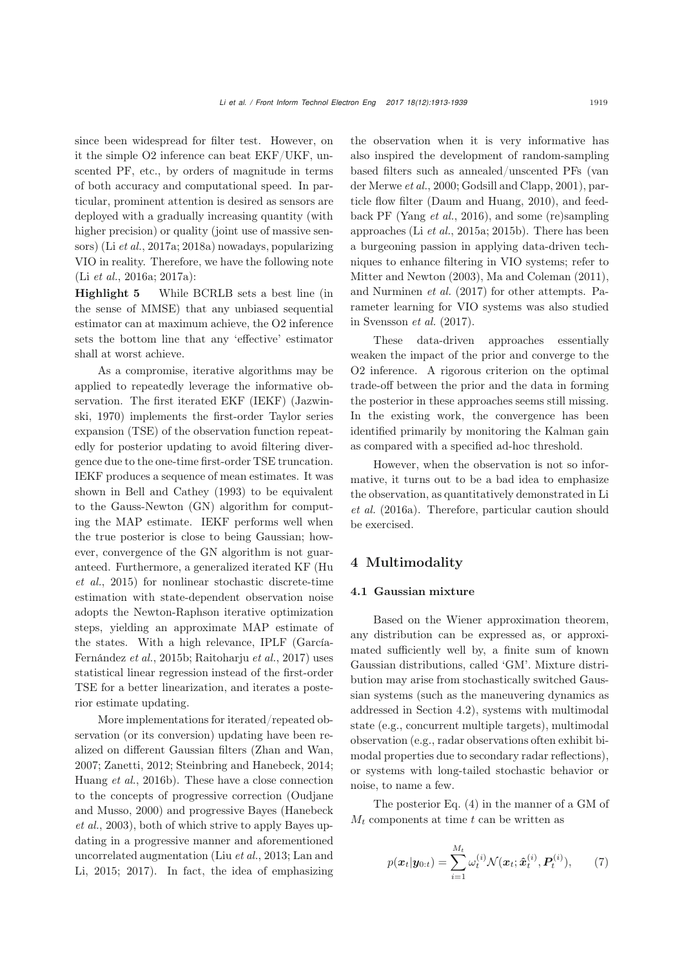since been widespread for filter test. However, on it the simple O2 inference can beat EKF/UKF, unscented PF, etc., by orders of magnitude in terms of both accuracy and computational speed. In particular, prominent attention is desired as sensors are deployed with a gradually increasing quantity (with higher precision) or quality (joint use of massive sensors) (Li *[et al.](#page-21-11)*, [2017a;](#page-21-11) [2018a\)](#page-21-12) nowadays, popularizing VIO in reality. Therefore, we have the following note (Li *[et al.](#page-21-10)*, [2016a;](#page-21-10) [2017a](#page-21-11)):

Highlight 5 While BCRLB sets a best line (in the sense of MMSE) that any unbiased sequential estimator can at maximum achieve, the O2 inference sets the bottom line that any 'effective' estimator shall at worst achieve.

As a compromise, iterative algorithms may be applied to repeatedly leverage the informative obse[rvation.](#page-20-10) [The](#page-20-10) [first](#page-20-10) [iterated](#page-20-10) [EKF](#page-20-10) [\(IEKF\)](#page-20-10) [\(](#page-20-10)Jazwinski, [1970\)](#page-20-10) implements the first-order Taylor series expansion (TSE) of the observation function repeatedly for posterior updating to avoid filtering divergence due to the one-time first-order TSE truncation. IEKF produces a sequence of mean estimates. It was shown in [Bell and Cathey](#page-18-10) [\(1993](#page-18-10)) to be equivalent to the Gauss-Newton (GN) algorithm for computing the MAP estimate. IEKF performs well when the true posterior is close to being Gaussian; however, convergence of the GN algorithm is not guarante[ed.](#page-20-11) [Furthermore,](#page-20-11) [a](#page-20-11) [generalized](#page-20-11) [iterated](#page-20-11) [KF](#page-20-11) [\(](#page-20-11)Hu *et al.*, [2015](#page-20-11)) for nonlinear stochastic discrete-time estimation with state-dependent observation noise adopts the Newton-Raphson iterative optimization steps, yielding an approximate MAP estimate of the states. With a high relevance, IPLF (García-Fernández *et al.*, [2015b;](#page-19-10) [Raitoharju](#page-22-6) *et al.*, [2017](#page-22-6)) uses statistical linear regression instead of the first-order TSE for a better linearization, and iterates a posterior estimate updating.

More implementations for iterated/repeated observation (or its conversion) updating have been realized on different Gaussian filters [\(Zhan and Wan](#page-25-3), [2007](#page-25-3); [Zanetti](#page-24-8), [2012](#page-24-8); [Steinbring and Hanebeck, 2014;](#page-23-14) [Huang](#page-20-12) *et al.*, [2016b\)](#page-20-12). These have a close connection to the con[cepts](#page-22-8) [of](#page-22-8) [progressive](#page-22-8) [correction](#page-22-8) [\(](#page-22-8)Oudjane and [Musso,](#page-20-13) [2000](#page-22-8)[\)](#page-20-13) [and](#page-20-13) [progressive](#page-20-13) [Bayes](#page-20-13) [\(](#page-20-13)Hanebeck *et al.*, [2003](#page-20-13)), both of which strive to apply Bayes updating in a progressive manner and aforementioned u[ncorrelated](#page-21-9) [augmentation](#page-21-9) [\(Liu](#page-21-9) *[et al.](#page-22-7)*, [2013](#page-22-7); Lan and Li, [2015](#page-21-9); [2017](#page-21-7)). In fact, the idea of emphasizing the observation when it is very informative has also inspired the development of random-sampling based filters s[uch](#page-24-7) [as](#page-24-7) [annealed/unscented](#page-24-7) [PFs](#page-24-7) [\(](#page-24-7)van der Merwe *et al.*, [2000](#page-24-7); [Godsill and Clapp, 2001\)](#page-19-15), particle flow filter [\(Daum and Huang](#page-18-11), [2010\)](#page-18-11), and feedback PF [\(Yang](#page-24-9) *et al.*, [2016\)](#page-24-9), and some (re)sampling approaches (Li *[et al.](#page-21-13)*, [2015a](#page-21-13); [2015b](#page-21-14)). There has been a burgeoning passion in applying data-driven techniques to enhance filtering in VIO systems; refer to [Mitter and Newton](#page-22-9) [\(2003](#page-22-9)), [Ma and Coleman](#page-22-10) [\(2011\)](#page-22-10), and [Nurminen](#page-22-11) *et al.* [\(2017](#page-22-11)) for other attempts. Parameter learning for VIO systems was also studied in [Svensson](#page-24-10) *et al.* [\(2017\)](#page-24-10).

These data-driven approaches essentially weaken the impact of the prior and converge to the O2 inference. A rigorous criterion on the optimal trade-off between the prior and the data in forming the posterior in these approaches seems still missing. In the existing work, the convergence has been identified primarily by monitoring the Kalman gain as compared with a specified ad-hoc threshold.

However, when the observation is not so informative, it turns out to be a bad idea to emphasize the o[bservation,](#page-21-10) [as](#page-21-10) [quantitatively](#page-21-10) [demonstrated](#page-21-10) [in](#page-21-10) Li *et al.* [\(2016a\)](#page-21-10). Therefore, particular caution should be exercised.

# <span id="page-6-0"></span>4 Multimodality

#### 4.1 Gaussian mixture

Based on the Wiener approximation theorem, any distribution can be expressed as, or approximated sufficiently well by, a finite sum of known Gaussian distributions, called 'GM'. Mixture distribution may arise from stochastically switched Gaussian systems (such as the maneuvering dynamics as addressed in Section 4.2), systems with multimodal state (e.g., concurrent multiple targets), multimodal observation (e.g., radar observations often exhibit bimodal properties due to secondary radar reflections), or systems with long-tailed stochastic behavior or noise, to name a few.

The posterior Eq. [\(4\)](#page-2-2) in the manner of a GM of  $M_t$  components at time t can be written as

$$
p(\mathbf{x}_t|\mathbf{y}_{0:t}) = \sum_{i=1}^{M_t} \omega_t^{(i)} \mathcal{N}(\mathbf{x}_t; \hat{\mathbf{x}}_t^{(i)}, \mathbf{P}_t^{(i)}), \qquad (7)
$$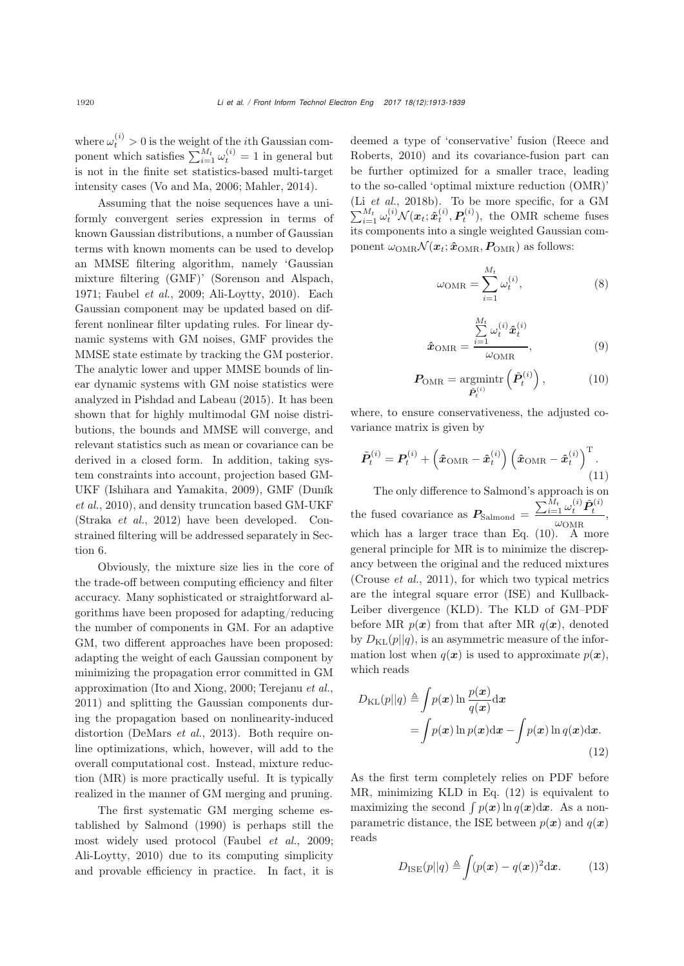where  $\omega_t^{(i)} > 0$  is the weight of the *i*th Gaussian component which satisfies  $\sum_{i=1}^{M_t} \omega_t^{(i)} = 1$  in general but is not in the finite set statistics-based multi-target intensity cases [\(Vo and Ma, 2006;](#page-24-11) [Mahler](#page-22-12), [2014\)](#page-22-12).

Assuming that the noise sequences have a uniformly convergent series expression in terms of known Gaussian distributions, a number of Gaussian terms with known moments can be used to develop an MMSE filtering algorithm, namely 'Gaussian mixture filtering (GMF)' [\(Sorenson and Alspach,](#page-23-15) [1971](#page-23-15); [Faubel](#page-19-16) *et al.*, [2009](#page-19-16); [Ali-Loytty, 2010\)](#page-17-5). Each Gaussian component may be updated based on different nonlinear filter updating rules. For linear dynamic systems with GM noises, GMF provides the MMSE state estimate by tracking the GM posterior. The analytic lower and upper MMSE bounds of linear dynamic systems with GM noise statistics were analyzed in [Pishdad and Labeau](#page-22-13) [\(2015](#page-22-13)). It has been shown that for highly multimodal GM noise distributions, the bounds and MMSE will converge, and relevant statistics such as mean or covariance can be derived in a closed form. In addition, taking system constraints into account, projection based GM-UK[F](#page-19-17) [\(Ishihara and Yamakita](#page-20-14)[,](#page-19-17) [2009](#page-20-14)[\),](#page-19-17) [GMF](#page-19-17) [\(](#page-19-17)Duník *et al.*, [2010\)](#page-19-17), and density truncation based GM-UKF [\(Straka](#page-23-16) *et al.*, [2012\)](#page-23-16) have been developed. Constrained filtering will be addressed separately in Section [6.](#page-12-1)

Obviously, the mixture size lies in the core of the trade-off between computing efficiency and filter accuracy. Many sophisticated or straightforward algorithms have been proposed for adapting/reducing the number of components in GM. For an adaptive GM, two different approaches have been proposed: adapting the weight of each Gaussian component by minimizing the propagation error committed in GM approximation [\(Ito and Xiong, 2000](#page-20-7); [Terejanu](#page-24-12) *et al.*, [2011](#page-24-12)) and splitting the Gaussian components during the propagation based on nonlinearity-induced distortion [\(DeMars](#page-18-12) *et al.*, [2013\)](#page-18-12). Both require online optimizations, which, however, will add to the overall computational cost. Instead, mixture reduction (MR) is more practically useful. It is typically realized in the manner of GM merging and pruning.

The first systematic GM merging scheme established by [Salmond](#page-23-17) [\(1990](#page-23-17)) is perhaps still the most widely used protocol [\(Faubel](#page-19-16) *et al.*, [2009;](#page-19-16) [Ali-Loytty, 2010](#page-17-5)) due to its computing simplicity and provable efficiency in practice. In fact, it is

deemed [a](#page-22-14) [type](#page-22-14) [of](#page-22-14) ['conservative'](#page-22-14) [fusion](#page-22-14) [\(](#page-22-14)Reece and Roberts, [2010](#page-22-14)) and its covariance-fusion part can be further optimized for a smaller trace, leading to the so-called 'optimal mixture reduction (OMR)' (Li *[et al.](#page-21-15)*, [2018b\)](#page-21-15). To be more specific, for a GM  $\sum_{i=1}^{M_t} \omega_t^{(i)} \mathcal{N}(\boldsymbol{x}_t; \hat{\boldsymbol{x}}_t^{(i)}, \boldsymbol{P}_t^{(i)})$ , the OMR scheme fuses its components into a single weighted Gaussian component  $\omega_{\text{OMR}} \mathcal{N}(\boldsymbol{x}_t; \hat{\boldsymbol{x}}_{\text{OMR}}, \boldsymbol{P}_{\text{OMR}})$  as follows:

$$
\omega_{\text{OMR}} = \sum_{i=1}^{M_t} \omega_t^{(i)},\tag{8}
$$

$$
\hat{\boldsymbol{x}}_{\text{OMR}} = \frac{\sum_{i=1}^{M_t} \omega_t^{(i)} \hat{\boldsymbol{x}}_t^{(i)}}{\omega_{\text{OMR}}},
$$
\n(9)

<span id="page-7-0"></span>
$$
\boldsymbol{P}_{\text{OMR}} = \underset{\tilde{\boldsymbol{P}}_t^{(i)}}{\text{argmintr}} \left( \tilde{\boldsymbol{P}}_t^{(i)} \right), \tag{10}
$$

where, to ensure conservativeness, the adjusted covariance matrix is given by

$$
\tilde{P}_t^{(i)} = P_t^{(i)} + \left(\hat{x}_{\text{OMR}} - \hat{x}_t^{(i)}\right) \left(\hat{x}_{\text{OMR}} - \hat{x}_t^{(i)}\right)^{\text{T}}.\tag{11}
$$

The only difference to Salmond's approach is on the fused covariance as  $P_{\text{Salmond}} = \frac{\sum_{i=1}^{M_t} \omega_t^{(i)} \tilde{P}_t^{(i)}}{P_t}$  $\frac{1-\epsilon}{\omega_{\text{OMR}}}$ which has a larger trace than Eq. [\(10\)](#page-7-0). A more general principle for MR is to minimize the discrepancy between the original and the reduced mixtures [\(Crouse](#page-18-13) *et al.*, [2011\)](#page-18-13), for which two typical metrics are the integral square error (ISE) and Kullback-Leiber divergence (KLD). The KLD of GM–PDF before MR  $p(x)$  from that after MR  $q(x)$ , denoted by  $D_{\text{KL}}(p||q)$ , is an asymmetric measure of the information lost when  $q(x)$  is used to approximate  $p(x)$ , which reads

$$
D_{\text{KL}}(p||q) \triangleq \int p(\boldsymbol{x}) \ln \frac{p(\boldsymbol{x})}{q(\boldsymbol{x})} d\boldsymbol{x}
$$
  
= 
$$
\int p(\boldsymbol{x}) \ln p(\boldsymbol{x}) d\boldsymbol{x} - \int p(\boldsymbol{x}) \ln q(\boldsymbol{x}) d\boldsymbol{x}.
$$
 (12)

As the first term completely relies on PDF before MR, minimizing KLD in Eq. [\(12\)](#page-7-1) is equivalent to maximizing the second  $\int p(x) \ln q(x) dx$ . As a nonparametric distance, the ISE between  $p(x)$  and  $q(x)$ reads

<span id="page-7-2"></span><span id="page-7-1"></span>
$$
D_{\rm ISE}(p||q) \triangleq \int (p(\boldsymbol{x}) - q(\boldsymbol{x}))^2 d\boldsymbol{x}.
$$
 (13)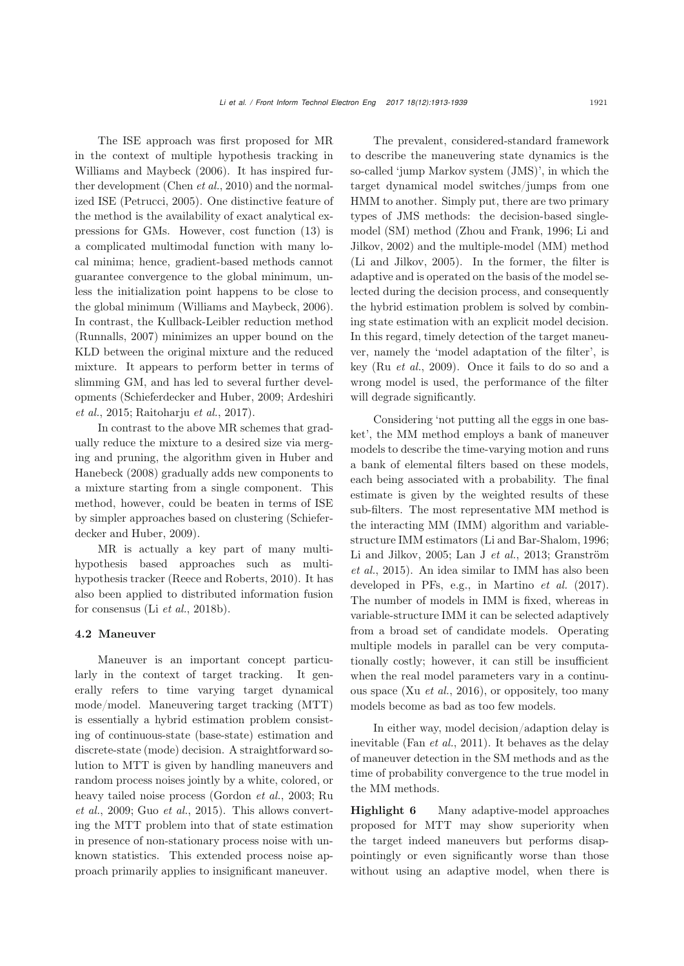The ISE approach was first proposed for MR in the context of multiple hypothesis tracking in [Williams and Maybeck](#page-24-13) [\(2006\)](#page-24-13). It has inspired further development [\(Chen](#page-18-14) *et al.*, [2010](#page-18-14)) and the normalized ISE [\(Petrucci](#page-22-15), [2005\)](#page-22-15). One distinctive feature of the method is the availability of exact analytical expressions for GMs. However, cost function [\(13\)](#page-7-2) is a complicated multimodal function with many local minima; hence, gradient-based methods cannot guarantee convergence to the global minimum, unless the initialization point happens to be close to the global minimum [\(Williams and Maybeck](#page-24-13), [2006\)](#page-24-13). In contrast, the Kullback-Leibler reduction method [\(Runnalls](#page-23-18), [2007](#page-23-18)) minimizes an upper bound on the KLD between the original mixture and the reduced mixture. It appears to perform better in terms of slimming GM, and has led to several further developm[ents](#page-17-6) [\(Schieferdecker and Huber, 2009](#page-23-19)[;](#page-17-6) Ardeshiri *et al.*, [2015;](#page-17-6) [Raitoharju](#page-22-6) *et al.*, [2017\)](#page-22-6).

In contrast to the above MR schemes that gradually reduce the mixture to a desired size via merging and [pruning,](#page-20-15) [the](#page-20-15) [algorithm](#page-20-15) [given](#page-20-15) [in](#page-20-15) Huber and Hanebeck [\(2008](#page-20-15)) gradually adds new components to a mixture starting from a single component. This method, however, could be beaten in terms of ISE by simpler appro[aches](#page-23-19) [based](#page-23-19) [on](#page-23-19) [clustering](#page-23-19) [\(](#page-23-19)Schieferdecker and Huber, [2009\)](#page-23-19).

MR is actually a key part of many multihypothesis based approaches such as multihypothesis tracker [\(Reece and Roberts](#page-22-14), [2010](#page-22-14)). It has also been applied to distributed information fusion for consensus (Li *[et al.](#page-21-15)*, [2018b](#page-21-15)).

## 4.2 Maneuver

Maneuver is an important concept particularly in the context of target tracking. It generally refers to time varying target dynamical mode/model. Maneuvering target tracking (MTT) is essentially a hybrid estimation problem consisting of continuous-state (base-state) estimation and discrete-state (mode) decision. A straightforward solution to MTT is given by handling maneuvers and random process noises jointly by a white, colored, or heav[y](#page-23-20) [tailed](#page-23-20) [noise](#page-23-20) [process](#page-23-20) [\(Gordon](#page-19-18) *et al.*, [2003](#page-19-18); Ru *et al.*, [2009;](#page-23-20) Guo *[et al.](#page-20-16)*, [2015](#page-20-16)). This allows converting the MTT problem into that of state estimation in presence of non-stationary process noise with unknown statistics. This extended process noise approach primarily applies to insignificant maneuver.

The prevalent, considered-standard framework to describe the maneuvering state dynamics is the so-called 'jump Markov system (JMS)', in which the target dynamical model switches/jumps from one HMM to another. Simply put, there are two primary types of JMS methods: the decision-based singlemode[l](#page-21-16) [\(SM\)](#page-21-16) [method](#page-21-16) [\(Zhou and Frank](#page-25-4)[,](#page-21-16) [1996](#page-25-4)[;](#page-21-16) Li and Jilkov, [2002\)](#page-21-16) and the multiple-model (MM) method [\(Li and Jilkov](#page-21-17), [2005](#page-21-17)). In the former, the filter is adaptive and is operated on the basis of the model selected during the decision process, and consequently the hybrid estimation problem is solved by combining state estimation with an explicit model decision. In this regard, timely detection of the target maneuver, namely the 'model adaptation of the filter', is key (Ru *[et al.](#page-23-20)*, [2009\)](#page-23-20). Once it fails to do so and a wrong model is used, the performance of the filter will degrade significantly.

Considering 'not putting all the eggs in one basket', the MM method employs a bank of maneuver models to describe the time-varying motion and runs a bank of elemental filters based on these models, each being associated with a probability. The final estimate is given by the weighted results of these sub-filters. The most representative MM method is the interacting MM (IMM) algorithm and variablestructure IMM estimators [\(Li and Bar-Shalom, 1996;](#page-21-18) [Li and Jilkov](#page-21-17)[,](#page-19-19) [2005;](#page-21-17) [Lan J](#page-21-19) *et al.*, [2013](#page-21-19); Granström *et al.*, [2015](#page-19-19)). An idea similar to IMM has also been developed in PFs, e.g., in [Martino](#page-22-16) *et al.* [\(2017\)](#page-22-16). The number of models in IMM is fixed, whereas in variable-structure IMM it can be selected adaptively from a broad set of candidate models. Operating multiple models in parallel can be very computationally costly; however, it can still be insufficient when the real model parameters vary in a continuous space (Xu *[et al.](#page-24-14)*, [2016](#page-24-14)), or oppositely, too many models become as bad as too few models.

In either way, model decision/adaption delay is inevitable (Fan *[et al.](#page-19-20)*, [2011\)](#page-19-20). It behaves as the delay of maneuver detection in the SM methods and as the time of probability convergence to the true model in the MM methods.

Highlight 6 Many adaptive-model approaches proposed for MTT may show superiority when the target indeed maneuvers but performs disappointingly or even significantly worse than those without using an adaptive model, when there is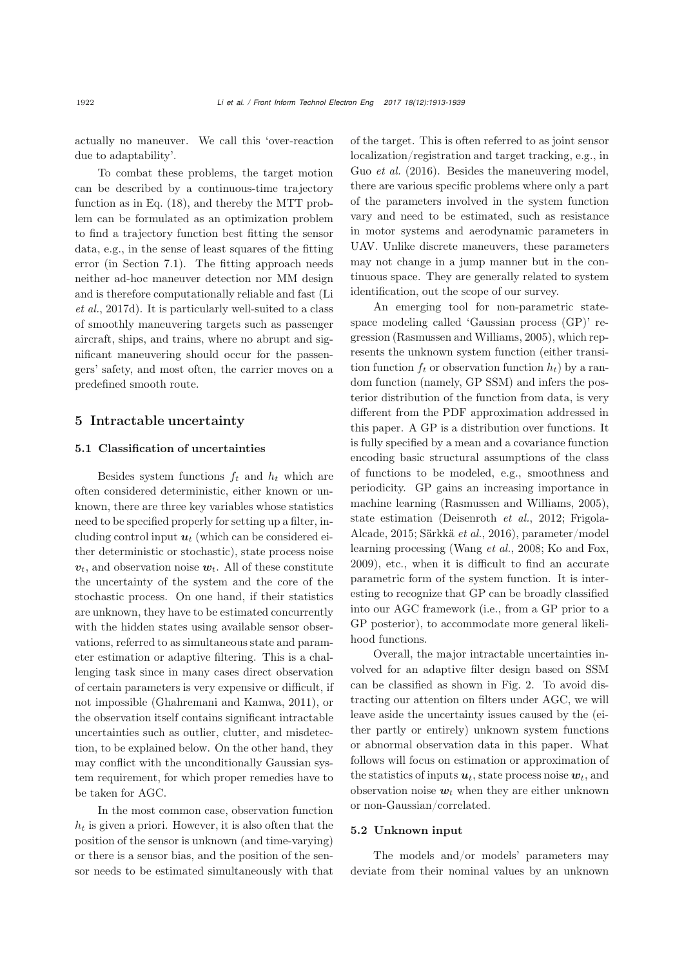actually no maneuver. We call this 'over-reaction due to adaptability'.

To combat these problems, the target motion can be described by a continuous-time trajectory function as in Eq. [\(18\)](#page-15-0), and thereby the MTT problem can be formulated as an optimization problem to find a trajectory function best fitting the sensor data, e.g., in the sense of least squares of the fitting error (in Section [7.1\)](#page-14-1). The fitting approach needs neither ad-hoc maneuver detection nor MM design and i[s](#page-21-20) [therefore](#page-21-20) [computationally](#page-21-20) [reliable](#page-21-20) [and](#page-21-20) [fast](#page-21-20) [\(](#page-21-20)Li *et al.*, [2017d\)](#page-21-20). It is particularly well-suited to a class of smoothly maneuvering targets such as passenger aircraft, ships, and trains, where no abrupt and significant maneuvering should occur for the passengers' safety, and most often, the carrier moves on a predefined smooth route.

# <span id="page-9-0"></span>5 Intractable uncertainty

# 5.1 Classification of uncertainties

Besides system functions  $f_t$  and  $h_t$  which are often considered deterministic, either known or unknown, there are three key variables whose statistics need to be specified properly for setting up a filter, including control input  $u_t$  (which can be considered either deterministic or stochastic), state process noise  $v_t$ , and observation noise  $w_t$ . All of these constitute the uncertainty of the system and the core of the stochastic process. On one hand, if their statistics are unknown, they have to be estimated concurrently with the hidden states using available sensor observations, referred to as simultaneous state and parameter estimation or adaptive filtering. This is a challenging task since in many cases direct observation of certain parameters is very expensive or difficult, if not impossible [\(Ghahremani and Kamwa](#page-19-21), [2011](#page-19-21)), or the observation itself contains significant intractable uncertainties such as outlier, clutter, and misdetection, to be explained below. On the other hand, they may conflict with the unconditionally Gaussian system requirement, for which proper remedies have to be taken for AGC.

In the most common case, observation function  $h_t$  is given a priori. However, it is also often that the position of the sensor is unknown (and time-varying) or there is a sensor bias, and the position of the sensor needs to be estimated simultaneously with that of the target. This is often referred to as joint sensor localization/registration and target tracking, e.g., in Guo *[et al.](#page-20-17)* [\(2016\)](#page-20-17). Besides the maneuvering model, there are various specific problems where only a part of the parameters involved in the system function vary and need to be estimated, such as resistance in motor systems and aerodynamic parameters in UAV. Unlike discrete maneuvers, these parameters may not change in a jump manner but in the continuous space. They are generally related to system identification, out the scope of our survey.

An emerging tool for non-parametric statespace modeling called 'Gaussian process (GP)' regression [\(Rasmussen and Williams, 2005\)](#page-22-17), which represents the unknown system function (either transition function  $f_t$  or observation function  $h_t$ ) by a random function (namely, GP SSM) and infers the posterior distribution of the function from data, is very different from the PDF approximation addressed in this paper. A GP is a distribution over functions. It is fully specified by a mean and a covariance function encoding basic structural assumptions of the class of functions to be modeled, e.g., smoothness and periodicity. GP gains an increasing importance in machine learning [\(Rasmussen and Williams](#page-22-17), [2005\)](#page-22-17), state [estimation](#page-19-22) [\(Deisenroth](#page-18-15) *et al.*, [2012](#page-18-15); Frigola-Alcade, [2015](#page-19-22); [Särkkä](#page-23-6) *et al.*, [2016](#page-23-6)), parameter/model learning processing [\(Wang](#page-24-15) *et al.*, [2008](#page-24-15); [Ko and Fox](#page-20-18), [2009](#page-20-18)), etc., when it is difficult to find an accurate parametric form of the system function. It is interesting to recognize that GP can be broadly classified into our AGC framework (i.e., from a GP prior to a GP posterior), to accommodate more general likelihood functions.

Overall, the major intractable uncertainties involved for an adaptive filter design based on SSM can be classified as shown in Fig. [2.](#page-10-0) To avoid distracting our attention on filters under AGC, we will leave aside the uncertainty issues caused by the (either partly or entirely) unknown system functions or abnormal observation data in this paper. What follows will focus on estimation or approximation of the statistics of inputs  $u_t$ , state process noise  $w_t$ , and observation noise  $w_t$  when they are either unknown or non-Gaussian/correlated.

## 5.2 Unknown input

The models and/or models' parameters may deviate from their nominal values by an unknown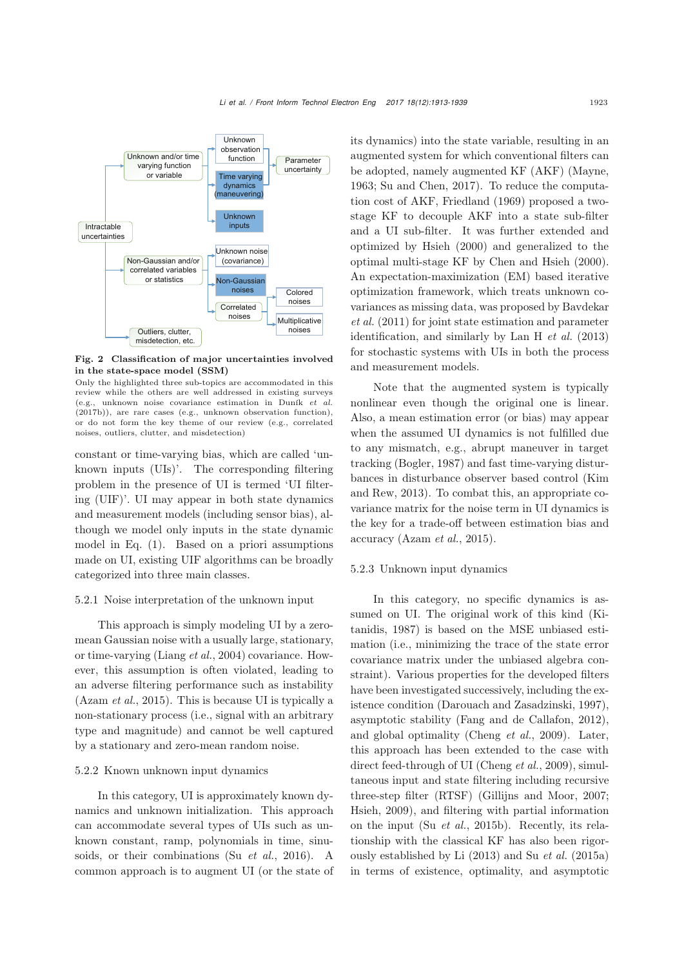

<span id="page-10-0"></span>Fig. 2 Classification of major uncertainties involved in the state-space model (SSM)

Only the highlighted three sub-topics are accommodated in this review while the others are well addressed in existing surveys (e.g., unknown noise covariance estimation in [Duník](#page-19-4) *et al.* [\(2017b\)](#page-19-4)), are rare cases (e.g., unknown observation function), or do not form the key theme of our review (e.g., correlated noises, outliers, clutter, and misdetection)

constant or time-varying bias, which are called 'unknown inputs (UIs)'. The corresponding filtering problem in the presence of UI is termed 'UI filtering (UIF)'. UI may appear in both state dynamics and measurement models (including sensor bias), although we model only inputs in the state dynamic model in Eq. [\(1\)](#page-2-0). Based on a priori assumptions made on UI, existing UIF algorithms can be broadly categorized into three main classes.

#### 5.2.1 Noise interpretation of the unknown input

This approach is simply modeling UI by a zeromean Gaussian noise with a usually large, stationary, or time-varying [\(Liang](#page-21-21) *et al.*, [2004](#page-21-21)) covariance. However, this assumption is often violated, leading to an adverse filtering performance such as instability [\(Azam](#page-18-16) *et al.*, [2015\)](#page-18-16). This is because UI is typically a non-stationary process (i.e., signal with an arbitrary type and magnitude) and cannot be well captured by a stationary and zero-mean random noise.

## 5.2.2 Known unknown input dynamics

In this category, UI is approximately known dynamics and unknown initialization. This approach can accommodate several types of UIs such as unknown constant, ramp, polynomials in time, sinusoids, or their combinations (Su *[et al.](#page-24-16)*, [2016\)](#page-24-16). A common approach is to augment UI (or the state of its dynamics) into the state variable, resulting in an augmented system for which conventional filters can be adopted, namely augmented KF (AKF) [\(Mayne](#page-22-18), [1963](#page-22-18); [Su and Chen, 2017\)](#page-23-21). To reduce the computation cost of AKF, [Friedland](#page-19-23) [\(1969\)](#page-19-23) proposed a twostage KF to decouple AKF into a state sub-filter and a UI sub-filter. It was further extended and optimized by [Hsieh](#page-20-19) [\(2000\)](#page-20-19) and generalized to the optimal multi-stage KF by [Chen and Hsieh](#page-18-17) [\(2000\)](#page-18-17). An expectation-maximization (EM) based iterative optimization framework, which treats unknown covari[ances](#page-18-18) [as](#page-18-18) [missing](#page-18-18) [data,](#page-18-18) [was](#page-18-18) [proposed](#page-18-18) [by](#page-18-18) Bavdekar *et al.* [\(2011\)](#page-18-18) for joint state estimation and parameter identification, and similarly by [Lan H](#page-21-22) *et al.* [\(2013](#page-21-22)) for stochastic systems with UIs in both the process and measurement models.

Note that the augmented system is typically nonlinear even though the original one is linear. Also, a mean estimation error (or bias) may appear when the assumed UI dynamics is not fulfilled due to any mismatch, e.g., abrupt maneuver in target tracking [\(Bogler](#page-18-19), [1987\)](#page-18-19) and fast time-varying disturbances i[n](#page-20-20) [disturbance](#page-20-20) [observer](#page-20-20) [based](#page-20-20) [control](#page-20-20) [\(](#page-20-20)Kim and Rew, [2013](#page-20-20)). To combat this, an appropriate covariance matrix for the noise term in UI dynamics is the key for a trade-off between estimation bias and accuracy [\(Azam](#page-18-16) *et al.*, [2015\)](#page-18-16).

# 5.2.3 Unknown input dynamics

In this category, no specific dynamics is assumed [on](#page-20-21) [UI.](#page-20-21) [The](#page-20-21) [original](#page-20-21) [work](#page-20-21) [of](#page-20-21) [this](#page-20-21) [kind](#page-20-21) [\(](#page-20-21)Kitanidis, [1987\)](#page-20-21) is based on the MSE unbiased estimation (i.e., minimizing the trace of the state error covariance matrix under the unbiased algebra constraint). Various properties for the developed filters have been investigated successively, including the existence condition [\(Darouach and Zasadzinski](#page-18-20), [1997\)](#page-18-20), asymptotic stability [\(Fang and de Callafon, 2012\)](#page-19-24), and global optimality [\(Cheng](#page-18-21) *et al.*, [2009\)](#page-18-21). Later, this approach has been extended to the case with direct feed-through of UI [\(Cheng](#page-18-21) *et al.*, [2009\)](#page-18-21), simultaneous input and state filtering including recursive three-step filter (RTSF) [\(Gillijns and Moor](#page-19-25), [2007;](#page-19-25) [Hsieh](#page-20-22), [2009\)](#page-20-22), and filtering with partial information on the input (Su *[et al.](#page-24-17)*, [2015b\)](#page-24-17). Recently, its relationship with the classical KF has also been rigorously established by [Li](#page-21-23) [\(2013\)](#page-21-23) and Su *[et al.](#page-23-22)* [\(2015a](#page-23-22)) in terms of existence, optimality, and asymptotic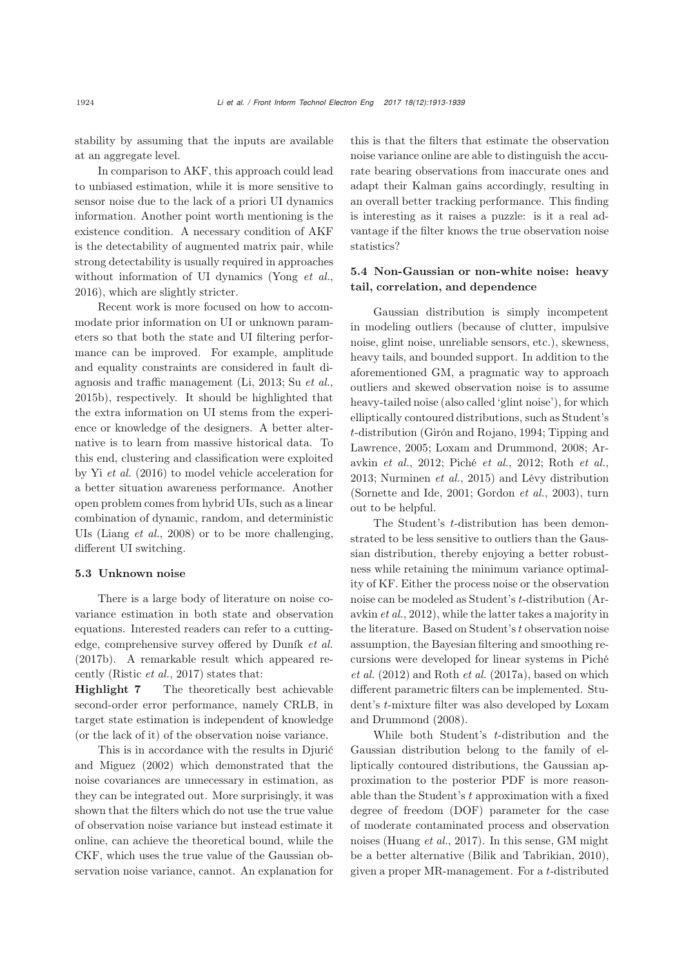stability by assuming that the inputs are available at an aggregate level.

In comparison to AKF, this approach could lead to unbiased estimation, while it is more sensitive to sensor noise due to the lack of a priori UI dynamics information. Another point worth mentioning is the existence condition. A necessary condition of AKF is the detectability of augmented matrix pair, while strong detectability is usually required in approaches without information of UI dynamics [\(Yong](#page-24-18) *et al.*, [2016](#page-24-18)), which are slightly stricter.

Recent work is more focused on how to accommodate prior information on UI or unknown parameters so that both the state and UI filtering performance can be improved. For example, amplitude and equality constraints are considered in fault diagnosis and traffic management [\(Li](#page-21-23), [2013](#page-21-23); Su *[et al.](#page-24-17)*, [2015b\)](#page-24-17), respectively. It should be highlighted that the extra information on UI stems from the experience or knowledge of the designers. A better alternative is to learn from massive historical data. To this end, clustering and classification were exploited by Yi *[et al.](#page-24-19)* [\(2016\)](#page-24-19) to model vehicle acceleration for a better situation awareness performance. Another open problem comes from hybrid UIs, such as a linear combination of dynamic, random, and deterministic UIs [\(Liang](#page-21-24) *et al.*, [2008\)](#page-21-24) or to be more challenging, different UI switching.

## 5.3 Unknown noise

There is a large body of literature on noise covariance estimation in both state and observation equations. Interested readers can refer to a cuttingedge, comprehensive survey offered by [Duník](#page-19-4) *et al.* [\(2017b\)](#page-19-4). A remarkable result which appeared recently [\(Ristic](#page-22-19) *et al.*, [2017\)](#page-22-19) states that:

Highlight 7 The theoretically best achievable second-order error performance, namely CRLB, in target state estimation is independent of knowledge (or the lack of it) of the observation noise variance.

This is [in](#page-18-22) [accordance](#page-18-22) [with](#page-18-22) [the](#page-18-22) [results](#page-18-22) [in](#page-18-22) Djurić and Miguez [\(2002\)](#page-18-22) which demonstrated that the noise covariances are unnecessary in estimation, as they can be integrated out. More surprisingly, it was shown that the filters which do not use the true value of observation noise variance but instead estimate it online, can achieve the theoretical bound, while the CKF, which uses the true value of the Gaussian observation noise variance, cannot. An explanation for this is that the filters that estimate the observation noise variance online are able to distinguish the accurate bearing observations from inaccurate ones and adapt their Kalman gains accordingly, resulting in an overall better tracking performance. This finding is interesting as it raises a puzzle: is it a real advantage if the filter knows the true observation noise statistics?

# 5.4 Non-Gaussian or non-white noise: heavy tail, correlation, and dependence

Gaussian distribution is simply incompetent in modeling outliers (because of clutter, impulsive noise, glint noise, unreliable sensors, etc.), skewness, heavy tails, and bounded support. In addition to the aforementioned GM, a pragmatic way to approach outliers and skewed observation noise is to assume heavy-tailed noise (also called 'glint noise'), for which elliptically contoured distributions, such as Student's t-distribu[tion](#page-24-20) [\(Girón and Rojano](#page-19-26)[,](#page-24-20) [1994](#page-19-26)[;](#page-24-20) Tipping and Lawrence, [2005](#page-24-20)[;](#page-17-7) [Loxam and Drummond](#page-22-20)[,](#page-17-7) [2008](#page-22-20)[;](#page-17-7) Aravkin *et al.*, [2012](#page-17-7); [Piché](#page-22-21) *et al.*, [2012;](#page-22-21) [Roth](#page-23-23) *et al.*, [2013](#page-23-23); [Nurminen](#page-22-22) *et al.*, [2015](#page-22-22)) and Lévy distribution [\(Sornette and Ide, 2001](#page-23-24); [Gordon](#page-19-18) *et al.*, [2003\)](#page-19-18), turn out to be helpful.

The Student's t-distribution has been demonstrated to be less sensitive to outliers than the Gaussian distribution, thereby enjoying a better robustness while retaining the minimum variance optimality of KF. Either the process noise or the observation noise can [be](#page-17-7) [modeled](#page-17-7) [as](#page-17-7) [Student's](#page-17-7) t-distribution (Aravkin *et al.*, [2012](#page-17-7)), while the latter takes a majority in the literature. Based on Student's t observation noise assumption, the Bayesian filtering and smoothing recursi[ons](#page-22-21) [were](#page-22-21) [developed](#page-22-21) [for](#page-22-21) [linear](#page-22-21) [systems](#page-22-21) [in](#page-22-21) Piché *et al.* [\(2012](#page-22-21)) and [Roth](#page-23-25) *et al.* [\(2017a\)](#page-23-25), based on which different parametric filters can be implemented. Student's t-mixture filter was also developed by Loxam and Drummond [\(2008\)](#page-22-20).

While both Student's t-distribution and the Gaussian distribution belong to the family of elliptically contoured distributions, the Gaussian approximation to the posterior PDF is more reasonable than the Student's  $t$  approximation with a fixed degree of freedom (DOF) parameter for the case of moderate contaminated process and observation noises [\(Huang](#page-20-23) *et al.*, [2017\)](#page-20-23). In this sense, GM might be a better alternative [\(Bilik and Tabrikian](#page-18-23), [2010\)](#page-18-23), given a proper MR-management. For a t-distributed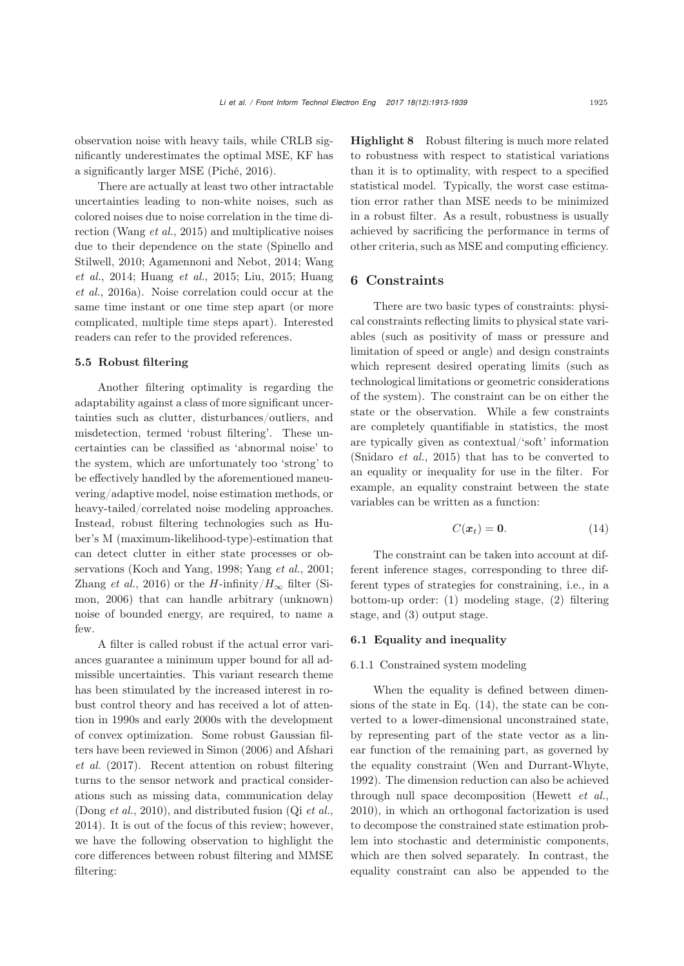observation noise with heavy tails, while CRLB significantly underestimates the optimal MSE, KF has a significantly larger MSE [\(Piché](#page-22-23), [2016](#page-22-23)).

There are actually at least two other intractable uncertainties leading to non-white noises, such as colored noises due to noise correlation in the time direction [\(Wang](#page-24-21) *et al.*, [2015\)](#page-24-21) and multiplicative noises due to [their](#page-23-26) [dependence](#page-23-26) [on](#page-23-26) [the](#page-23-26) [state](#page-23-26) [\(](#page-23-26)Spinello and Stilw[ell,](#page-24-22) [2010](#page-23-26)[;](#page-24-22) [Agamennoni and Nebot](#page-17-8)[,](#page-24-22) [2014](#page-17-8)[;](#page-24-22) Wang *et al.*, [2014;](#page-24-22) [Huang](#page-20-24) *et al.*[,](#page-20-25) [2015](#page-20-24)[;](#page-20-25) [Liu](#page-21-25)[,](#page-20-25) [2015](#page-21-25)[;](#page-20-25) Huang *et al.*, [2016a](#page-20-25)). Noise correlation could occur at the same time instant or one time step apart (or more complicated, multiple time steps apart). Interested readers can refer to the provided references.

#### <span id="page-12-0"></span>5.5 Robust filtering

Another filtering optimality is regarding the adaptability against a class of more significant uncertainties such as clutter, disturbances/outliers, and misdetection, termed 'robust filtering'. These uncertainties can be classified as 'abnormal noise' to the system, which are unfortunately too 'strong' to be effectively handled by the aforementioned maneuvering/adaptive model, noise estimation methods, or heavy-tailed/correlated noise modeling approaches. Instead, robust filtering technologies such as Huber's M (maximum-likelihood-type)-estimation that can detect clutter in either state processes or observations [\(Koch and Yang](#page-20-26), [1998;](#page-20-26) [Yang](#page-24-23) *et al.*, [2001;](#page-24-23) [Zhang](#page-25-5) *et al.*[,](#page-23-27) [2016](#page-25-5)[\)](#page-23-27) [or](#page-23-27) [the](#page-23-27) H-infinity/ $H_{\infty}$  filter (Simon, [2006](#page-23-27)) that can handle arbitrary (unknown) noise of bounded energy, are required, to name a few.

A filter is called robust if the actual error variances guarantee a minimum upper bound for all admissible uncertainties. This variant research theme has been stimulated by the increased interest in robust control theory and has received a lot of attention in 1990s and early 2000s with the development of convex optimization. Some robust Gaussian filters [have](#page-17-1) [been](#page-17-1) [reviewed](#page-17-1) [in](#page-17-1) [Simon](#page-23-27) [\(2006](#page-23-27)[\)](#page-17-1) [and](#page-17-1) Afshari *et al.* [\(2017\)](#page-17-1). Recent attention on robust filtering turns to the sensor network and practical considerations such as missing data, communication delay [\(Dong](#page-18-24) *et al.*, [2010\)](#page-18-24), and distributed fusion (Qi *[et al.](#page-22-24)*, [2014](#page-22-24)). It is out of the focus of this review; however, we have the following observation to highlight the core differences between robust filtering and MMSE filtering:

Highlight 8 Robust filtering is much more related to robustness with respect to statistical variations than it is to optimality, with respect to a specified statistical model. Typically, the worst case estimation error rather than MSE needs to be minimized in a robust filter. As a result, robustness is usually achieved by sacrificing the performance in terms of other criteria, such as MSE and computing efficiency.

# <span id="page-12-1"></span>6 Constraints

There are two basic types of constraints: physical constraints reflecting limits to physical state variables (such as positivity of mass or pressure and limitation of speed or angle) and design constraints which represent desired operating limits (such as technological limitations or geometric considerations of the system). The constraint can be on either the state or the observation. While a few constraints are completely quantifiable in statistics, the most are typically given as contextual/'soft' information [\(Snidaro](#page-23-28) *et al.*, [2015](#page-23-28)) that has to be converted to an equality or inequality for use in the filter. For example, an equality constraint between the state variables can be written as a function:

<span id="page-12-2"></span>
$$
C(\boldsymbol{x}_t) = \mathbf{0}.\tag{14}
$$

The constraint can be taken into account at different inference stages, corresponding to three different types of strategies for constraining, i.e., in a bottom-up order: (1) modeling stage, (2) filtering stage, and (3) output stage.

#### 6.1 Equality and inequality

## 6.1.1 Constrained system modeling

When the equality is defined between dimensions of the state in Eq. [\(14\)](#page-12-2), the state can be converted to a lower-dimensional unconstrained state, by representing part of the state vector as a linear function of the remaining part, as governed by the equality constraint [\(Wen and Durrant-Whyte](#page-24-24), [1992](#page-24-24)). The dimension reduction can also be achieved through null space decomposition [\(Hewett](#page-20-27) *et al.*, [2010](#page-20-27)), in which an orthogonal factorization is used to decompose the constrained state estimation problem into stochastic and deterministic components, which are then solved separately. In contrast, the equality constraint can also be appended to the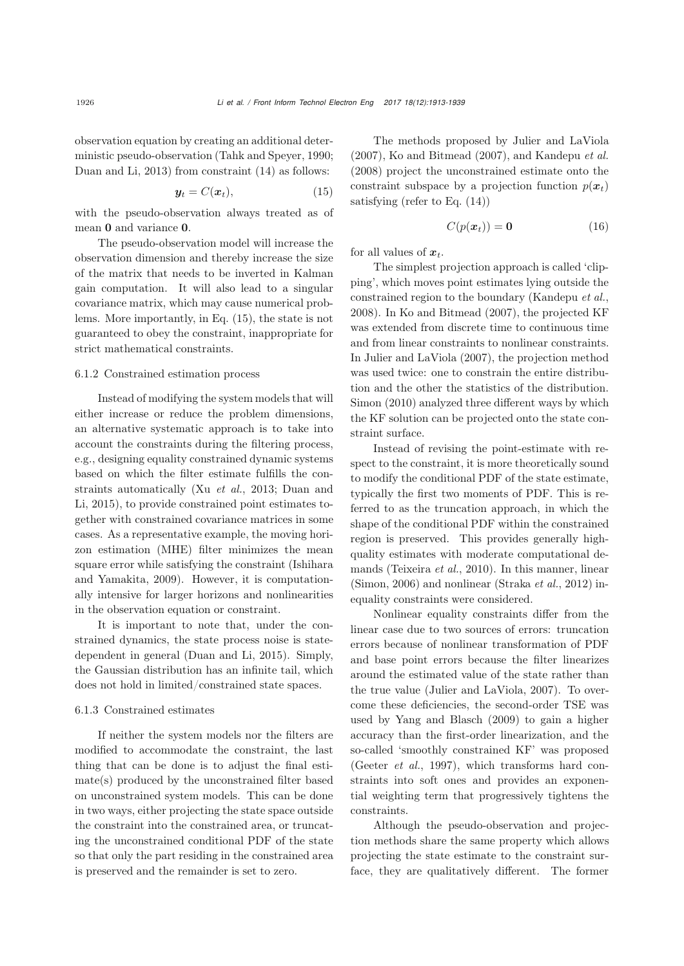observation equation by creating an additional deterministic pseudo-observation [\(Tahk and Speyer, 1990;](#page-24-25) [Duan and Li, 2013\)](#page-18-25) from constraint [\(14\)](#page-12-2) as follows:

<span id="page-13-0"></span>
$$
\mathbf{y}_t = C(\mathbf{x}_t),\tag{15}
$$

with the pseudo-observation always treated as of mean **0** and variance **0**.

The pseudo-observation model will increase the observation dimension and thereby increase the size of the matrix that needs to be inverted in Kalman gain computation. It will also lead to a singular covariance matrix, which may cause numerical problems. More importantly, in Eq. [\(15\)](#page-13-0), the state is not guaranteed to obey the constraint, inappropriate for strict mathematical constraints.

## 6.1.2 Constrained estimation process

Instead of modifying the system models that will either increase or reduce the problem dimensions, an alternative systematic approach is to take into account the constraints during the filtering process, e.g., designing equality constrained dynamic systems based on which the filter estimate fulfills the const[raints](#page-19-27) [automatically](#page-19-27) [\(Xu](#page-19-27) *[et al.](#page-24-26)*, [2013;](#page-24-26) Duan and Li, [2015](#page-19-27)), to provide constrained point estimates together with constrained covariance matrices in some cases. As a representative example, the moving horizon estimation (MHE) filter minimizes the mean square error w[hile](#page-20-14) [satisfying](#page-20-14) [the](#page-20-14) [constraint](#page-20-14) [\(](#page-20-14)Ishihara and Yamakita, [2009\)](#page-20-14). However, it is computationally intensive for larger horizons and nonlinearities in the observation equation or constraint.

It is important to note that, under the constrained dynamics, the state process noise is statedependent in general [\(Duan and Li](#page-19-27), [2015\)](#page-19-27). Simply, the Gaussian distribution has an infinite tail, which does not hold in limited/constrained state spaces.

## 6.1.3 Constrained estimates

If neither the system models nor the filters are modified to accommodate the constraint, the last thing that can be done is to adjust the final estimate(s) produced by the unconstrained filter based on unconstrained system models. This can be done in two ways, either projecting the state space outside the constraint into the constrained area, or truncating the unconstrained conditional PDF of the state so that only the part residing in the constrained area is preserved and the remainder is set to zero.

The methods proposed by [Julier and LaViola](#page-20-28) [\(2007](#page-20-28)), [Ko and Bitmead](#page-20-29) [\(2007](#page-20-29)), and [Kandepu](#page-20-30) *et al.* [\(2008](#page-20-30)) project the unconstrained estimate onto the constraint subspace by a projection function  $p(x_t)$ satisfying (refer to Eq. [\(14\)](#page-12-2))

<span id="page-13-1"></span>
$$
C(p(\boldsymbol{x}_t)) = \mathbf{0} \tag{16}
$$

for all values of  $x_t$ .

The simplest projection approach is called 'clipping', which moves point estimates lying outside the constrained region to the boundary [\(Kandepu](#page-20-30) *et al.*, [2008](#page-20-30)). In [Ko and Bitmead](#page-20-29) [\(2007\)](#page-20-29), the projected KF was extended from discrete time to continuous time and from linear constraints to nonlinear constraints. In [Julier and LaViola](#page-20-28) [\(2007](#page-20-28)), the projection method was used twice: one to constrain the entire distribution and the other the statistics of the distribution. [Simon](#page-23-29) [\(2010\)](#page-23-29) analyzed three different ways by which the KF solution can be projected onto the state constraint surface.

Instead of revising the point-estimate with respect to the constraint, it is more theoretically sound to modify the conditional PDF of the state estimate, typically the first two moments of PDF. This is referred to as the truncation approach, in which the shape of the conditional PDF within the constrained region is preserved. This provides generally highquality estimates with moderate computational demands [\(Teixeira](#page-24-27) *et al.*, [2010\)](#page-24-27). In this manner, linear [\(Simon](#page-23-27), [2006\)](#page-23-27) and nonlinear [\(Straka](#page-23-16) *et al.*, [2012](#page-23-16)) inequality constraints were considered.

Nonlinear equality constraints differ from the linear case due to two sources of errors: truncation errors because of nonlinear transformation of PDF and base point errors because the filter linearizes around the estimated value of the state rather than the true value [\(Julier and LaViola, 2007\)](#page-20-28). To overcome these deficiencies, the second-order TSE was used by [Yang and Blasch](#page-24-28) [\(2009\)](#page-24-28) to gain a higher accuracy than the first-order linearization, and the so-called 'smoothly constrained KF' was proposed [\(Geeter](#page-19-28) *et al.*, [1997\)](#page-19-28), which transforms hard constraints into soft ones and provides an exponential weighting term that progressively tightens the constraints.

Although the pseudo-observation and projection methods share the same property which allows projecting the state estimate to the constraint surface, they are qualitatively different. The former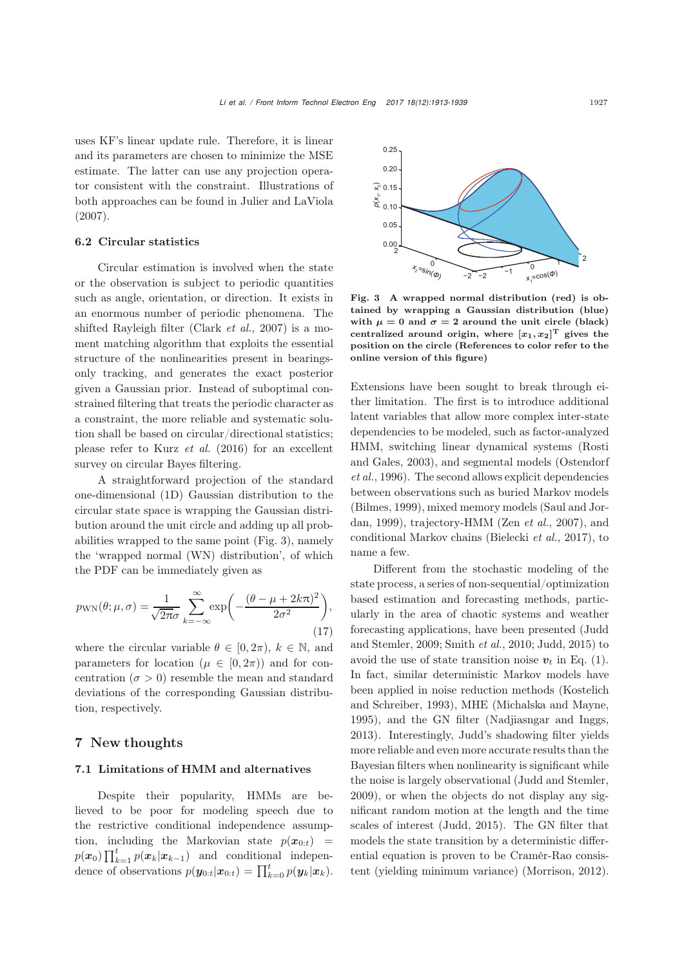uses KF's linear update rule. Therefore, it is linear and its parameters are chosen to minimize the MSE estimate. The latter can use any projection operator consistent with the constraint. Illustrations of both approaches can be found in [Julier and LaViola](#page-20-28) [\(2007](#page-20-28)).

## 6.2 Circular statistics

Circular estimation is involved when the state or the observation is subject to periodic quantities such as angle, orientation, or direction. It exists in an enormous number of periodic phenomena. The shifted Rayleigh filter [\(Clark](#page-18-26) *et al.*, [2007](#page-18-26)) is a moment matching algorithm that exploits the essential structure of the nonlinearities present in bearingsonly tracking, and generates the exact posterior given a Gaussian prior. Instead of suboptimal constrained filtering that treats the periodic character as a constraint, the more reliable and systematic solution shall be based on circular/directional statistics; please refer to [Kurz](#page-21-2) *et al.* [\(2016](#page-21-2)) for an excellent survey on circular Bayes filtering.

A straightforward projection of the standard one-dimensional (1D) Gaussian distribution to the circular state space is wrapping the Gaussian distribution around the unit circle and adding up all probabilities wrapped to the same point (Fig. [3\)](#page-14-2), namely the 'wrapped normal (WN) distribution', of which the PDF can be immediately given as

$$
p_{\rm WN}(\theta; \mu, \sigma) = \frac{1}{\sqrt{2\pi}\sigma} \sum_{k=-\infty}^{\infty} \exp\left(-\frac{(\theta - \mu + 2k\pi)^2}{2\sigma^2}\right),\tag{17}
$$

where the circular variable  $\theta \in [0, 2\pi)$ ,  $k \in \mathbb{N}$ , and parameters for location ( $\mu \in [0, 2\pi)$ ) and for concentration ( $\sigma > 0$ ) resemble the mean and standard deviations of the corresponding Gaussian distribution, respectively.

## <span id="page-14-0"></span>7 New thoughts

## <span id="page-14-1"></span>7.1 Limitations of HMM and alternatives

Despite their popularity, HMMs are believed to be poor for modeling speech due to the restrictive conditional independence assumption, including the Markovian state  $p(x_{0:t})$  =  $p(\boldsymbol{x}_0) \prod_{k=1}^t p(\boldsymbol{x}_k | \boldsymbol{x}_{k-1})$  and conditional independence of observations  $p(\mathbf{y}_{0:t}|\mathbf{x}_{0:t}) = \prod_{k=0}^{t} p(\mathbf{y}_k|\mathbf{x}_k).$ 



<span id="page-14-2"></span>Fig. 3 A wrapped normal distribution (red) is obtained by wrapping a Gaussian distribution (blue) with  $\mu = 0$  and  $\sigma = 2$  around the unit circle (black) centralized around origin, where  $[x_1, x_2]^T$  gives the position on the circle (References to color refer to the online version of this figure)

Extensions have been sought to break through either limitation. The first is to introduce additional latent variables that allow more complex inter-state dependencies to be modeled, such as factor-analyzed HMM, s[witching](#page-22-25) [linear](#page-22-25) [dynamical](#page-22-25) [systems](#page-22-25) [\(](#page-22-25)Rosti and [Gales,](#page-22-26) [2003\)](#page-22-25)[,](#page-22-26) [and](#page-22-26) [segmental](#page-22-26) [models](#page-22-26) [\(](#page-22-26)Ostendorf *et al.*, [1996\)](#page-22-26). The second allows explicit dependencies between observations such as buried Markov models [\(Bilmes](#page-18-27)[,](#page-23-30) [1999](#page-18-27)[\),](#page-23-30) [mixed](#page-23-30) [memory](#page-23-30) [models](#page-23-30) [\(](#page-23-30)Saul and Jordan, [1999](#page-23-30)), trajectory-HMM (Zen *[et al.](#page-24-29)*, [2007](#page-24-29)), and conditional Markov chains [\(Bielecki](#page-18-28) *et al.*, [2017\)](#page-18-28), to name a few.

Different from the stochastic modeling of the state process, a series of non-sequential/optimization based estimation and forecasting methods, particularly in the area of chaotic systems and weather forecasting [applications,](#page-20-31) [have](#page-20-31) [been](#page-20-31) [presented](#page-20-31) [\(](#page-20-31)Judd and Stemler, [2009](#page-20-31); [Smith](#page-23-31) *et al.*, [2010;](#page-23-31) [Judd, 2015](#page-20-32)) to avoid the use of state transition noise  $v_t$  in Eq. (1). In fact, similar deterministic Markov models have been applied [in](#page-20-33) [noise](#page-20-33) [reduction](#page-20-33) [methods](#page-20-33) [\(](#page-20-33)Kostelich and Schreiber, [1993\)](#page-20-33), MHE [\(Michalska and Mayne](#page-22-27), [1995](#page-22-27)), and the GN filter [\(Nadjiasngar and Inggs](#page-22-28), [2013](#page-22-28)). Interestingly, Judd's shadowing filter yields more reliable and even more accurate results than the Bayesian filters when nonlinearity is significant while the noise is largely observational [\(Judd and Stemler](#page-20-31), [2009](#page-20-31)), or when the objects do not display any significant random motion at the length and the time scales of interest [\(Judd](#page-20-32), [2015](#page-20-32)). The GN filter that models the state transition by a deterministic differential equation is proven to be Cramér-Rao consistent (yielding minimum variance) [\(Morrison, 2012\)](#page-22-29).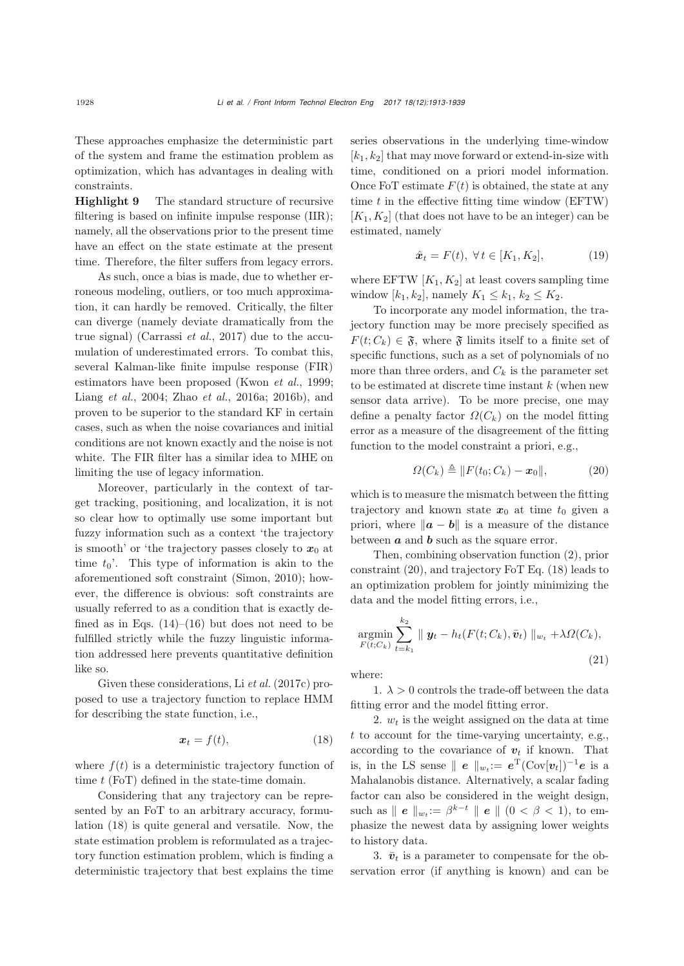These approaches emphasize the deterministic part of the system and frame the estimation problem as optimization, which has advantages in dealing with constraints.

Highlight 9 The standard structure of recursive filtering is based on infinite impulse response (IIR); namely, all the observations prior to the present time have an effect on the state estimate at the present time. Therefore, the filter suffers from legacy errors.

As such, once a bias is made, due to whether erroneous modeling, outliers, or too much approximation, it can hardly be removed. Critically, the filter can diverge (namely deviate dramatically from the true signal) [\(Carrassi](#page-18-29) *et al.*, [2017](#page-18-29)) due to the accumulation of underestimated errors. To combat this, several Kalman-like finite impulse response (FIR) estimators have been proposed [\(Kwon](#page-21-26) *et al.*, [1999;](#page-21-26) [Liang](#page-21-21) *et al.*, [2004](#page-21-21); [Zhao](#page-25-6) *et al.*, [2016a;](#page-25-7) [2016b](#page-25-6)), and proven to be superior to the standard KF in certain cases, such as when the noise covariances and initial conditions are not known exactly and the noise is not white. The FIR filter has a similar idea to MHE on limiting the use of legacy information.

Moreover, particularly in the context of target tracking, positioning, and localization, it is not so clear how to optimally use some important but fuzzy information such as a context 'the trajectory is smooth' or 'the trajectory passes closely to  $x_0$  at time  $t_0$ . This type of information is akin to the aforementioned soft constraint [\(Simon, 2010](#page-23-29)); however, the difference is obvious: soft constraints are usually referred to as a condition that is exactly defined as in Eqs.  $(14)$ – $(16)$  but does not need to be fulfilled strictly while the fuzzy linguistic information addressed here prevents quantitative definition like so.

Given these considerations, Li *[et al.](#page-21-27)* [\(2017c\)](#page-21-27) proposed to use a trajectory function to replace HMM for describing the state function, i.e.,

<span id="page-15-0"></span>
$$
\boldsymbol{x}_t = f(t),\tag{18}
$$

where  $f(t)$  is a deterministic trajectory function of time  $t$  (FoT) defined in the state-time domain.

Considering that any trajectory can be represented by an FoT to an arbitrary accuracy, formulation [\(18\)](#page-15-0) is quite general and versatile. Now, the state estimation problem is reformulated as a trajectory function estimation problem, which is finding a deterministic trajectory that best explains the time

series observations in the underlying time-window  $[k_1, k_2]$  that may move forward or extend-in-size with time, conditioned on a priori model information. Once FoT estimate  $F(t)$  is obtained, the state at any time  $t$  in the effective fitting time window (EFTW)  $[K_1, K_2]$  (that does not have to be an integer) can be estimated, namely

$$
\hat{\boldsymbol{x}}_t = F(t), \ \forall \, t \in [K_1, K_2], \tag{19}
$$

where EFTW  $[K_1, K_2]$  at least covers sampling time window  $[k_1, k_2]$ , namely  $K_1 \leq k_1, k_2 \leq K_2$ .

To incorporate any model information, the trajectory function may be more precisely specified as  $F(t; C_k) \in \mathfrak{F}$ , where  $\mathfrak{F}$  limits itself to a finite set of specific functions, such as a set of polynomials of no more than three orders, and  $C_k$  is the parameter set to be estimated at discrete time instant  $k$  (when new sensor data arrive). To be more precise, one may define a penalty factor  $\Omega(C_k)$  on the model fitting error as a measure of the disagreement of the fitting function to the model constraint a priori, e.g.,

<span id="page-15-1"></span>
$$
\Omega(C_k) \triangleq ||F(t_0; C_k) - \boldsymbol{x}_0||, \tag{20}
$$

which is to measure the mismatch between the fitting trajectory and known state  $x_0$  at time  $t_0$  given a priori, where  $\|\boldsymbol{a} - \boldsymbol{b}\|$  is a measure of the distance between *a* and *b* such as the square error.

Then, combining observation function [\(2\)](#page-2-1), prior constraint [\(20\)](#page-15-1), and trajectory FoT Eq. [\(18\)](#page-15-0) leads to an optimization problem for jointly minimizing the data and the model fitting errors, i.e.,

<span id="page-15-2"></span>
$$
\underset{F(t;C_k)}{\operatorname{argmin}} \sum_{t=k_1}^{k_2} \parallel \boldsymbol{y}_t - h_t(F(t;C_k), \bar{\boldsymbol{v}}_t) \parallel_{w_t} + \lambda \Omega(C_k),
$$
\n(21)

where:

1.  $\lambda > 0$  controls the trade-off between the data fitting error and the model fitting error.

2.  $w_t$  is the weight assigned on the data at time  $t$  to account for the time-varying uncertainty, e.g., according to the covariance of  $v_t$  if known. That is, in the LS sense  $\parallel e \parallel_{w_t} := e^{\mathrm{T}}(\text{Cov}[v_t])^{-1}e$  is a Mahalanobis distance. Alternatively, a scalar fading factor can also be considered in the weight design, such as  $\|e\|_{w_t} := \beta^{k-t} \|e\|$  (0 <  $\beta$  < 1), to emphasize the newest data by assigning lower weights to history data.

3.  $\bar{v}_t$  is a parameter to compensate for the observation error (if anything is known) and can be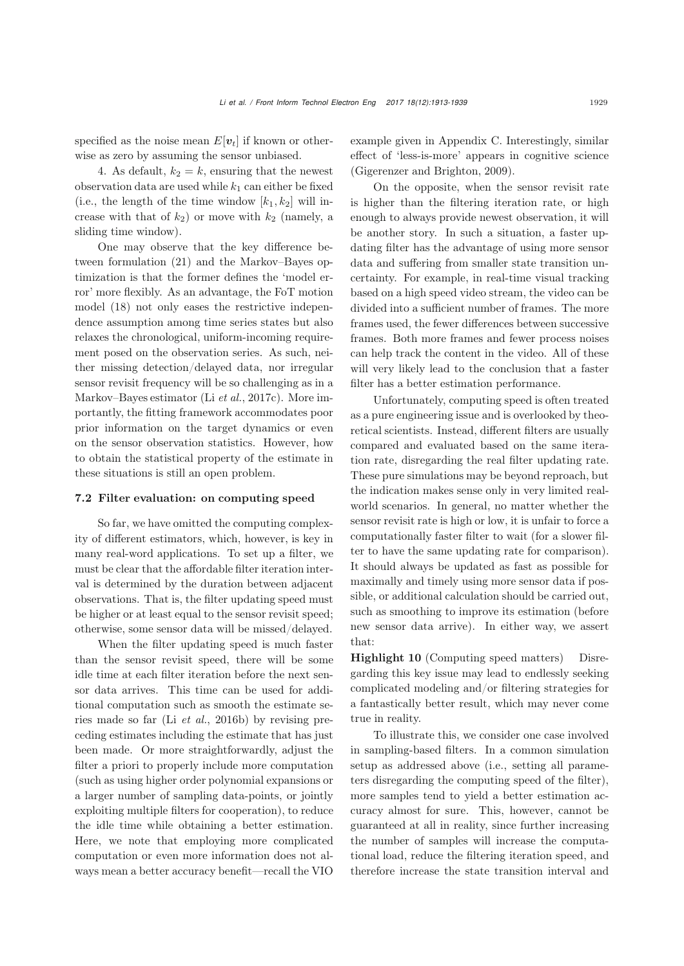specified as the noise mean  $E[\mathbf{v}_t]$  if known or otherwise as zero by assuming the sensor unbiased.

4. As default,  $k_2 = k$ , ensuring that the newest observation data are used while  $k_1$  can either be fixed (i.e., the length of the time window  $[k_1, k_2]$  will increase with that of  $k_2$ ) or move with  $k_2$  (namely, a sliding time window).

One may observe that the key difference between formulation [\(21\)](#page-15-2) and the Markov–Bayes optimization is that the former defines the 'model error' more flexibly. As an advantage, the FoT motion model [\(18\)](#page-15-0) not only eases the restrictive independence assumption among time series states but also relaxes the chronological, uniform-incoming requirement posed on the observation series. As such, neither missing detection/delayed data, nor irregular sensor revisit frequency will be so challenging as in a Markov–Bayes estimator (Li *[et al.](#page-21-27)*, [2017c](#page-21-27)). More importantly, the fitting framework accommodates poor prior information on the target dynamics or even on the sensor observation statistics. However, how to obtain the statistical property of the estimate in these situations is still an open problem.

## <span id="page-16-0"></span>7.2 Filter evaluation: on computing speed

So far, we have omitted the computing complexity of different estimators, which, however, is key in many real-word applications. To set up a filter, we must be clear that the affordable filter iteration interval is determined by the duration between adjacent observations. That is, the filter updating speed must be higher or at least equal to the sensor revisit speed; otherwise, some sensor data will be missed/delayed.

When the filter updating speed is much faster than the sensor revisit speed, there will be some idle time at each filter iteration before the next sensor data arrives. This time can be used for additional computation such as smooth the estimate series made so far (Li *[et al.](#page-21-28)*, [2016b\)](#page-21-28) by revising preceding estimates including the estimate that has just been made. Or more straightforwardly, adjust the filter a priori to properly include more computation (such as using higher order polynomial expansions or a larger number of sampling data-points, or jointly exploiting multiple filters for cooperation), to reduce the idle time while obtaining a better estimation. Here, we note that employing more complicated computation or even more information does not always mean a better accuracy benefit—recall the VIO

example given in Appendix C. Interestingly, similar effect of 'less-is-more' appears in cognitive science [\(Gigerenzer and Brighton](#page-19-29), [2009\)](#page-19-29).

On the opposite, when the sensor revisit rate is higher than the filtering iteration rate, or high enough to always provide newest observation, it will be another story. In such a situation, a faster updating filter has the advantage of using more sensor data and suffering from smaller state transition uncertainty. For example, in real-time visual tracking based on a high speed video stream, the video can be divided into a sufficient number of frames. The more frames used, the fewer differences between successive frames. Both more frames and fewer process noises can help track the content in the video. All of these will very likely lead to the conclusion that a faster filter has a better estimation performance.

Unfortunately, computing speed is often treated as a pure engineering issue and is overlooked by theoretical scientists. Instead, different filters are usually compared and evaluated based on the same iteration rate, disregarding the real filter updating rate. These pure simulations may be beyond reproach, but the indication makes sense only in very limited realworld scenarios. In general, no matter whether the sensor revisit rate is high or low, it is unfair to force a computationally faster filter to wait (for a slower filter to have the same updating rate for comparison). It should always be updated as fast as possible for maximally and timely using more sensor data if possible, or additional calculation should be carried out, such as smoothing to improve its estimation (before new sensor data arrive). In either way, we assert that:

Highlight 10 (Computing speed matters) Disregarding this key issue may lead to endlessly seeking complicated modeling and/or filtering strategies for a fantastically better result, which may never come true in reality.

To illustrate this, we consider one case involved in sampling-based filters. In a common simulation setup as addressed above (i.e., setting all parameters disregarding the computing speed of the filter), more samples tend to yield a better estimation accuracy almost for sure. This, however, cannot be guaranteed at all in reality, since further increasing the number of samples will increase the computational load, reduce the filtering iteration speed, and therefore increase the state transition interval and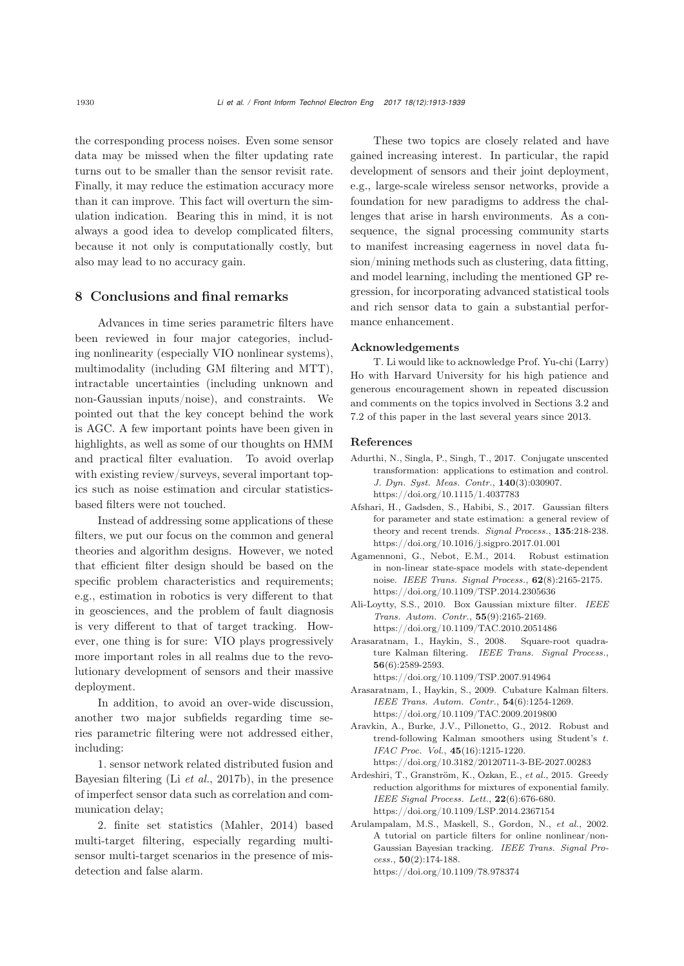the corresponding process noises. Even some sensor data may be missed when the filter updating rate turns out to be smaller than the sensor revisit rate. Finally, it may reduce the estimation accuracy more than it can improve. This fact will overturn the simulation indication. Bearing this in mind, it is not always a good idea to develop complicated filters, because it not only is computationally costly, but also may lead to no accuracy gain.

# 8 Conclusions and final remarks

Advances in time series parametric filters have been reviewed in four major categories, including nonlinearity (especially VIO nonlinear systems), multimodality (including GM filtering and MTT), intractable uncertainties (including unknown and non-Gaussian inputs/noise), and constraints. We pointed out that the key concept behind the work is AGC. A few important points have been given in highlights, as well as some of our thoughts on HMM and practical filter evaluation. To avoid overlap with existing review/surveys, several important topics such as noise estimation and circular statisticsbased filters were not touched.

Instead of addressing some applications of these filters, we put our focus on the common and general theories and algorithm designs. However, we noted that efficient filter design should be based on the specific problem characteristics and requirements; e.g., estimation in robotics is very different to that in geosciences, and the problem of fault diagnosis is very different to that of target tracking. However, one thing is for sure: VIO plays progressively more important roles in all realms due to the revolutionary development of sensors and their massive deployment.

In addition, to avoid an over-wide discussion, another two major subfields regarding time series parametric filtering were not addressed either, including:

1. sensor network related distributed fusion and Bayesian filtering (Li *[et al.](#page-21-29)*, [2017b\)](#page-21-29), in the presence of imperfect sensor data such as correlation and communication delay;

2. finite set statistics [\(Mahler](#page-22-12), [2014\)](#page-22-12) based multi-target filtering, especially regarding multisensor multi-target scenarios in the presence of misdetection and false alarm.

These two topics are closely related and have gained increasing interest. In particular, the rapid development of sensors and their joint deployment, e.g., large-scale wireless sensor networks, provide a foundation for new paradigms to address the challenges that arise in harsh environments. As a consequence, the signal processing community starts to manifest increasing eagerness in novel data fusion/mining methods such as clustering, data fitting, and model learning, including the mentioned GP regression, for incorporating advanced statistical tools and rich sensor data to gain a substantial performance enhancement.

#### Acknowledgements

T. Li would like to acknowledge Prof. Yu-chi (Larry) Ho with Harvard University for his high patience and generous encouragement shown in repeated discussion and comments on the topics involved in Sections 3.2 and 7.2 of this paper in the last several years since 2013.

#### References

- <span id="page-17-4"></span>Adurthi, N., Singla, P., Singh, T., 2017. Conjugate unscented transformation: applications to estimation and control. *J. Dyn. Syst. Meas. Contr.*, 140(3):030907. https://doi.org/10.1115/1.4037783
- <span id="page-17-1"></span>Afshari, H., Gadsden, S., Habibi, S., 2017. Gaussian filters for parameter and state estimation: a general review of theory and recent trends. *Signal Process.*, 135:218-238. https://doi.org/10.1016/j.sigpro.2017.01.001
- <span id="page-17-8"></span>Agamennoni, G., Nebot, E.M., 2014. Robust estimation in non-linear state-space models with state-dependent noise. *IEEE Trans. Signal Process.*, 62(8):2165-2175. https://doi.org/10.1109/TSP.2014.2305636
- <span id="page-17-5"></span>Ali-Loytty, S.S., 2010. Box Gaussian mixture filter. *IEEE Trans. Autom. Contr.*, 55(9):2165-2169. https://doi.org/10.1109/TAC.2010.2051486
- <span id="page-17-3"></span>Arasaratnam, I., Haykin, S., 2008. Square-root quadrature Kalman filtering. *IEEE Trans. Signal Process.*, 56(6):2589-2593. https://doi.org/10.1109/TSP.2007.914964
- <span id="page-17-2"></span>Arasaratnam, I., Haykin, S., 2009. Cubature Kalman filters. *IEEE Trans. Autom. Contr.*, 54(6):1254-1269. https://doi.org/10.1109/TAC.2009.2019800
- <span id="page-17-7"></span>Aravkin, A., Burke, J.V., Pillonetto, G., 2012. Robust and trend-following Kalman smoothers using Student's *t*. *IFAC Proc. Vol.*, 45(16):1215-1220. https://doi.org/10.3182/20120711-3-BE-2027.00283
- <span id="page-17-6"></span>Ardeshiri, T., Granström, K., Ozkan, E., *et al.*, 2015. Greedy reduction algorithms for mixtures of exponential family. *IEEE Signal Process. Lett.*, 22(6):676-680. https://doi.org/10.1109/LSP.2014.2367154
- <span id="page-17-0"></span>Arulampalam, M.S., Maskell, S., Gordon, N., *et al.*, 2002. A tutorial on particle filters for online nonlinear/non-Gaussian Bayesian tracking. *IEEE Trans. Signal Process.*, 50(2):174-188. https://doi.org/10.1109/78.978374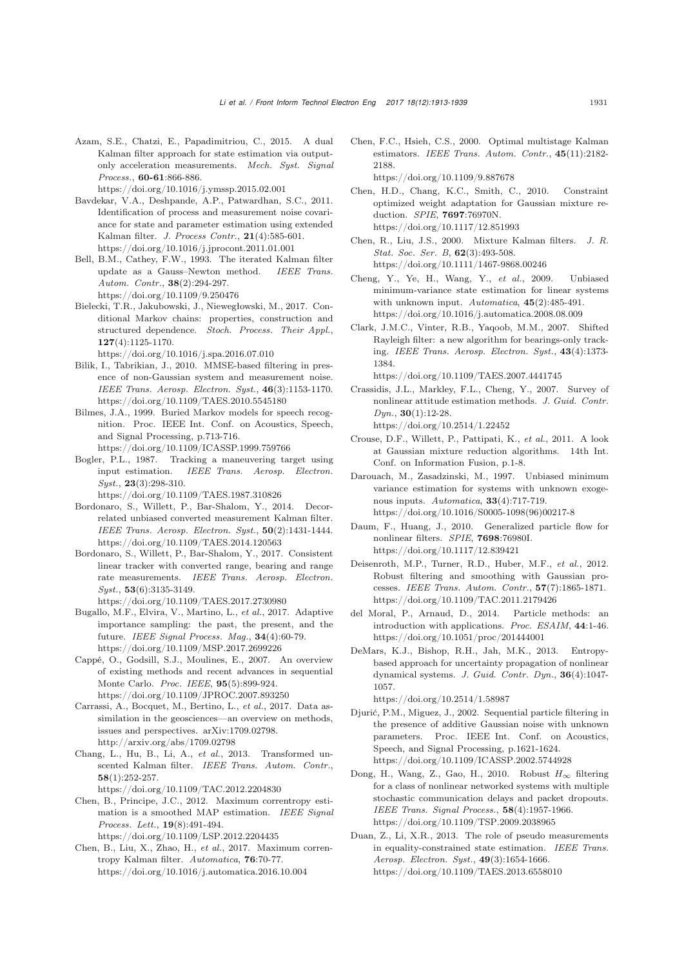<span id="page-18-16"></span>Azam, S.E., Chatzi, E., Papadimitriou, C., 2015. A dual Kalman filter approach for state estimation via outputonly acceleration measurements. *Mech. Syst. Signal Process.*, 60-61:866-886.

https://doi.org/10.1016/j.ymssp.2015.02.001

- <span id="page-18-18"></span>Bavdekar, V.A., Deshpande, A.P., Patwardhan, S.C., 2011. Identification of process and measurement noise covariance for state and parameter estimation using extended Kalman filter. *J. Process Contr.*, 21(4):585-601. https://doi.org/10.1016/j.jprocont.2011.01.001
- <span id="page-18-10"></span>Bell, B.M., Cathey, F.W., 1993. The iterated Kalman filter update as a Gauss–Newton method. *IEEE Trans. Autom. Contr.*, 38(2):294-297. https://doi.org/10.1109/9.250476
- <span id="page-18-28"></span>Bielecki, T.R., Jakubowski, J., Niewegłowski, M., 2017. Conditional Markov chains: properties, construction and structured dependence. *Stoch. Process. Their Appl.*, 127(4):1125-1170.
	- https://doi.org/10.1016/j.spa.2016.07.010
- <span id="page-18-23"></span>Bilik, I., Tabrikian, J., 2010. MMSE-based filtering in presence of non-Gaussian system and measurement noise. *IEEE Trans. Aerosp. Electron. Syst.*, 46(3):1153-1170. https://doi.org/10.1109/TAES.2010.5545180
- <span id="page-18-27"></span>Bilmes, J.A., 1999. Buried Markov models for speech recognition. Proc. IEEE Int. Conf. on Acoustics, Speech, and Signal Processing, p.713-716. https://doi.org/10.1109/ICASSP.1999.759766
- <span id="page-18-19"></span>Bogler, P.L., 1987. Tracking a maneuvering target using input estimation. *IEEE Trans. Aerosp. Electron. Syst.*, 23(3):298-310.

https://doi.org/10.1109/TAES.1987.310826

- <span id="page-18-8"></span>Bordonaro, S., Willett, P., Bar-Shalom, Y., 2014. Decorrelated unbiased converted measurement Kalman filter. *IEEE Trans. Aerosp. Electron. Syst.*, 50(2):1431-1444. https://doi.org/10.1109/TAES.2014.120563
- <span id="page-18-9"></span>Bordonaro, S., Willett, P., Bar-Shalom, Y., 2017. Consistent linear tracker with converted range, bearing and range rate measurements. *IEEE Trans. Aerosp. Electron. Syst.*, 53(6):3135-3149.
- https://doi.org/10.1109/TAES.2017.2730980
- <span id="page-18-2"></span>Bugallo, M.F., Elvira, V., Martino, L., *et al.*, 2017. Adaptive importance sampling: the past, the present, and the future. *IEEE Signal Process. Mag.*, 34(4):60-79. https://doi.org/10.1109/MSP.2017.2699226
- <span id="page-18-0"></span>Cappé, O., Godsill, S.J., Moulines, E., 2007. An overview of existing methods and recent advances in sequential Monte Carlo. *Proc. IEEE*, 95(5):899-924. https://doi.org/10.1109/JPROC.2007.893250
- <span id="page-18-29"></span>Carrassi, A., Bocquet, M., Bertino, L., *et al.*, 2017. Data assimilation in the geosciences—an overview on methods, issues and perspectives. arXiv:1709.02798. http://arxiv.org/abs/1709.02798
- <span id="page-18-7"></span>Chang, L., Hu, B., Li, A., *et al.*, 2013. Transformed unscented Kalman filter. *IEEE Trans. Autom. Contr.*, 58(1):252-257.

https://doi.org/10.1109/TAC.2012.2204830

- <span id="page-18-4"></span>Chen, B., Principe, J.C., 2012. Maximum correntropy estimation is a smoothed MAP estimation. *IEEE Signal Process. Lett.*, 19(8):491-494.
	- https://doi.org/10.1109/LSP.2012.2204435
- <span id="page-18-5"></span>Chen, B., Liu, X., Zhao, H., *et al.*, 2017. Maximum correntropy Kalman filter. *Automatica*, 76:70-77. https://doi.org/10.1016/j.automatica.2016.10.004

<span id="page-18-17"></span>Chen, F.C., Hsieh, C.S., 2000. Optimal multistage Kalman estimators. *IEEE Trans. Autom. Contr.*, 45(11):2182- 2188.

https://doi.org/10.1109/9.887678

- <span id="page-18-14"></span>Chen, H.D., Chang, K.C., Smith, C., 2010. Constraint optimized weight adaptation for Gaussian mixture reduction. *SPIE*, 7697:76970N. https://doi.org/10.1117/12.851993
- <span id="page-18-6"></span>Chen, R., Liu, J.S., 2000. Mixture Kalman filters. *J. R. Stat. Soc. Ser. B*, 62(3):493-508. https://doi.org/10.1111/1467-9868.00246
- <span id="page-18-21"></span>Cheng, Y., Ye, H., Wang, Y., *et al.*, 2009. Unbiased minimum-variance state estimation for linear systems with unknown input. *Automatica*, 45(2):485-491. https://doi.org/10.1016/j.automatica.2008.08.009
- <span id="page-18-26"></span>Clark, J.M.C., Vinter, R.B., Yaqoob, M.M., 2007. Shifted Rayleigh filter: a new algorithm for bearings-only tracking. *IEEE Trans. Aerosp. Electron. Syst.*, 43(4):1373- 1384. https://doi.org/10.1109/TAES.2007.4441745
- <span id="page-18-3"></span>Crassidis, J.L., Markley, F.L., Cheng, Y., 2007. Survey of nonlinear attitude estimation methods. *J. Guid. Contr. Dyn.*, 30(1):12-28. https://doi.org/10.2514/1.22452
- <span id="page-18-13"></span>Crouse, D.F., Willett, P., Pattipati, K., *et al.*, 2011. A look at Gaussian mixture reduction algorithms. 14th Int. Conf. on Information Fusion, p.1-8.
- <span id="page-18-20"></span>Darouach, M., Zasadzinski, M., 1997. Unbiased minimum variance estimation for systems with unknown exogenous inputs. *Automatica*, 33(4):717-719. https://doi.org/10.1016/S0005-1098(96)00217-8
- <span id="page-18-11"></span>Daum, F., Huang, J., 2010. Generalized particle flow for nonlinear filters. *SPIE*, 7698:76980I. https://doi.org/10.1117/12.839421
- <span id="page-18-15"></span>Deisenroth, M.P., Turner, R.D., Huber, M.F., *et al.*, 2012. Robust filtering and smoothing with Gaussian processes. *IEEE Trans. Autom. Contr.*, 57(7):1865-1871. https://doi.org/10.1109/TAC.2011.2179426
- <span id="page-18-1"></span>del Moral, P., Arnaud, D., 2014. Particle methods: an introduction with applications. *Proc. ESAIM*, 44:1-46. https://doi.org/10.1051/proc/201444001
- <span id="page-18-12"></span>DeMars, K.J., Bishop, R.H., Jah, M.K., 2013. Entropybased approach for uncertainty propagation of nonlinear dynamical systems. *J. Guid. Contr. Dyn.*, 36(4):1047- 1057.

https://doi.org/10.2514/1.58987

- <span id="page-18-22"></span>Djurić, P.M., Miguez, J., 2002. Sequential particle filtering in the presence of additive Gaussian noise with unknown parameters. Proc. IEEE Int. Conf. on Acoustics, Speech, and Signal Processing, p.1621-1624. https://doi.org/10.1109/ICASSP.2002.5744928
- <span id="page-18-24"></span>Dong, H., Wang, Z., Gao, H., 2010. Robust *H*<sup>∞</sup> filtering for a class of nonlinear networked systems with multiple stochastic communication delays and packet dropouts. *IEEE Trans. Signal Process.*, 58(4):1957-1966. https://doi.org/10.1109/TSP.2009.2038965
- <span id="page-18-25"></span>Duan, Z., Li, X.R., 2013. The role of pseudo measurements in equality-constrained state estimation. *IEEE Trans. Aerosp. Electron. Syst.*, 49(3):1654-1666. https://doi.org/10.1109/TAES.2013.6558010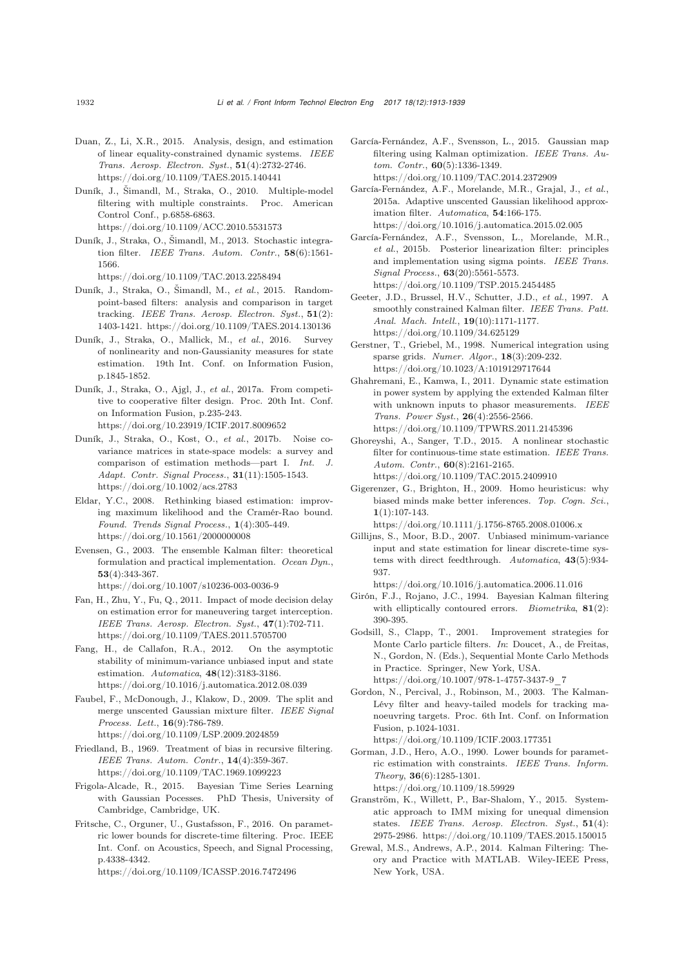- <span id="page-19-27"></span>Duan, Z., Li, X.R., 2015. Analysis, design, and estimation of linear equality-constrained dynamic systems. *IEEE Trans. Aerosp. Electron. Syst.*, 51(4):2732-2746. https://doi.org/10.1109/TAES.2015.140441
- <span id="page-19-17"></span>Duník, J., Šimandl, M., Straka, O., 2010. Multiple-model filtering with multiple constraints. Proc. American Control Conf., p.6858-6863. https://doi.org/10.1109/ACC.2010.5531573
- <span id="page-19-9"></span>Duník, J., Straka, O., Šimandl, M., 2013. Stochastic integration filter. *IEEE Trans. Autom. Contr.*, 58(6):1561- 1566.

https://doi.org/10.1109/TAC.2013.2258494

- <span id="page-19-2"></span>Duník, J., Straka, O., Šimandl, M., *et al.*, 2015. Randompoint-based filters: analysis and comparison in target tracking. *IEEE Trans. Aerosp. Electron. Syst.*, 51(2): 1403-1421. https://doi.org/10.1109/TAES.2014.130136
- <span id="page-19-12"></span>Duník, J., Straka, O., Mallick, M., *et al.*, 2016. Survey of nonlinearity and non-Gaussianity measures for state estimation. 19th Int. Conf. on Information Fusion, p.1845-1852.
- <span id="page-19-13"></span>Duník, J., Straka, O., Ajgl, J., *et al.*, 2017a. From competitive to cooperative filter design. Proc. 20th Int. Conf. on Information Fusion, p.235-243. https://doi.org/10.23919/ICIF.2017.8009652
- <span id="page-19-4"></span>Duník, J., Straka, O., Kost, O., *et al.*, 2017b. Noise covariance matrices in state-space models: a survey and comparison of estimation methods—part I. *Int. J. Adapt. Contr. Signal Process.*, 31(11):1505-1543. https://doi.org/10.1002/acs.2783
- <span id="page-19-6"></span>Eldar, Y.C., 2008. Rethinking biased estimation: improving maximum likelihood and the Cramér-Rao bound. *Found. Trends Signal Process.*, 1(4):305-449. https://doi.org/10.1561/2000000008
- <span id="page-19-11"></span>Evensen, G., 2003. The ensemble Kalman filter: theoretical formulation and practical implementation. *Ocean Dyn.*, 53(4):343-367.

https://doi.org/10.1007/s10236-003-0036-9

- <span id="page-19-20"></span>Fan, H., Zhu, Y., Fu, Q., 2011. Impact of mode decision delay on estimation error for maneuvering target interception. *IEEE Trans. Aerosp. Electron. Syst.*, 47(1):702-711. https://doi.org/10.1109/TAES.2011.5705700
- <span id="page-19-24"></span>Fang, H., de Callafon, R.A., 2012. On the asymptotic stability of minimum-variance unbiased input and state estimation. *Automatica*, 48(12):3183-3186. https://doi.org/10.1016/j.automatica.2012.08.039
- <span id="page-19-16"></span>Faubel, F., McDonough, J., Klakow, D., 2009. The split and merge unscented Gaussian mixture filter. *IEEE Signal Process. Lett.*, 16(9):786-789. https://doi.org/10.1109/LSP.2009.2024859
- <span id="page-19-23"></span>Friedland, B., 1969. Treatment of bias in recursive filtering. *IEEE Trans. Autom. Contr.*, 14(4):359-367. https://doi.org/10.1109/TAC.1969.1099223
- <span id="page-19-22"></span>Frigola-Alcade, R., 2015. Bayesian Time Series Learning with Gaussian Pocesses. PhD Thesis, University of Cambridge, Cambridge, UK.
- <span id="page-19-7"></span>Fritsche, C., Orguner, U., Gustafsson, F., 2016. On parametric lower bounds for discrete-time filtering. Proc. IEEE Int. Conf. on Acoustics, Speech, and Signal Processing, p.4338-4342. https://doi.org/10.1109/ICASSP.2016.7472496
- <span id="page-19-3"></span>García-Fernández, A.F., Svensson, L., 2015. Gaussian map filtering using Kalman optimization. *IEEE Trans. Autom. Contr.*, 60(5):1336-1349. https://doi.org/10.1109/TAC.2014.2372909
- <span id="page-19-14"></span>García-Fernández, A.F., Morelande, M.R., Grajal, J., *et al.*, 2015a. Adaptive unscented Gaussian likelihood approximation filter. *Automatica*, 54:166-175. https://doi.org/10.1016/j.automatica.2015.02.005
- <span id="page-19-10"></span>García-Fernández, A.F., Svensson, L., Morelande, M.R., *et al.*, 2015b. Posterior linearization filter: principles and implementation using sigma points. *IEEE Trans. Signal Process.*, 63(20):5561-5573. https://doi.org/10.1109/TSP.2015.2454485
- <span id="page-19-28"></span>Geeter, J.D., Brussel, H.V., Schutter, J.D., *et al.*, 1997. A smoothly constrained Kalman filter. *IEEE Trans. Patt. Anal. Mach. Intell.*, 19(10):1171-1177. https://doi.org/10.1109/34.625129
- <span id="page-19-1"></span>Gerstner, T., Griebel, M., 1998. Numerical integration using sparse grids. *Numer. Algor.*, 18(3):209-232. https://doi.org/10.1023/A:1019129717644
- <span id="page-19-21"></span>Ghahremani, E., Kamwa, I., 2011. Dynamic state estimation in power system by applying the extended Kalman filter with unknown inputs to phasor measurements. *IEEE Trans. Power Syst.*, 26(4):2556-2566. https://doi.org/10.1109/TPWRS.2011.2145396
- <span id="page-19-5"></span>Ghoreyshi, A., Sanger, T.D., 2015. A nonlinear stochastic filter for continuous-time state estimation. *IEEE Trans. Autom. Contr.*, 60(8):2161-2165. https://doi.org/10.1109/TAC.2015.2409910
- <span id="page-19-29"></span>Gigerenzer, G., Brighton, H., 2009. Homo heuristicus: why biased minds make better inferences. *Top. Cogn. Sci.*, 1(1):107-143.
- <span id="page-19-25"></span>https://doi.org/10.1111/j.1756-8765.2008.01006.x Gillijns, S., Moor, B.D., 2007. Unbiased minimum-variance input and state estimation for linear discrete-time systems with direct feedthrough. *Automatica*, 43(5):934- 937.
	- https://doi.org/10.1016/j.automatica.2006.11.016
- <span id="page-19-26"></span>Girón, F.J., Rojano, J.C., 1994. Bayesian Kalman filtering with elliptically contoured errors. *Biometrika*, 81(2): 390-395.
- <span id="page-19-15"></span>Godsill, S., Clapp, T., 2001. Improvement strategies for Monte Carlo particle filters. *In*: Doucet, A., de Freitas, N., Gordon, N. (Eds.), Sequential Monte Carlo Methods in Practice. Springer, New York, USA. https://doi.org/10.1007/978-1-4757-3437-9\_7
- <span id="page-19-18"></span>Gordon, N., Percival, J., Robinson, M., 2003. The Kalman-Lévy filter and heavy-tailed models for tracking manoeuvring targets. Proc. 6th Int. Conf. on Information Fusion, p.1024-1031.

https://doi.org/10.1109/ICIF.2003.177351

<span id="page-19-8"></span>Gorman, J.D., Hero, A.O., 1990. Lower bounds for parametric estimation with constraints. *IEEE Trans. Inform. Theory*, 36(6):1285-1301. https://doi.org/10.1109/18.59929

<span id="page-19-19"></span>Granström, K., Willett, P., Bar-Shalom, Y., 2015. Systematic approach to IMM mixing for unequal dimension states. *IEEE Trans. Aerosp. Electron. Syst.*, 51(4): 2975-2986. https://doi.org/10.1109/TAES.2015.150015

<span id="page-19-0"></span>Grewal, M.S., Andrews, A.P., 2014. Kalman Filtering: Theory and Practice with MATLAB. Wiley-IEEE Press, New York, USA.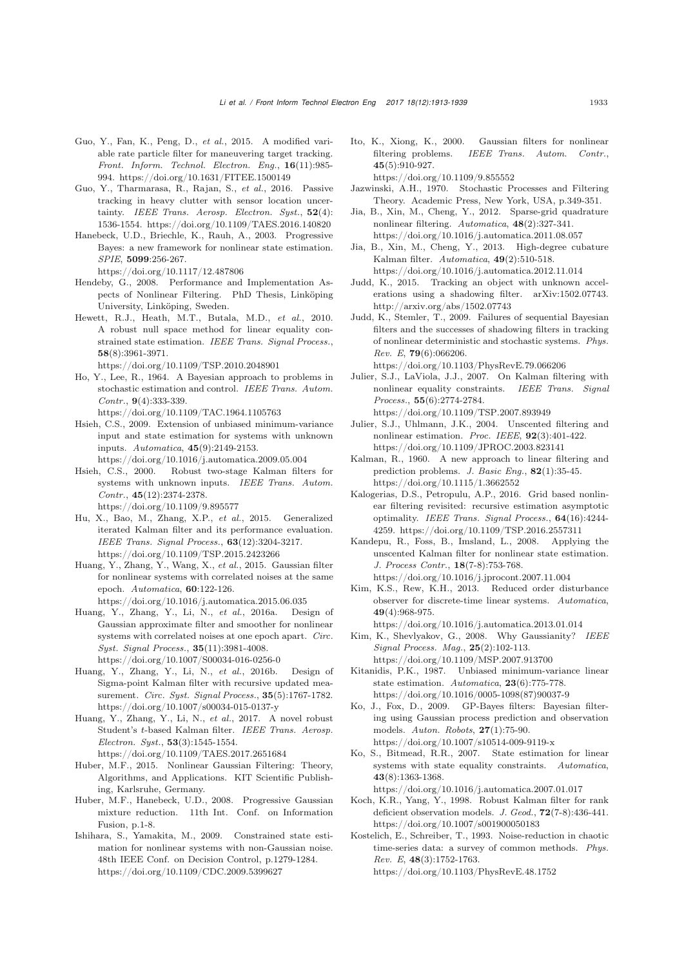- <span id="page-20-16"></span>Guo, Y., Fan, K., Peng, D., *et al.*, 2015. A modified variable rate particle filter for maneuvering target tracking. *Front. Inform. Technol. Electron. Eng.*, 16(11):985- 994. https://doi.org/10.1631/FITEE.1500149
- <span id="page-20-17"></span>Guo, Y., Tharmarasa, R., Rajan, S., *et al.*, 2016. Passive tracking in heavy clutter with sensor location uncertainty. *IEEE Trans. Aerosp. Electron. Syst.*, 52(4): 1536-1554. https://doi.org/10.1109/TAES.2016.140820
- <span id="page-20-13"></span>Hanebeck, U.D., Briechle, K., Rauh, A., 2003. Progressive Bayes: a new framework for nonlinear state estimation. *SPIE*, 5099:256-267.
	- https://doi.org/10.1117/12.487806
- <span id="page-20-3"></span>Hendeby, G., 2008. Performance and Implementation Aspects of Nonlinear Filtering. PhD Thesis, Linköping University, Linköping, Sweden.
- <span id="page-20-27"></span>Hewett, R.J., Heath, M.T., Butala, M.D., *et al.*, 2010. A robust null space method for linear equality constrained state estimation. *IEEE Trans. Signal Process.*, 58(8):3961-3971.
	- https://doi.org/10.1109/TSP.2010.2048901
- <span id="page-20-1"></span>Ho, Y., Lee, R., 1964. A Bayesian approach to problems in stochastic estimation and control. *IEEE Trans. Autom. Contr.*, 9(4):333-339. https://doi.org/10.1109/TAC.1964.1105763
- <span id="page-20-22"></span>Hsieh, C.S., 2009. Extension of unbiased minimum-variance input and state estimation for systems with unknown inputs. *Automatica*, 45(9):2149-2153. https://doi.org/10.1016/j.automatica.2009.05.004
- <span id="page-20-19"></span>Hsieh, C.S., 2000. Robust two-stage Kalman filters for systems with unknown inputs. *IEEE Trans. Autom. Contr.*, 45(12):2374-2378. https://doi.org/10.1109/9.895577
- <span id="page-20-11"></span>Hu, X., Bao, M., Zhang, X.P., *et al.*, 2015. Generalized iterated Kalman filter and its performance evaluation. *IEEE Trans. Signal Process.*, 63(12):3204-3217. https://doi.org/10.1109/TSP.2015.2423266
- <span id="page-20-24"></span>Huang, Y., Zhang, Y., Wang, X., *et al.*, 2015. Gaussian filter for nonlinear systems with correlated noises at the same epoch. *Automatica*, 60:122-126. https://doi.org/10.1016/j.automatica.2015.06.035
- <span id="page-20-25"></span>Huang, Y., Zhang, Y., Li, N., *et al.*, 2016a. Design of Gaussian approximate filter and smoother for nonlinear systems with correlated noises at one epoch apart. *Circ. Syst. Signal Process.*, 35(11):3981-4008. https://doi.org/10.1007/S00034-016-0256-0
- <span id="page-20-12"></span>Huang, Y., Zhang, Y., Li, N., *et al.*, 2016b. Design of Sigma-point Kalman filter with recursive updated measurement. *Circ. Syst. Signal Process.*, 35(5):1767-1782. https://doi.org/10.1007/s00034-015-0137-y
- <span id="page-20-23"></span>Huang, Y., Zhang, Y., Li, N., *et al.*, 2017. A novel robust Student's *t*-based Kalman filter. *IEEE Trans. Aerosp. Electron. Syst.*, 53(3):1545-1554. https://doi.org/10.1109/TAES.2017.2651684
- <span id="page-20-4"></span>Huber, M.F., 2015. Nonlinear Gaussian Filtering: Theory, Algorithms, and Applications. KIT Scientific Publishing, Karlsruhe, Germany.
- <span id="page-20-15"></span>Huber, M.F., Hanebeck, U.D., 2008. Progressive Gaussian mixture reduction. 11th Int. Conf. on Information Fusion, p.1-8.
- <span id="page-20-14"></span>Ishihara, S., Yamakita, M., 2009. Constrained state estimation for nonlinear systems with non-Gaussian noise. 48th IEEE Conf. on Decision Control, p.1279-1284. https://doi.org/10.1109/CDC.2009.5399627

<span id="page-20-7"></span>Ito, K., Xiong, K., 2000. Gaussian filters for nonlinear filtering problems. *IEEE Trans. Autom. Contr.*, 45(5):910-927.

https://doi.org/10.1109/9.855552

- <span id="page-20-10"></span>Jazwinski, A.H., 1970. Stochastic Processes and Filtering Theory. Academic Press, New York, USA, p.349-351.
- <span id="page-20-9"></span>Jia, B., Xin, M., Cheng, Y., 2012. Sparse-grid quadrature nonlinear filtering. *Automatica*, 48(2):327-341. https://doi.org/10.1016/j.automatica.2011.08.057
- <span id="page-20-8"></span>Jia, B., Xin, M., Cheng, Y., 2013. High-degree cubature Kalman filter. *Automatica*, 49(2):510-518. https://doi.org/10.1016/j.automatica.2012.11.014
- <span id="page-20-32"></span>Judd, K., 2015. Tracking an object with unknown accelerations using a shadowing filter. arXiv:1502.07743. http://arxiv.org/abs/1502.07743
- <span id="page-20-31"></span>Judd, K., Stemler, T., 2009. Failures of sequential Bayesian filters and the successes of shadowing filters in tracking of nonlinear deterministic and stochastic systems. *Phys. Rev. E*, 79(6):066206.

https://doi.org/10.1103/PhysRevE.79.066206

- <span id="page-20-28"></span>Julier, S.J., LaViola, J.J., 2007. On Kalman filtering with nonlinear equality constraints. *IEEE Trans. Signal Process.*, 55(6):2774-2784.
	- https://doi.org/10.1109/TSP.2007.893949
- <span id="page-20-6"></span>Julier, S.J., Uhlmann, J.K., 2004. Unscented filtering and nonlinear estimation. *Proc. IEEE*, 92(3):401-422. https://doi.org/10.1109/JPROC.2003.823141
- <span id="page-20-0"></span>Kalman, R., 1960. A new approach to linear filtering and prediction problems. *J. Basic Eng.*, 82(1):35-45. https://doi.org/10.1115/1.3662552
- <span id="page-20-2"></span>Kalogerias, D.S., Petropulu, A.P., 2016. Grid based nonlinear filtering revisited: recursive estimation asymptotic optimality. *IEEE Trans. Signal Process.*, 64(16):4244- 4259. https://doi.org/10.1109/TSP.2016.2557311
- <span id="page-20-30"></span>Kandepu, R., Foss, B., Imsland, L., 2008. Applying the unscented Kalman filter for nonlinear state estimation. *J. Process Contr.*, 18(7-8):753-768.
	- https://doi.org/10.1016/j.jprocont.2007.11.004
- <span id="page-20-20"></span>Kim, K.S., Rew, K.H., 2013. Reduced order disturbance observer for discrete-time linear systems. *Automatica*, 49(4):968-975.
- <span id="page-20-5"></span>https://doi.org/10.1016/j.automatica.2013.01.014 Kim, K., Shevlyakov, G., 2008. Why Gaussianity? *IEEE Signal Process. Mag.*, 25(2):102-113. https://doi.org/10.1109/MSP.2007.913700
- <span id="page-20-21"></span>Kitanidis, P.K., 1987. Unbiased minimum-variance linear state estimation. *Automatica*, 23(6):775-778. https://doi.org/10.1016/0005-1098(87)90037-9
- <span id="page-20-18"></span>Ko, J., Fox, D., 2009. GP-Bayes filters: Bayesian filtering using Gaussian process prediction and observation models. *Auton. Robots*, 27(1):75-90. https://doi.org/10.1007/s10514-009-9119-x
- <span id="page-20-29"></span>Ko, S., Bitmead, R.R., 2007. State estimation for linear systems with state equality constraints. *Automatica*, 43(8):1363-1368.

https://doi.org/10.1016/j.automatica.2007.01.017

- <span id="page-20-26"></span>Koch, K.R., Yang, Y., 1998. Robust Kalman filter for rank deficient observation models. *J. Geod.*, 72(7-8):436-441. https://doi.org/10.1007/s001900050183
- <span id="page-20-33"></span>Kostelich, E., Schreiber, T., 1993. Noise-reduction in chaotic time-series data: a survey of common methods. *Phys. Rev. E*, 48(3):1752-1763. https://doi.org/10.1103/PhysRevE.48.1752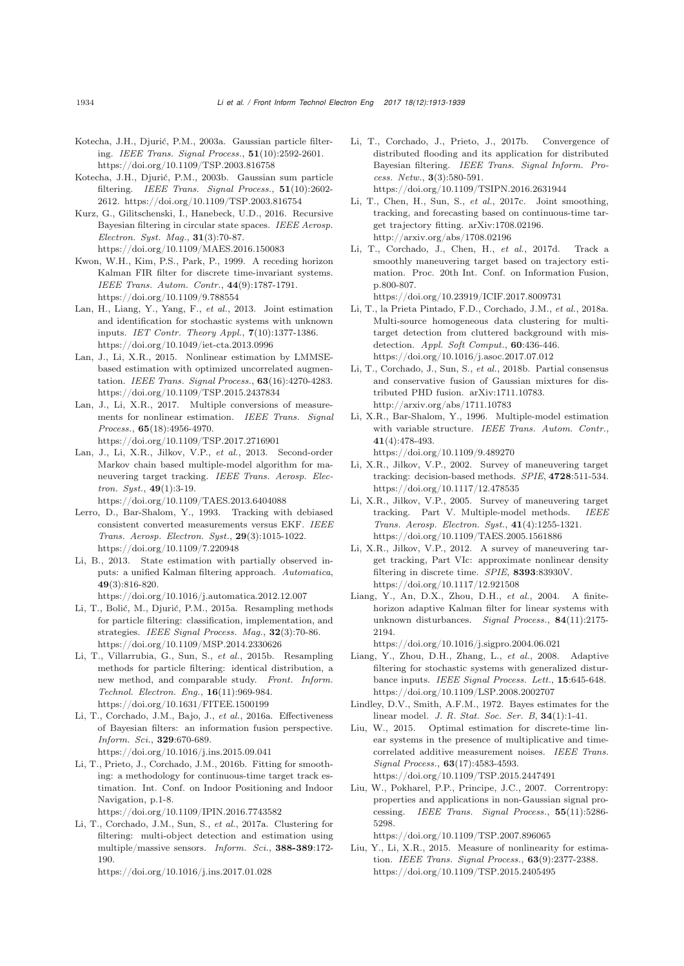- <span id="page-21-4"></span>Kotecha, J.H., Djurić, P.M., 2003a. Gaussian particle filtering. *IEEE Trans. Signal Process.*, 51(10):2592-2601. https://doi.org/10.1109/TSP.2003.816758
- <span id="page-21-5"></span>Kotecha, J.H., Djurić, P.M., 2003b. Gaussian sum particle filtering. *IEEE Trans. Signal Process.*, 51(10):2602- 2612. https://doi.org/10.1109/TSP.2003.816754
- <span id="page-21-2"></span>Kurz, G., Gilitschenski, I., Hanebeck, U.D., 2016. Recursive Bayesian filtering in circular state spaces. *IEEE Aerosp. Electron. Syst. Mag.*, 31(3):70-87. https://doi.org/10.1109/MAES.2016.150083
- <span id="page-21-26"></span>Kwon, W.H., Kim, P.S., Park, P., 1999. A receding horizon Kalman FIR filter for discrete time-invariant systems. *IEEE Trans. Autom. Contr.*, 44(9):1787-1791. https://doi.org/10.1109/9.788554
- <span id="page-21-22"></span>Lan, H., Liang, Y., Yang, F., *et al.*, 2013. Joint estimation and identification for stochastic systems with unknown inputs. *IET Contr. Theory Appl.*, 7(10):1377-1386. https://doi.org/10.1049/iet-cta.2013.0996
- <span id="page-21-9"></span>Lan, J., Li, X.R., 2015. Nonlinear estimation by LMMSEbased estimation with optimized uncorrelated augmentation. *IEEE Trans. Signal Process.*, 63(16):4270-4283. https://doi.org/10.1109/TSP.2015.2437834
- <span id="page-21-7"></span>Lan, J., Li, X.R., 2017. Multiple conversions of measurements for nonlinear estimation. *IEEE Trans. Signal Process.*, 65(18):4956-4970. https://doi.org/10.1109/TSP.2017.2716901
- <span id="page-21-19"></span>Lan, J., Li, X.R., Jilkov, V.P., *et al.*, 2013. Second-order Markov chain based multiple-model algorithm for maneuvering target tracking. *IEEE Trans. Aerosp. Electron. Syst.*, 49(1):3-19.
	- https://doi.org/10.1109/TAES.2013.6404088
- <span id="page-21-8"></span>Lerro, D., Bar-Shalom, Y., 1993. Tracking with debiased consistent converted measurements versus EKF. *IEEE Trans. Aerosp. Electron. Syst.*, 29(3):1015-1022. https://doi.org/10.1109/7.220948
- <span id="page-21-23"></span>Li, B., 2013. State estimation with partially observed inputs: a unified Kalman filtering approach. *Automatica*, 49(3):816-820. https://doi.org/10.1016/j.automatica.2012.12.007
- <span id="page-21-13"></span>Li, T., Bolić, M., Djurić, P.M., 2015a. Resampling methods for particle filtering: classification, implementation, and strategies. *IEEE Signal Process. Mag.*, 32(3):70-86. https://doi.org/10.1109/MSP.2014.2330626
- <span id="page-21-14"></span>Li, T., Villarrubia, G., Sun, S., *et al.*, 2015b. Resampling methods for particle filtering: identical distribution, a new method, and comparable study. *Front. Inform. Technol. Electron. Eng.*, 16(11):969-984. https://doi.org/10.1631/FITEE.1500199
- <span id="page-21-10"></span>Li, T., Corchado, J.M., Bajo, J., *et al.*, 2016a. Effectiveness of Bayesian filters: an information fusion perspective. *Inform. Sci.*, 329:670-689. https://doi.org/10.1016/j.ins.2015.09.041
- <span id="page-21-28"></span>Li, T., Prieto, J., Corchado, J.M., 2016b. Fitting for smoothing: a methodology for continuous-time target track estimation. Int. Conf. on Indoor Positioning and Indoor Navigation, p.1-8.

https://doi.org/10.1109/IPIN.2016.7743582

<span id="page-21-11"></span>Li, T., Corchado, J.M., Sun, S., *et al.*, 2017a. Clustering for filtering: multi-object detection and estimation using multiple/massive sensors. *Inform. Sci.*, 388-389:172- 190.

https://doi.org/10.1016/j.ins.2017.01.028

- <span id="page-21-29"></span>Li, T., Corchado, J., Prieto, J., 2017b. Convergence of distributed flooding and its application for distributed Bayesian filtering. *IEEE Trans. Signal Inform. Process. Netw.*, 3(3):580-591. https://doi.org/10.1109/TSIPN.2016.2631944
- <span id="page-21-27"></span>Li, T., Chen, H., Sun, S., *et al.*, 2017c. Joint smoothing, tracking, and forecasting based on continuous-time target trajectory fitting. arXiv:1708.02196. http://arxiv.org/abs/1708.02196
- <span id="page-21-20"></span>Li, T., Corchado, J., Chen, H., *et al.*, 2017d. Track a smoothly maneuvering target based on trajectory estimation. Proc. 20th Int. Conf. on Information Fusion, p.800-807. https://doi.org/10.23919/ICIF.2017.8009731
- <span id="page-21-12"></span>Li, T., la Prieta Pintado, F.D., Corchado, J.M., *et al.*, 2018a. Multi-source homogeneous data clustering for multi-
- target detection from cluttered background with misdetection. *Appl. Soft Comput.*, 60:436-446. https://doi.org/10.1016/j.asoc.2017.07.012
- <span id="page-21-15"></span>Li, T., Corchado, J., Sun, S., *et al.*, 2018b. Partial consensus and conservative fusion of Gaussian mixtures for distributed PHD fusion. arXiv:1711.10783. http://arxiv.org/abs/1711.10783
- <span id="page-21-18"></span>Li, X.R., Bar-Shalom, Y., 1996. Multiple-model estimation with variable structure. *IEEE Trans. Autom. Contr.*, 41(4):478-493.

https://doi.org/10.1109/9.489270

- <span id="page-21-16"></span>Li, X.R., Jilkov, V.P., 2002. Survey of maneuvering target tracking: decision-based methods. *SPIE*, 4728:511-534. https://doi.org/10.1117/12.478535
- <span id="page-21-17"></span>Li, X.R., Jilkov, V.P., 2005. Survey of maneuvering target tracking. Part V. Multiple-model methods. *IEEE Trans. Aerosp. Electron. Syst.*, 41(4):1255-1321. https://doi.org/10.1109/TAES.2005.1561886
- <span id="page-21-1"></span>Li, X.R., Jilkov, V.P., 2012. A survey of maneuvering target tracking, Part VIc: approximate nonlinear density filtering in discrete time. *SPIE*, 8393:83930V. https://doi.org/10.1117/12.921508
- <span id="page-21-21"></span>Liang, Y., An, D.X., Zhou, D.H., *et al.*, 2004. A finitehorizon adaptive Kalman filter for linear systems with unknown disturbances. *Signal Process.*, 84(11):2175- 2194.

https://doi.org/10.1016/j.sigpro.2004.06.021

- <span id="page-21-24"></span>Liang, Y., Zhou, D.H., Zhang, L., *et al.*, 2008. Adaptive filtering for stochastic systems with generalized disturbance inputs. *IEEE Signal Process. Lett.*, 15:645-648. https://doi.org/10.1109/LSP.2008.2002707
- <span id="page-21-0"></span>Lindley, D.V., Smith, A.F.M., 1972. Bayes estimates for the linear model. *J. R. Stat. Soc. Ser. B*, 34(1):1-41.
- <span id="page-21-25"></span>Liu, W., 2015. Optimal estimation for discrete-time linear systems in the presence of multiplicative and timecorrelated additive measurement noises. *IEEE Trans. Signal Process.*, 63(17):4583-4593. https://doi.org/10.1109/TSP.2015.2447491
- <span id="page-21-3"></span>Liu, W., Pokharel, P.P., Principe, J.C., 2007. Correntropy: properties and applications in non-Gaussian signal processing. *IEEE Trans. Signal Process.*, 55(11):5286- 5298.

https://doi.org/10.1109/TSP.2007.896065

<span id="page-21-6"></span>Liu, Y., Li, X.R., 2015. Measure of nonlinearity for estimation. *IEEE Trans. Signal Process.*, 63(9):2377-2388. https://doi.org/10.1109/TSP.2015.2405495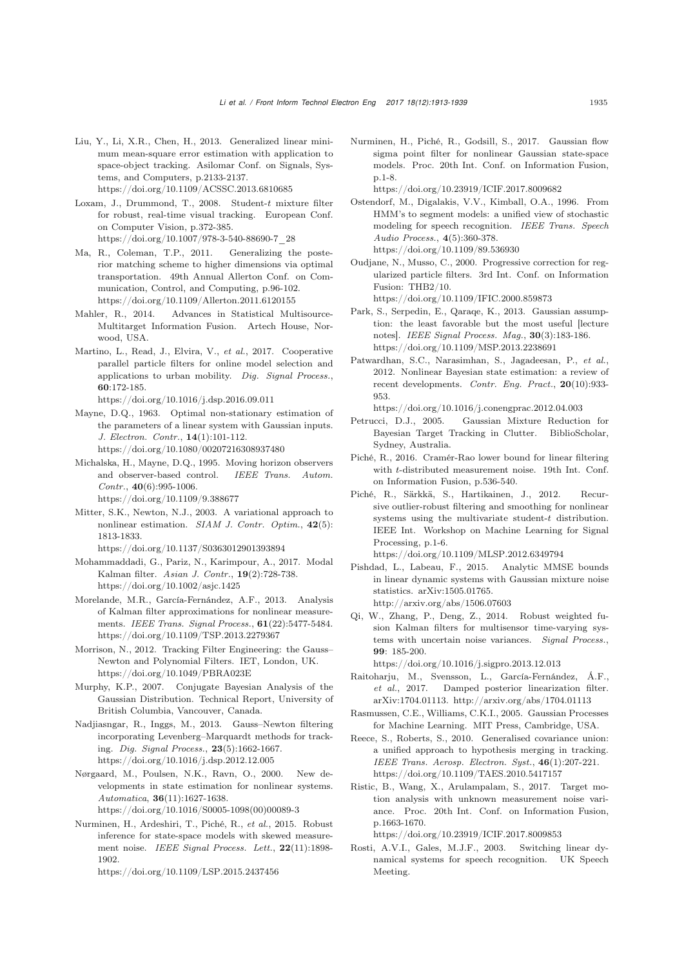- <span id="page-22-7"></span>Liu, Y., Li, X.R., Chen, H., 2013. Generalized linear minimum mean-square error estimation with application to space-object tracking. Asilomar Conf. on Signals, Systems, and Computers, p.2133-2137. https://doi.org/10.1109/ACSSC.2013.6810685
- <span id="page-22-20"></span>Loxam, J., Drummond, T., 2008. Student-*t* mixture filter for robust, real-time visual tracking. European Conf. on Computer Vision, p.372-385. https://doi.org/10.1007/978-3-540-88690-7\_28
- <span id="page-22-10"></span>Ma, R., Coleman, T.P., 2011. Generalizing the posterior matching scheme to higher dimensions via optimal transportation. 49th Annual Allerton Conf. on Communication, Control, and Computing, p.96-102. https://doi.org/10.1109/Allerton.2011.6120155
- <span id="page-22-12"></span>Mahler, R., 2014. Advances in Statistical Multisource-Multitarget Information Fusion. Artech House, Norwood, USA.
- <span id="page-22-16"></span>Martino, L., Read, J., Elvira, V., *et al.*, 2017. Cooperative parallel particle filters for online model selection and applications to urban mobility. *Dig. Signal Process.*, 60:172-185.

https://doi.org/10.1016/j.dsp.2016.09.011

- <span id="page-22-18"></span>Mayne, D.Q., 1963. Optimal non-stationary estimation of the parameters of a linear system with Gaussian inputs. *J. Electron. Contr.*, 14(1):101-112. https://doi.org/10.1080/00207216308937480
- <span id="page-22-27"></span>Michalska, H., Mayne, D.Q., 1995. Moving horizon observers and observer-based control. *IEEE Trans. Autom. Contr.*, 40(6):995-1006. https://doi.org/10.1109/9.388677
- <span id="page-22-9"></span>Mitter, S.K., Newton, N.J., 2003. A variational approach to nonlinear estimation. *SIAM J. Contr. Optim.*, 42(5): 1813-1833.

https://doi.org/10.1137/S0363012901393894

- <span id="page-22-5"></span>Mohammaddadi, G., Pariz, N., Karimpour, A., 2017. Modal Kalman filter. *Asian J. Contr.*, 19(2):728-738. https://doi.org/10.1002/asjc.1425
- <span id="page-22-2"></span>Morelande, M.R., García-Fernández, A.F., 2013. Analysis of Kalman filter approximations for nonlinear measurements. *IEEE Trans. Signal Process.*, 61(22):5477-5484. https://doi.org/10.1109/TSP.2013.2279367
- <span id="page-22-29"></span>Morrison, N., 2012. Tracking Filter Engineering: the Gauss– Newton and Polynomial Filters. IET, London, UK. https://doi.org/10.1049/PBRA023E
- <span id="page-22-4"></span>Murphy, K.P., 2007. Conjugate Bayesian Analysis of the Gaussian Distribution. Technical Report, University of British Columbia, Vancouver, Canada.
- <span id="page-22-28"></span>Nadjiasngar, R., Inggs, M., 2013. Gauss–Newton filtering incorporating Levenberg–Marquardt methods for tracking. *Dig. Signal Process.*, 23(5):1662-1667. https://doi.org/10.1016/j.dsp.2012.12.005
- <span id="page-22-0"></span>Nørgaard, M., Poulsen, N.K., Ravn, O., 2000. New developments in state estimation for nonlinear systems. *Automatica*, 36(11):1627-1638.

https://doi.org/10.1016/S0005-1098(00)00089-3

<span id="page-22-22"></span>Nurminen, H., Ardeshiri, T., Piché, R., *et al.*, 2015. Robust inference for state-space models with skewed measurement noise. *IEEE Signal Process. Lett.*, 22(11):1898- 1902.

https://doi.org/10.1109/LSP.2015.2437456

<span id="page-22-11"></span>Nurminen, H., Piché, R., Godsill, S., 2017. Gaussian flow sigma point filter for nonlinear Gaussian state-space models. Proc. 20th Int. Conf. on Information Fusion, p.1-8.

https://doi.org/10.23919/ICIF.2017.8009682

- <span id="page-22-26"></span>Ostendorf, M., Digalakis, V.V., Kimball, O.A., 1996. From HMM's to segment models: a unified view of stochastic modeling for speech recognition. *IEEE Trans. Speech Audio Process.*, 4(5):360-378. https://doi.org/10.1109/89.536930
- <span id="page-22-8"></span>Oudjane, N., Musso, C., 2000. Progressive correction for regularized particle filters. 3rd Int. Conf. on Information Fusion: THB2/10.
	- https://doi.org/10.1109/IFIC.2000.859873
- <span id="page-22-3"></span>Park, S., Serpedin, E., Qaraqe, K., 2013. Gaussian assumption: the least favorable but the most useful [lecture notes]. *IEEE Signal Process. Mag.*, 30(3):183-186. https://doi.org/10.1109/MSP.2013.2238691
- <span id="page-22-1"></span>Patwardhan, S.C., Narasimhan, S., Jagadeesan, P., *et al.*, 2012. Nonlinear Bayesian state estimation: a review of recent developments. *Contr. Eng. Pract.*, 20(10):933- 953.

https://doi.org/10.1016/j.conengprac.2012.04.003

- <span id="page-22-15"></span>Petrucci, D.J., 2005. Gaussian Mixture Reduction for Bayesian Target Tracking in Clutter. BiblioScholar, Sydney, Australia.
- <span id="page-22-23"></span>Piché, R., 2016. Cramér-Rao lower bound for linear filtering with *t*-distributed measurement noise. 19th Int. Conf. on Information Fusion, p.536-540.
- <span id="page-22-21"></span>Piché, R., Särkkä, S., Hartikainen, J., 2012. Recursive outlier-robust filtering and smoothing for nonlinear systems using the multivariate student-*t* distribution. IEEE Int. Workshop on Machine Learning for Signal Processing, p.1-6.

https://doi.org/10.1109/MLSP.2012.6349794

- <span id="page-22-13"></span>Pishdad, L., Labeau, F., 2015. Analytic MMSE bounds in linear dynamic systems with Gaussian mixture noise statistics. arXiv:1505.01765. http://arxiv.org/abs/1506.07603
- <span id="page-22-24"></span>Qi, W., Zhang, P., Deng, Z., 2014. Robust weighted fusion Kalman filters for multisensor time-varying systems with uncertain noise variances. *Signal Process.*, 99: 185-200.

https://doi.org/10.1016/j.sigpro.2013.12.013

- <span id="page-22-6"></span>Raitoharju, M., Svensson, L., García-Fernández, Á.F., *et al.*, 2017. Damped posterior linearization filter. arXiv:1704.01113. http://arxiv.org/abs/1704.01113
- <span id="page-22-17"></span>Rasmussen, C.E., Williams, C.K.I., 2005. Gaussian Processes for Machine Learning. MIT Press, Cambridge, USA.
- <span id="page-22-14"></span>Reece, S., Roberts, S., 2010. Generalised covariance union: a unified approach to hypothesis merging in tracking. *IEEE Trans. Aerosp. Electron. Syst.*, 46(1):207-221. https://doi.org/10.1109/TAES.2010.5417157
- <span id="page-22-19"></span>Ristic, B., Wang, X., Arulampalam, S., 2017. Target motion analysis with unknown measurement noise variance. Proc. 20th Int. Conf. on Information Fusion, p.1663-1670.

https://doi.org/10.23919/ICIF.2017.8009853

<span id="page-22-25"></span>Rosti, A.V.I., Gales, M.J.F., 2003. Switching linear dynamical systems for speech recognition. UK Speech Meeting.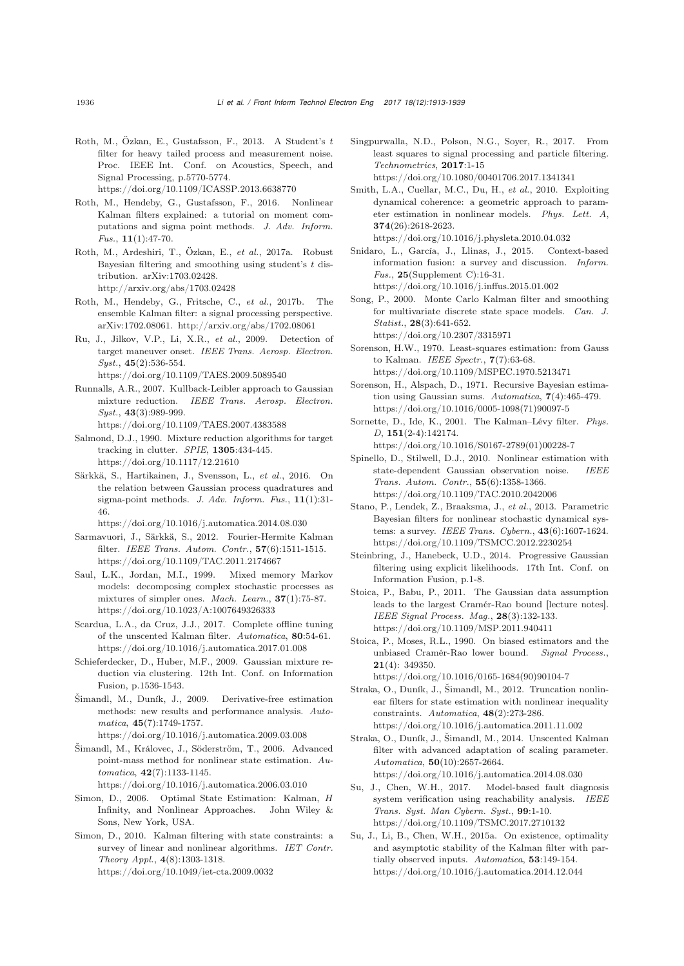- <span id="page-23-23"></span>Roth, M., Özkan, E., Gustafsson, F., 2013. A Student's *t* filter for heavy tailed process and measurement noise. Proc. IEEE Int. Conf. on Acoustics, Speech, and Signal Processing, p.5770-5774. https://doi.org/10.1109/ICASSP.2013.6638770
- <span id="page-23-5"></span>Roth, M., Hendeby, G., Gustafsson, F., 2016. Nonlinear Kalman filters explained: a tutorial on moment computations and sigma point methods. *J. Adv. Inform. Fus.*, 11(1):47-70.
- <span id="page-23-25"></span>Roth, M., Ardeshiri, T., Özkan, E., *et al.*, 2017a. Robust Bayesian filtering and smoothing using student's *t* distribution. arXiv:1703.02428. http://arxiv.org/abs/1703.02428
- <span id="page-23-10"></span>Roth, M., Hendeby, G., Fritsche, C., *et al.*, 2017b. The ensemble Kalman filter: a signal processing perspective. arXiv:1702.08061. http://arxiv.org/abs/1702.08061
- <span id="page-23-20"></span>Ru, J., Jilkov, V.P., Li, X.R., *et al.*, 2009. Detection of target maneuver onset. *IEEE Trans. Aerosp. Electron. Syst.*, 45(2):536-554. https://doi.org/10.1109/TAES.2009.5089540
- <span id="page-23-18"></span>Runnalls, A.R., 2007. Kullback-Leibler approach to Gaussian mixture reduction. *IEEE Trans. Aerosp. Electron. Syst.*, 43(3):989-999.
	- https://doi.org/10.1109/TAES.2007.4383588
- <span id="page-23-17"></span>Salmond, D.J., 1990. Mixture reduction algorithms for target tracking in clutter. *SPIE*, 1305:434-445. https://doi.org/10.1117/12.21610
- <span id="page-23-6"></span>Särkkä, S., Hartikainen, J., Svensson, L., *et al.*, 2016. On the relation between Gaussian process quadratures and sigma-point methods. *J. Adv. Inform. Fus.*, 11(1):31- 46.

https://doi.org/10.1016/j.automatica.2014.08.030

- <span id="page-23-9"></span>Sarmavuori, J., Särkkä, S., 2012. Fourier-Hermite Kalman filter. *IEEE Trans. Autom. Contr.*, 57(6):1511-1515. https://doi.org/10.1109/TAC.2011.2174667
- <span id="page-23-30"></span>Saul, L.K., Jordan, M.I., 1999. Mixed memory Markov models: decomposing complex stochastic processes as mixtures of simpler ones. *Mach. Learn.*, 37(1):75-87. https://doi.org/10.1023/A:1007649326333
- <span id="page-23-13"></span>Scardua, L.A., da Cruz, J.J., 2017. Complete offline tuning of the unscented Kalman filter. *Automatica*, 80:54-61. https://doi.org/10.1016/j.automatica.2017.01.008
- <span id="page-23-19"></span>Schieferdecker, D., Huber, M.F., 2009. Gaussian mixture reduction via clustering. 12th Int. Conf. on Information Fusion, p.1536-1543.
- <span id="page-23-3"></span>Šimandl, M., Duník, J., 2009. Derivative-free estimation methods: new results and performance analysis. *Automatica*, 45(7):1749-1757. https://doi.org/10.1016/j.automatica.2009.03.008
- <span id="page-23-2"></span>Šimandl, M., Královec, J., Söderström, T., 2006. Advanced point-mass method for nonlinear state estimation. *Automatica*, 42(7):1133-1145.

https://doi.org/10.1016/j.automatica.2006.03.010

- <span id="page-23-27"></span>Simon, D., 2006. Optimal State Estimation: Kalman, *H* Infinity, and Nonlinear Approaches. John Wiley & Sons, New York, USA.
- <span id="page-23-29"></span>Simon, D., 2010. Kalman filtering with state constraints: a survey of linear and nonlinear algorithms. *IET Contr. Theory Appl.*, 4(8):1303-1318. https://doi.org/10.1049/iet-cta.2009.0032
- <span id="page-23-1"></span>Singpurwalla, N.D., Polson, N.G., Soyer, R., 2017. From least squares to signal processing and particle filtering. *Technometrics*, 2017:1-15 https://doi.org/10.1080/00401706.2017.1341341
- <span id="page-23-31"></span>Smith, L.A., Cuellar, M.C., Du, H., *et al.*, 2010. Exploiting dynamical coherence: a geometric approach to parameter estimation in nonlinear models. *Phys. Lett. A*, 374(26):2618-2623.

https://doi.org/10.1016/j.physleta.2010.04.032

- <span id="page-23-28"></span>Snidaro, L., García, J., Llinas, J., 2015. Context-based information fusion: a survey and discussion. *Inform. Fus.*, 25(Supplement C):16-31. https://doi.org/10.1016/j.inffus.2015.01.002
- <span id="page-23-11"></span>Song, P., 2000. Monte Carlo Kalman filter and smoothing for multivariate discrete state space models. *Can. J. Statist.*, 28(3):641-652. https://doi.org/10.2307/3315971
- <span id="page-23-0"></span>Sorenson, H.W., 1970. Least-squares estimation: from Gauss to Kalman. *IEEE Spectr.*, 7(7):63-68. https://doi.org/10.1109/MSPEC.1970.5213471
- <span id="page-23-15"></span>Sorenson, H., Alspach, D., 1971. Recursive Bayesian estimation using Gaussian sums. *Automatica*, 7(4):465-479. https://doi.org/10.1016/0005-1098(71)90097-5
- <span id="page-23-24"></span>Sornette, D., Ide, K., 2001. The Kalman–Lévy filter. *Phys. D*, 151(2-4):142174.
- https://doi.org/10.1016/S0167-2789(01)00228-7
- <span id="page-23-26"></span>Spinello, D., Stilwell, D.J., 2010. Nonlinear estimation with state-dependent Gaussian observation noise. *IEEE Trans. Autom. Contr.*, 55(6):1358-1366. https://doi.org/10.1109/TAC.2010.2042006
- <span id="page-23-4"></span>Stano, P., Lendek, Z., Braaksma, J., *et al.*, 2013. Parametric Bayesian filters for nonlinear stochastic dynamical systems: a survey. *IEEE Trans. Cybern.*, 43(6):1607-1624. https://doi.org/10.1109/TSMCC.2012.2230254
- <span id="page-23-14"></span>Steinbring, J., Hanebeck, U.D., 2014. Progressive Gaussian filtering using explicit likelihoods. 17th Int. Conf. on Information Fusion, p.1-8.
- <span id="page-23-8"></span>Stoica, P., Babu, P., 2011. The Gaussian data assumption leads to the largest Cramér-Rao bound [lecture notes]. *IEEE Signal Process. Mag.*, 28(3):132-133. https://doi.org/10.1109/MSP.2011.940411
- <span id="page-23-7"></span>Stoica, P., Moses, R.L., 1990. On biased estimators and the unbiased Cramér-Rao lower bound. *Signal Process.*, 21(4): 349350.

https://doi.org/10.1016/0165-1684(90)90104-7

- <span id="page-23-16"></span>Straka, O., Duník, J., Šimandl, M., 2012. Truncation nonlinear filters for state estimation with nonlinear inequality constraints. *Automatica*, 48(2):273-286. https://doi.org/10.1016/j.automatica.2011.11.002
- <span id="page-23-12"></span>Straka, O., Duník, J., Šimandl, M., 2014. Unscented Kalman filter with advanced adaptation of scaling parameter. *Automatica*, 50(10):2657-2664.
	- https://doi.org/10.1016/j.automatica.2014.08.030
- <span id="page-23-21"></span>Su, J., Chen, W.H., 2017. Model-based fault diagnosis system verification using reachability analysis. *IEEE Trans. Syst. Man Cybern. Syst.*, 99:1-10. https://doi.org/10.1109/TSMC.2017.2710132
- <span id="page-23-22"></span>Su, J., Li, B., Chen, W.H., 2015a. On existence, optimality and asymptotic stability of the Kalman filter with partially observed inputs. *Automatica*, 53:149-154. https://doi.org/10.1016/j.automatica.2014.12.044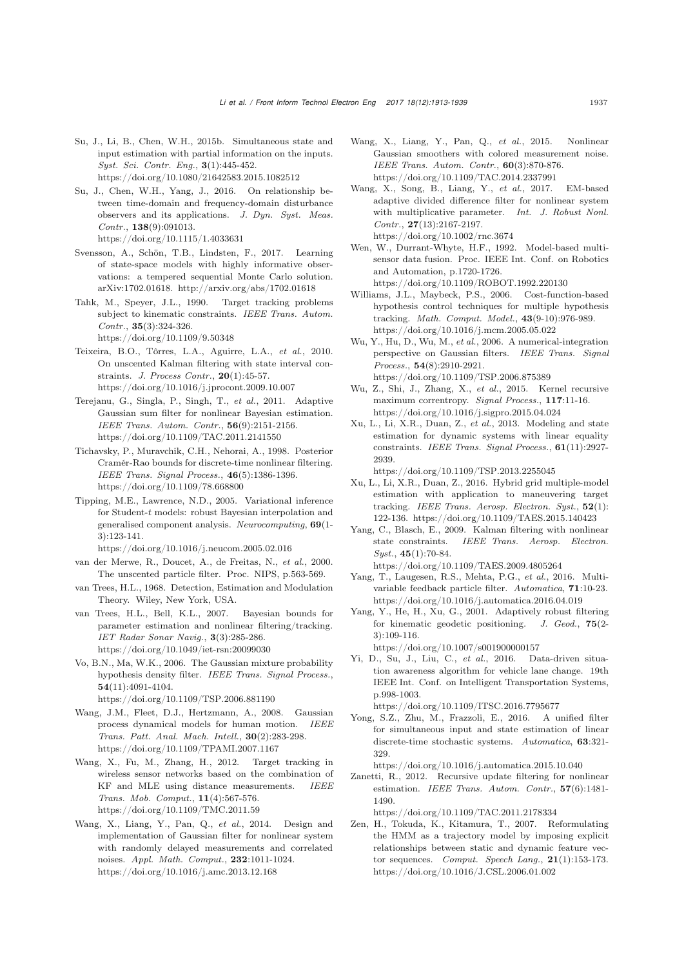- <span id="page-24-17"></span>Su, J., Li, B., Chen, W.H., 2015b. Simultaneous state and input estimation with partial information on the inputs. *Syst. Sci. Contr. Eng.*, 3(1):445-452. https://doi.org/10.1080/21642583.2015.1082512
- <span id="page-24-16"></span>Su, J., Chen, W.H., Yang, J., 2016. On relationship between time-domain and frequency-domain disturbance observers and its applications. *J. Dyn. Syst. Meas. Contr.*, 138(9):091013. https://doi.org/10.1115/1.4033631
- <span id="page-24-10"></span>Svensson, A., Schön, T.B., Lindsten, F., 2017. Learning of state-space models with highly informative observations: a tempered sequential Monte Carlo solution. arXiv:1702.01618. http://arxiv.org/abs/1702.01618
- <span id="page-24-25"></span>Tahk, M., Speyer, J.L., 1990. Target tracking problems subject to kinematic constraints. *IEEE Trans. Autom. Contr.*, 35(3):324-326. https://doi.org/10.1109/9.50348
- <span id="page-24-27"></span>Teixeira, B.O., Tôrres, L.A., Aguirre, L.A., *et al.*, 2010. On unscented Kalman filtering with state interval constraints. *J. Process Contr.*, 20(1):45-57. https://doi.org/10.1016/j.jprocont.2009.10.007
- <span id="page-24-12"></span>Terejanu, G., Singla, P., Singh, T., *et al.*, 2011. Adaptive Gaussian sum filter for nonlinear Bayesian estimation. *IEEE Trans. Autom. Contr.*, 56(9):2151-2156. https://doi.org/10.1109/TAC.2011.2141550
- <span id="page-24-3"></span>Tichavsky, P., Muravchik, C.H., Nehorai, A., 1998. Posterior Cramér-Rao bounds for discrete-time nonlinear filtering. *IEEE Trans. Signal Process.*, 46(5):1386-1396. https://doi.org/10.1109/78.668800
- <span id="page-24-20"></span>Tipping, M.E., Lawrence, N.D., 2005. Variational inference for Student-*t* models: robust Bayesian interpolation and generalised component analysis. *Neurocomputing*, 69(1- 3):123-141.

https://doi.org/10.1016/j.neucom.2005.02.016

- <span id="page-24-7"></span>van der Merwe, R., Doucet, A., de Freitas, N., *et al.*, 2000. The unscented particle filter. Proc. NIPS, p.563-569.
- <span id="page-24-2"></span>van Trees, H.L., 1968. Detection, Estimation and Modulation Theory. Wiley, New York, USA.
- <span id="page-24-4"></span>van Trees, H.L., Bell, K.L., 2007. Bayesian bounds for parameter estimation and nonlinear filtering/tracking. *IET Radar Sonar Navig.*, 3(3):285-286. https://doi.org/10.1049/iet-rsn:20099030
- <span id="page-24-11"></span>Vo, B.N., Ma, W.K., 2006. The Gaussian mixture probability hypothesis density filter. *IEEE Trans. Signal Process.*, 54(11):4091-4104. https://doi.org/10.1109/TSP.2006.881190
- <span id="page-24-15"></span>Wang, J.M., Fleet, D.J., Hertzmann, A., 2008. Gaussian process dynamical models for human motion. *IEEE Trans. Patt. Anal. Mach. Intell.*, 30(2):283-298. https://doi.org/10.1109/TPAMI.2007.1167
- <span id="page-24-6"></span>Wang, X., Fu, M., Zhang, H., 2012. Target tracking in wireless sensor networks based on the combination of KF and MLE using distance measurements. *IEEE Trans. Mob. Comput.*, 11(4):567-576. https://doi.org/10.1109/TMC.2011.59
- <span id="page-24-22"></span>Wang, X., Liang, Y., Pan, Q., *et al.*, 2014. Design and implementation of Gaussian filter for nonlinear system with randomly delayed measurements and correlated noises. *Appl. Math. Comput.*, 232:1011-1024. https://doi.org/10.1016/j.amc.2013.12.168
- <span id="page-24-21"></span>Wang, X., Liang, Y., Pan, Q., *et al.*, 2015. Nonlinear Gaussian smoothers with colored measurement noise. *IEEE Trans. Autom. Contr.*, 60(3):870-876. https://doi.org/10.1109/TAC.2014.2337991
- <span id="page-24-5"></span>Wang, X., Song, B., Liang, Y., *et al.*, 2017. EM-based adaptive divided difference filter for nonlinear system with multiplicative parameter. *Int. J. Robust Nonl. Contr.*, 27(13):2167-2197. https://doi.org/10.1002/rnc.3674
- <span id="page-24-24"></span>Wen, W., Durrant-Whyte, H.F., 1992. Model-based multisensor data fusion. Proc. IEEE Int. Conf. on Robotics and Automation, p.1720-1726. https://doi.org/10.1109/ROBOT.1992.220130
- <span id="page-24-13"></span>Williams, J.L., Maybeck, P.S., 2006. Cost-function-based hypothesis control techniques for multiple hypothesis tracking. *Math. Comput. Model.*, 43(9-10):976-989. https://doi.org/10.1016/j.mcm.2005.05.022
- <span id="page-24-0"></span>Wu, Y., Hu, D., Wu, M., *et al.*, 2006. A numerical-integration perspective on Gaussian filters. *IEEE Trans. Signal Process.*, 54(8):2910-2921. https://doi.org/10.1109/TSP.2006.875389
- <span id="page-24-1"></span>Wu, Z., Shi, J., Zhang, X., *et al.*, 2015. Kernel recursive maximum correntropy. *Signal Process.*, 117:11-16. https://doi.org/10.1016/j.sigpro.2015.04.024
- <span id="page-24-26"></span>Xu, L., Li, X.R., Duan, Z., *et al.*, 2013. Modeling and state estimation for dynamic systems with linear equality constraints. *IEEE Trans. Signal Process.*, 61(11):2927- 2939.

https://doi.org/10.1109/TSP.2013.2255045

- <span id="page-24-14"></span>Xu, L., Li, X.R., Duan, Z., 2016. Hybrid grid multiple-model estimation with application to maneuvering target tracking. *IEEE Trans. Aerosp. Electron. Syst.*, 52(1): 122-136. https://doi.org/10.1109/TAES.2015.140423
- <span id="page-24-28"></span>Yang, C., Blasch, E., 2009. Kalman filtering with nonlinear state constraints. *IEEE Trans. Aerosp. Electron. Syst.*, 45(1):70-84.

https://doi.org/10.1109/TAES.2009.4805264

- <span id="page-24-9"></span>Yang, T., Laugesen, R.S., Mehta, P.G., *et al.*, 2016. Multivariable feedback particle filter. *Automatica*, 71:10-23. https://doi.org/10.1016/j.automatica.2016.04.019
- <span id="page-24-23"></span>Yang, Y., He, H., Xu, G., 2001. Adaptively robust filtering for kinematic geodetic positioning. *J. Geod.*, 75(2- 3):109-116.

https://doi.org/10.1007/s001900000157

<span id="page-24-19"></span>Yi, D., Su, J., Liu, C., *et al.*, 2016. Data-driven situation awareness algorithm for vehicle lane change. 19th IEEE Int. Conf. on Intelligent Transportation Systems, p.998-1003.

https://doi.org/10.1109/ITSC.2016.7795677

<span id="page-24-18"></span>Yong, S.Z., Zhu, M., Frazzoli, E., 2016. A unified filter for simultaneous input and state estimation of linear discrete-time stochastic systems. *Automatica*, 63:321- 329.

https://doi.org/10.1016/j.automatica.2015.10.040

<span id="page-24-8"></span>Zanetti, R., 2012. Recursive update filtering for nonlinear estimation. *IEEE Trans. Autom. Contr.*, 57(6):1481- 1490.

https://doi.org/10.1109/TAC.2011.2178334

<span id="page-24-29"></span>Zen, H., Tokuda, K., Kitamura, T., 2007. Reformulating the HMM as a trajectory model by imposing explicit relationships between static and dynamic feature vector sequences. *Comput. Speech Lang.*, 21(1):153-173. https://doi.org/10.1016/J.CSL.2006.01.002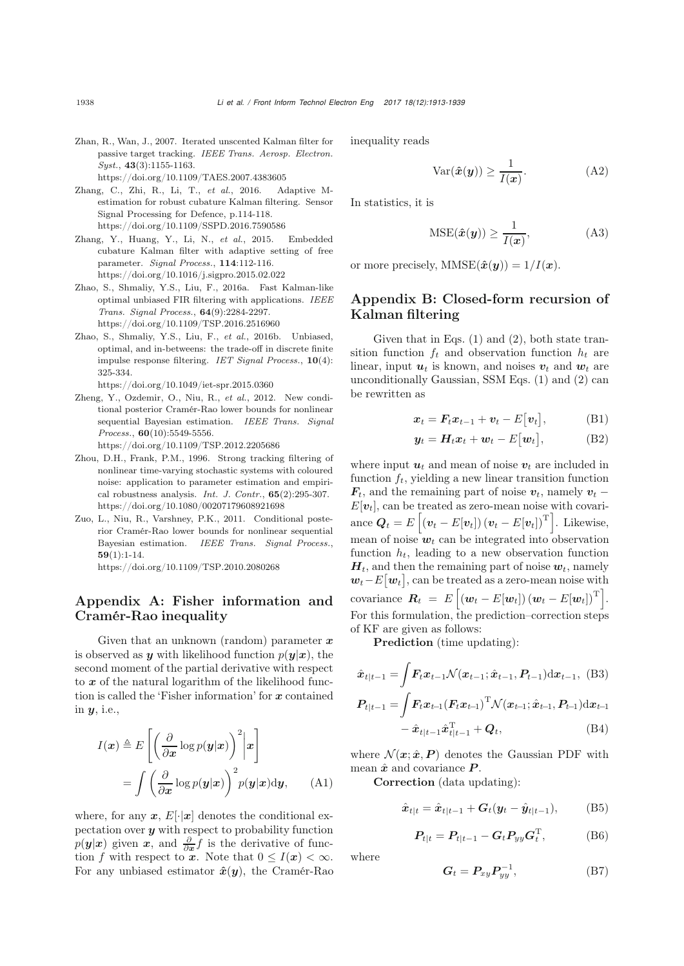- <span id="page-25-3"></span>Zhan, R., Wan, J., 2007. Iterated unscented Kalman filter for passive target tracking. *IEEE Trans. Aerosp. Electron. Syst.*, 43(3):1155-1163. https://doi.org/10.1109/TAES.2007.4383605
- <span id="page-25-5"></span>Zhang, C., Zhi, R., Li, T., *et al.*, 2016. Adaptive Mestimation for robust cubature Kalman filtering. Sensor Signal Processing for Defence, p.114-118. https://doi.org/10.1109/SSPD.2016.7590586
- <span id="page-25-2"></span>Zhang, Y., Huang, Y., Li, N., *et al.*, 2015. Embedded cubature Kalman filter with adaptive setting of free parameter. *Signal Process.*, 114:112-116. https://doi.org/10.1016/j.sigpro.2015.02.022
- <span id="page-25-7"></span>Zhao, S., Shmaliy, Y.S., Liu, F., 2016a. Fast Kalman-like optimal unbiased FIR filtering with applications. *IEEE Trans. Signal Process.*, 64(9):2284-2297. https://doi.org/10.1109/TSP.2016.2516960
- <span id="page-25-6"></span>Zhao, S., Shmaliy, Y.S., Liu, F., *et al.*, 2016b. Unbiased, optimal, and in-betweens: the trade-off in discrete finite impulse response filtering. *IET Signal Process.*, 10(4): 325-334.

https://doi.org/10.1049/iet-spr.2015.0360

<span id="page-25-1"></span>Zheng, Y., Ozdemir, O., Niu, R., *et al.*, 2012. New conditional posterior Cramér-Rao lower bounds for nonlinear sequential Bayesian estimation. *IEEE Trans. Signal Process.*, 60(10):5549-5556.

https://doi.org/10.1109/TSP.2012.2205686

- <span id="page-25-4"></span>Zhou, D.H., Frank, P.M., 1996. Strong tracking filtering of nonlinear time-varying stochastic systems with coloured noise: application to parameter estimation and empirical robustness analysis. *Int. J. Contr.*, 65(2):295-307. https://doi.org/10.1080/00207179608921698
- <span id="page-25-0"></span>Zuo, L., Niu, R., Varshney, P.K., 2011. Conditional posterior Cramér-Rao lower bounds for nonlinear sequential Bayesian estimation. *IEEE Trans. Signal Process.*, 59(1):1-14.

https://doi.org/10.1109/TSP.2010.2080268

# Appendix A: Fisher information and Cramér-Rao inequality

Given that an unknown (random) parameter *x* is observed as *y* with likelihood function  $p(y|x)$ , the second moment of the partial derivative with respect to *x* of the natural logarithm of the likelihood function is called the 'Fisher information' for *x* contained in *y*, i.e.,

$$
I(\boldsymbol{x}) \triangleq E\left[\left(\frac{\partial}{\partial \boldsymbol{x}} \log p(\boldsymbol{y}|\boldsymbol{x})\right)^2 \middle| \boldsymbol{x}\right]
$$

$$
= \int \left(\frac{\partial}{\partial \boldsymbol{x}} \log p(\boldsymbol{y}|\boldsymbol{x})\right)^2 p(\boldsymbol{y}|\boldsymbol{x}) \mathrm{d}\boldsymbol{y}, \qquad (A1)
$$

where, for any  $x, E[\cdot|x]$  denotes the conditional expectation over *y* with respect to probability function  $p(\mathbf{y}|\mathbf{x})$  given *x*, and  $\frac{\partial}{\partial x} f$  is the derivative of function f with respect to  $\mathbf{x}$ . Note that  $0 \leq I(\mathbf{x}) < \infty$ . For any unbiased estimator  $\hat{x}(y)$ , the Cramér-Rao

inequality reads

$$
Var(\hat{\boldsymbol{x}}(\boldsymbol{y})) \ge \frac{1}{I(\boldsymbol{x})}.
$$
 (A2)

In statistics, it is

$$
\text{MSE}(\hat{\boldsymbol{x}}(\boldsymbol{y})) \ge \frac{1}{I(\boldsymbol{x})},\tag{A3}
$$

or more precisely,  $MMSE(\hat{\boldsymbol{x}}(\boldsymbol{y})) = 1/I(\boldsymbol{x}).$ 

# Appendix B: Closed-form recursion of Kalman filtering

Given that in Eqs. [\(1\)](#page-2-0) and [\(2\)](#page-2-1), both state transition function  $f_t$  and observation function  $h_t$  are linear, input  $u_t$  is known, and noises  $v_t$  and  $w_t$  are unconditionally Gaussian, SSM Eqs. [\(1\)](#page-2-0) and [\(2\)](#page-2-1) can be rewritten as

$$
\boldsymbol{x}_t = \boldsymbol{F}_t \boldsymbol{x}_{t-1} + \boldsymbol{v}_t - E[\boldsymbol{v}_t], \tag{B1}
$$

$$
\mathbf{y}_t = \mathbf{H}_t \mathbf{x}_t + \mathbf{w}_t - E[\mathbf{w}_t], \tag{B2}
$$

where input  $u_t$  and mean of noise  $v_t$  are included in function  $f_t$ , yielding a new linear transition function  $\mathbf{F}_t$ , and the remaining part of noise  $\mathbf{v}_t$ , namely  $\mathbf{v}_t$  −  $E[\mathbf{v}_t]$ , can be treated as zero-mean noise with covariance  $\mathbf{Q}_t = E\left[ (\mathbf{v}_t - E[\mathbf{v}_t]) (\mathbf{v}_t - E[\mathbf{v}_t])^{\mathrm{T}} \right]$ . Likewise, mean of noise  $w_t$  can be integrated into observation function  $h_t$ , leading to a new observation function  $H_t$ , and then the remaining part of noise  $w_t$ , namely  $w_t - E[w_t]$ , can be treated as a zero-mean noise with covariance  $\boldsymbol{R}_t = E[(\boldsymbol{w}_t - E[\boldsymbol{w}_t])(\boldsymbol{w}_t - E[\boldsymbol{w}_t])^{\mathrm{T}}].$ For this formulation, the prediction–correction steps of KF are given as follows:

Prediction (time updating):

$$
\hat{x}_{t|t-1} = \int F_t x_{t-1} \mathcal{N}(x_{t-1}; \hat{x}_{t-1}, P_{t-1}) dx_{t-1}, \text{ (B3)}
$$
\n
$$
P_{t|t-1} = \int F_t x_{t-1} (F_t x_{t-1})^{\mathrm{T}} \mathcal{N}(x_{t-1}; \hat{x}_{t-1}, P_{t-1}) dx_{t-1}
$$
\n
$$
- \hat{x}_{t|t-1} \hat{x}_{t|t-1}^{\mathrm{T}} + Q_t, \text{ (B4)}
$$

where  $\mathcal{N}(x; \hat{x}, P)$  denotes the Gaussian PDF with mean  $\hat{x}$  and covariance  $P$ .

Correction (data updating):

$$
\hat{\boldsymbol{x}}_{t|t} = \hat{\boldsymbol{x}}_{t|t-1} + \boldsymbol{G}_t(\boldsymbol{y}_t - \hat{\boldsymbol{y}}_{t|t-1}),
$$
(B5)

$$
\boldsymbol{P}_{t|t} = \boldsymbol{P}_{t|t-1} - \boldsymbol{G}_t \boldsymbol{P}_{yy} \boldsymbol{G}_t^{\mathrm{T}}, \tag{B6}
$$

where

$$
G_t = P_{xy} P_{yy}^{-1}, \t\t(B7)
$$